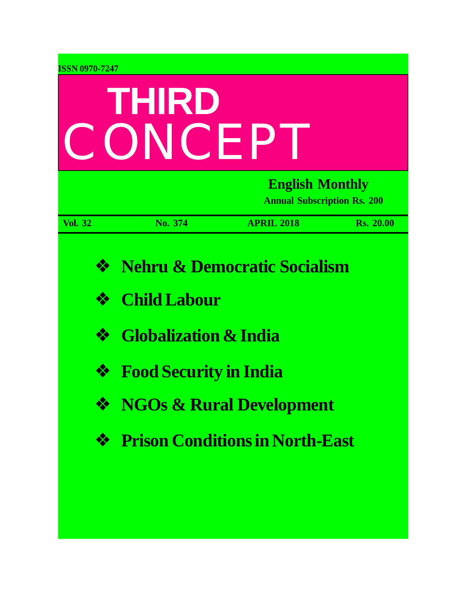| <b>ISSN 0970-7247</b>                  | THIRD<br>CONCEP                                                                          |                                                                                                                          |                  |
|----------------------------------------|------------------------------------------------------------------------------------------|--------------------------------------------------------------------------------------------------------------------------|------------------|
|                                        |                                                                                          | <b>English Monthly</b><br><b>Annual Subscription Rs. 200</b>                                                             |                  |
| <b>Vol. 32</b>                         | No. 374                                                                                  | <b>APRIL 2018</b>                                                                                                        | <b>Rs. 20.00</b> |
| $\frac{1}{2}$<br>❖<br>❖<br>❖<br>❖<br>❖ | <b>Child Labour</b><br><b>Globalization &amp; India</b><br><b>Food Security in India</b> | <b>Nehru &amp; Democratic Socialism</b><br><b>NGOs &amp; Rural Development</b><br><b>Prison Conditions in North-East</b> |                  |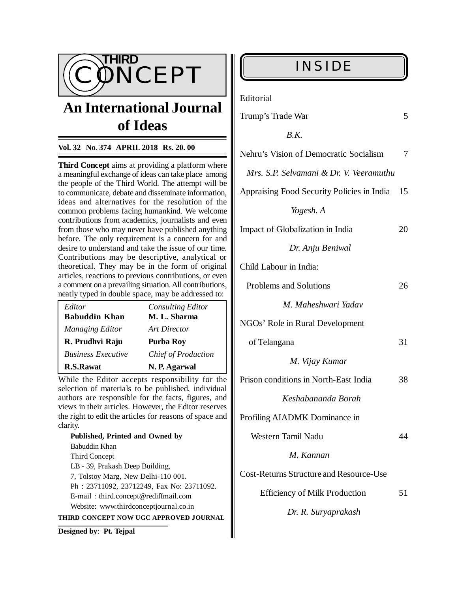

# **An International Journal of Ideas**

# **Vol. 32 No. 374 APRIL 2018 Rs. 20. 00**

**Third Concept** aims at providing a platform where a meaningful exchange of ideas can take place among the people of the Third World. The attempt will be to communicate, debate and disseminate information, ideas and alternatives for the resolution of the common problems facing humankind. We welcome contributions from academics, journalists and even from those who may never have published anything before. The only requirement is a concern for and desire to understand and take the issue of our time. Contributions may be descriptive, analytical or theoretical. They may be in the form of original articles, reactions to previous contributions, or even a comment on a prevailing situation. All contributions, neatly typed in double space, may be addressed to:

| Editor                    | <b>Consulting Editor</b> |
|---------------------------|--------------------------|
| <b>Babuddin Khan</b>      | M. L. Sharma             |
| Managing Editor           | Art Director             |
| R. Prudhvi Raju           | <b>Purba Roy</b>         |
| <b>Business Executive</b> | Chief of Production      |
| <b>R.S.Rawat</b>          | N. P. Agarwal            |

While the Editor accepts responsibility for the selection of materials to be published, individual authors are responsible for the facts, figures, and views in their articles. However, the Editor reserves the right to edit the articles for reasons of space and clarity.

**Published, Printed and Owned by** Babuddin Khan Third Concept LB - 39, Prakash Deep Building, 7, Tolstoy Marg, New Delhi-110 001. Ph : 23711092, 23712249, Fax No: 23711092. E-mail : [third.concept@rediffmail.com](mailto:third.concept@rediffmail.com) Website: [www.thirdconceptjournal.co.in](http://www.thirdconceptjournal.co.in) **THIRD CONCEPT NOW UGC APPROVED JOURNAL**

**Designed by**: **Pt. Tejpal**

Editorial

| Trump's Trade War |  |
|-------------------|--|
|-------------------|--|

| B.K.                                           |    |
|------------------------------------------------|----|
| Nehru's Vision of Democratic Socialism         | 7  |
| Mrs. S.P. Selvamani & Dr. V. Veeramuthu        |    |
| Appraising Food Security Policies in India     | 15 |
| Yogesh. A                                      |    |
| Impact of Globalization in India               | 20 |
| Dr. Anju Beniwal                               |    |
| Child Labour in India:                         |    |
| Problems and Solutions                         | 26 |
| M. Maheshwari Yadav                            |    |
| NGOs' Role in Rural Development                |    |
| of Telangana                                   | 31 |
| M. Vijay Kumar                                 |    |
| Prison conditions in North-East India          | 38 |
| Keshabananda Borah                             |    |
| Profiling AIADMK Dominance in                  |    |
| Western Tamil Nadu                             | 44 |
| M. Kannan                                      |    |
| <b>Cost-Returns Structure and Resource-Use</b> |    |
| <b>Efficiency of Milk Production</b>           | 51 |
| Dr. R. Suryaprakash                            |    |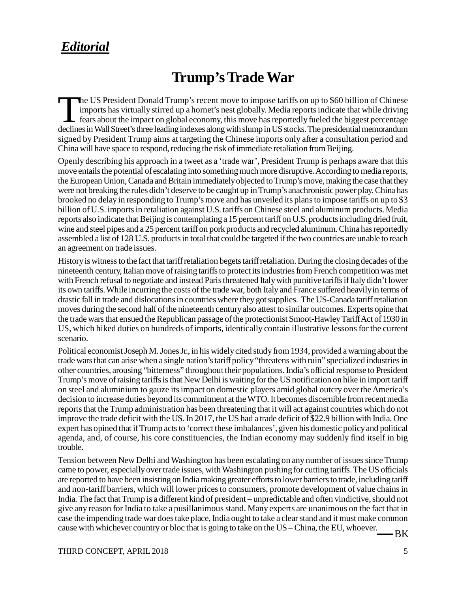# *Editorial*

# **Trump's Trade War**

The US President Donald Trump's recent move to impose tariffs on up to \$60 billion of Chinese<br>imports has virtually stirred up a hornet's nest globally. Media reports indicate that while driving<br>fears about the impact on g he US President Donald Trump's recent move to impose tariffs on up to \$60 billion of Chinese imports has virtually stirred up a hornet's nest globally. Media reports indicate that while driving  $\mathsf{\mathsf{L}}$  fears about the impact on global economy, this move has reportedly fueled the biggest percentage signed by President Trump aims at targeting the Chinese imports only after a consultation period and China will have space to respond, reducing the risk of immediate retaliation from Beijing.

Openly describing his approach in a tweet as a 'trade war', President Trump is perhaps aware that this move entails the potential of escalating into something much more disruptive. According to media reports, the European Union, Canada and Britain immediately objected to Trump's move, making the case that they were not breaking the rules didn't deserve to be caught up in Trump's anachronistic power play. China has brooked no delay in responding to Trump's move and has unveiled its plans to impose tariffs on up to \$3 billion of U.S. imports in retaliation against U.S. tariffs on Chinese steel and aluminum products. Media reports also indicate that Beijing is contemplating a 15 percent tariff on U.S. products including dried fruit, wine and steel pipes and a 25 percent tariff on pork products and recycled aluminum. China has reportedly assembled a list of 128 U.S. products in total that could be targeted if the two countries are unable to reach an agreement on trade issues.

History is witness to the fact that tariff retaliation begets tariff retaliation. During the closing decades of the nineteenth century, Italian move of raising tariffs to protect its industries from French competition was met with French refusal to negotiate and instead Paris threatened Italy with punitive tariffs if Italy didn't lower its own tariffs. While incurring the costs of the trade war, both Italy and France suffered heavily in terms of drastic fall in trade and dislocations in countries where they got supplies. The US-Canada tariff retaliation moves during the second half of the nineteenth century also attest to similar outcomes. Experts opine that the trade wars that ensued the Republican passage of the protectionist Smoot-Hawley Tariff Act of 1930 in US, which hiked duties on hundreds of imports, identically contain illustrative lessons for the current scenario.

Political economist Joseph M. Jones Jr., in his widely cited study from 1934, provided a warning about the trade wars that can arise when a single nation's tariff policy "threatens with ruin" specialized industries in other countries, arousing "bitterness" throughout their populations. India's official response to President Trump's move of raising tariffs is that New Delhi is waiting for the US notification on hike in import tariff on steel and aluminium to gauze its impact on domestic players amid global outcry over the America's decision to increase duties beyond its commitment at the WTO. It becomes discernible from recent media reports that the Trump administration has been threatening that it will act against countries which do not improve the trade deficit with the US. In 2017, the US had a trade deficit of \$22.9 billion with India. One expert has opined that if Trump acts to 'correct these imbalances', given his domestic policy and political agenda, and, of course, his core constituencies, the Indian economy may suddenly find itself in big trouble.

Tension between New Delhi and Washington has been escalating on any number of issues since Trump came to power, especially over trade issues, with Washington pushing for cutting tariffs. The US officials are reported to have been insisting on India making greater efforts to lower barriers to trade, including tariff and non-tariff barriers, which will lower prices to consumers, promote development of value chains in India. The fact that Trump is a different kind of president – unpredictable and often vindictive, should not give any reason for India to take a pusillanimous stand. Many experts are unanimous on the fact that in case the impending trade war does take place, India ought to take a clear stand and it must make common cause with whichever country or bloc that is going to take on the US – China, the EU, whoever.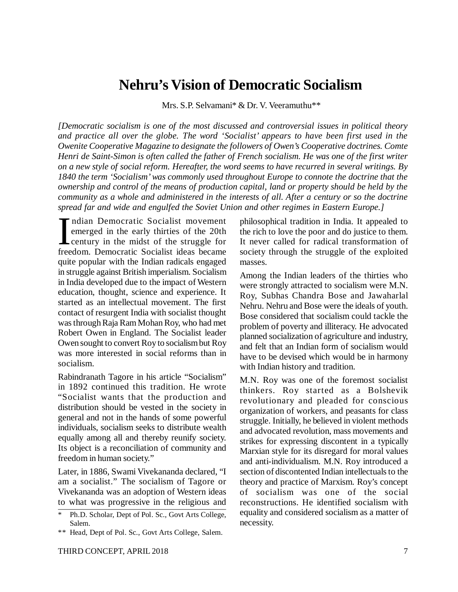# **Nehru's Vision of Democratic Socialism**

Mrs. S.P. Selvamani\* & Dr. V. Veeramuthu\*\*

*[Democratic socialism is one of the most discussed and controversial issues in political theory and practice all over the globe. The word 'Socialist' appears to have been first used in the Owenite Cooperative Magazine to designate the followers of Owen's Cooperative doctrines. Comte Henri de Saint-Simon is often called the father of French socialism. He was one of the first writer on a new style of social reform. Hereafter, the word seems to have recurred in several writings. By 1840 the term 'Socialism' was commonly used throughout Europe to connote the doctrine that the ownership and control of the means of production capital, land or property should be held by the community as a whole and administered in the interests of all. After a century or so the doctrine spread far and wide and engulfed the Soviet Union and other regimes in Eastern Europe.]*

 $\prod_{\text{free}}$ ndian Democratic Socialist movement emerged in the early thirties of the 20th century in the midst of the struggle for freedom. Democratic Socialist ideas became quite popular with the Indian radicals engaged in struggle against British imperialism. Socialism in India developed due to the impact of Western education, thought, science and experience. It started as an intellectual movement. The first contact of resurgent India with socialist thought was through Raja Ram Mohan Roy, who had met Robert Owen in England. The Socialist leader Owen sought to convert Roy to socialism but Roy was more interested in social reforms than in socialism.

Rabindranath Tagore in his article "Socialism" in 1892 continued this tradition. He wrote "Socialist wants that the production and distribution should be vested in the society in general and not in the hands of some powerful individuals, socialism seeks to distribute wealth equally among all and thereby reunify society. Its object is a reconciliation of community and freedom in human society."

Later, in 1886, Swami Vivekananda declared, "I am a socialist." The socialism of Tagore or Vivekananda was an adoption of Western ideas to what was progressive in the religious and philosophical tradition in India. It appealed to the rich to love the poor and do justice to them. It never called for radical transformation of society through the struggle of the exploited masses.

Among the Indian leaders of the thirties who were strongly attracted to socialism were M.N. Roy, Subhas Chandra Bose and Jawaharlal Nehru. Nehru and Bose were the ideals of youth. Bose considered that socialism could tackle the problem of poverty and illiteracy. He advocated planned socialization of agriculture and industry, and felt that an Indian form of socialism would have to be devised which would be in harmony with Indian history and tradition.

M.N. Roy was one of the foremost socialist thinkers. Roy started as a Bolshevik revolutionary and pleaded for conscious organization of workers, and peasants for class struggle. Initially, he believed in violent methods and advocated revolution, mass movements and strikes for expressing discontent in a typically Marxian style for its disregard for moral values and anti-individualism. M.N. Roy introduced a section of discontented Indian intellectuals to the theory and practice of Marxism. Roy's concept of socialism was one of the social reconstructions. He identified socialism with equality and considered socialism as a matter of necessity.

<sup>\*</sup> Ph.D. Scholar, Dept of Pol. Sc., Govt Arts College, Salem.

<sup>\*\*</sup> Head, Dept of Pol. Sc., Govt Arts College, Salem.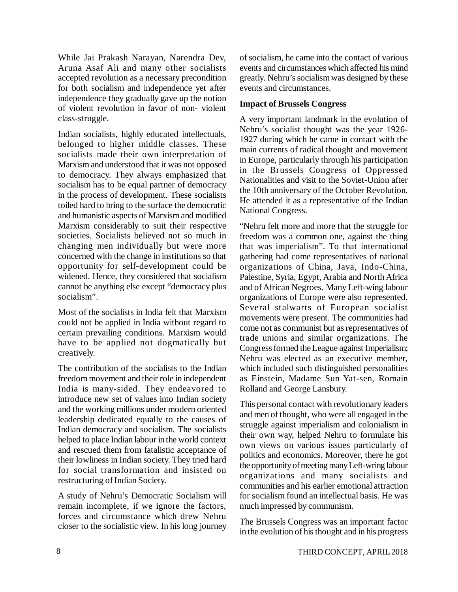While Jai Prakash Narayan, Narendra Dev, Aruna Asaf Ali and many other socialists accepted revolution as a necessary precondition for both socialism and independence yet after independence they gradually gave up the notion of violent revolution in favor of non- violent class-struggle.

Indian socialists, highly educated intellectuals, belonged to higher middle classes. These socialists made their own interpretation of Marxism and understood that it was not opposed to democracy. They always emphasized that socialism has to be equal partner of democracy in the process of development. These socialists toiled hard to bring to the surface the democratic and humanistic aspects of Marxism and modified Marxism considerably to suit their respective societies. Socialists believed not so much in changing men individually but were more concerned with the change in institutions so that opportunity for self-development could be widened. Hence, they considered that socialism cannot be anything else except "democracy plus socialism".

Most of the socialists in India felt that Marxism could not be applied in India without regard to certain prevailing conditions. Marxism would have to be applied not dogmatically but creatively.

The contribution of the socialists to the Indian freedom movement and their role in independent India is many-sided. They endeavored to introduce new set of values into Indian society and the working millions under modern oriented leadership dedicated equally to the causes of Indian democracy and socialism. The socialists helped to place Indian labour in the world context and rescued them from fatalistic acceptance of their lowliness in Indian society. They tried hard for social transformation and insisted on restructuring of Indian Society.

A study of Nehru's Democratic Socialism will remain incomplete, if we ignore the factors, forces and circumstance which drew Nehru closer to the socialistic view. In his long journey of socialism, he came into the contact of various events and circumstances which affected his mind greatly. Nehru's socialism was designed by these events and circumstances.

# **Impact of Brussels Congress**

A very important landmark in the evolution of Nehru's socialist thought was the year 1926- 1927 during which he came in contact with the main currents of radical thought and movement in Europe, particularly through his participation in the Brussels Congress of Oppressed Nationalities and visit to the Soviet-Union after the 10th anniversary of the October Revolution. He attended it as a representative of the Indian National Congress.

"Nehru felt more and more that the struggle for freedom was a common one, against the thing that was imperialism". To that international gathering had come representatives of national organizations of China, Java, Indo-China, Palestine, Syria, Egypt, Arabia and North Africa and of African Negroes. Many Left-wing labour organizations of Europe were also represented. Several stalwarts of European socialist movements were present. The communities had come not as communist but as representatives of trade unions and similar organizations. The Congress formed the League against Imperialism; Nehru was elected as an executive member, which included such distinguished personalities as Einstein, Madame Sun Yat-sen, Romain Rolland and George Lansbury.

This personal contact with revolutionary leaders and men of thought, who were all engaged in the struggle against imperialism and colonialism in their own way, helped Nehru to formulate his own views on various issues particularly of politics and economics. Moreover, there he got the opportunity of meeting many Left-wring labour organizations and many socialists and communities and his earlier emotional attraction for socialism found an intellectual basis. He was much impressed by communism.

The Brussels Congress was an important factor in the evolution of his thought and in his progress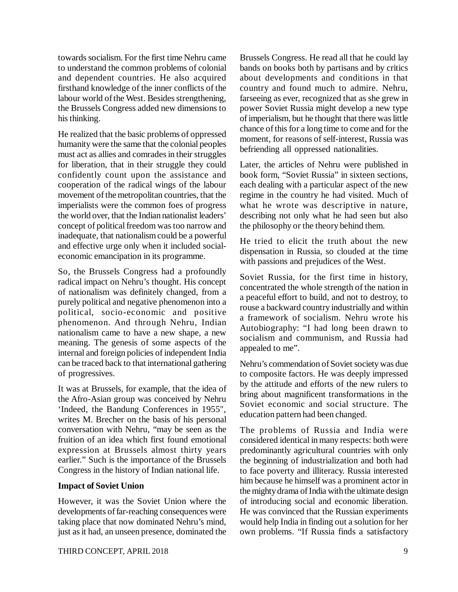towards socialism. For the first time Nehru came to understand the common problems of colonial and dependent countries. He also acquired firsthand knowledge of the inner conflicts of the labour world of the West. Besides strengthening, the Brussels Congress added new dimensions to his thinking.

He realized that the basic problems of oppressed humanity were the same that the colonial peoples must act as allies and comrades in their struggles for liberation, that in their struggle they could confidently count upon the assistance and cooperation of the radical wings of the labour movement of the metropolitan countries, that the imperialists were the common foes of progress the world over, that the Indian nationalist leaders' concept of political freedom was too narrow and inadequate, that nationalism could be a powerful and effective urge only when it included socialeconomic emancipation in its programme.

So, the Brussels Congress had a profoundly radical impact on Nehru's thought. His concept of nationalism was definitely changed, from a purely political and negative phenomenon into a political, socio-economic and positive phenomenon. And through Nehru, Indian nationalism came to have a new shape, a new meaning. The genesis of some aspects of the internal and foreign policies of independent India can be traced back to that international gathering of progressives.

It was at Brussels, for example, that the idea of the Afro-Asian group was conceived by Nehru 'Indeed, the Bandung Conferences in 1955", writes M. Brecher on the basis of his personal conversation with Nehru, "may be seen as the fruition of an idea which first found emotional expression at Brussels almost thirty years earlier." Such is the importance of the Brussels Congress in the history of Indian national life.

### **Impact of Soviet Union**

However, it was the Soviet Union where the developments of far-reaching consequences were taking place that now dominated Nehru's mind, just as it had, an unseen presence, dominated the Brussels Congress. He read all that he could lay bands on books both by partisans and by critics about developments and conditions in that country and found much to admire. Nehru, farseeing as ever, recognized that as she grew in power Soviet Russia might develop a new type of imperialism, but he thought that there was little chance of this for a long time to come and for the moment, for reasons of self-interest, Russia was befriending all oppressed nationalities.

Later, the articles of Nehru were published in book form, "Soviet Russia" in sixteen sections, each dealing with a particular aspect of the new regime in the country he had visited. Much of what he wrote was descriptive in nature, describing not only what he had seen but also the philosophy or the theory behind them.

He tried to elicit the truth about the new dispensation in Russia, so clouded at the time with passions and prejudices of the West.

Soviet Russia, for the first time in history, concentrated the whole strength of the nation in a peaceful effort to build, and not to destroy, to rouse a backward country industrially and within a framework of socialism. Nehru wrote his Autobiography: "I had long been drawn to socialism and communism, and Russia had appealed to me".

Nehru's commendation of Soviet society was due to composite factors. He was deeply impressed by the attitude and efforts of the new rulers to bring about magnificent transformations in the Soviet economic and social structure. The education pattern had been changed.

The problems of Russia and India were considered identical in many respects: both were predominantly agricultural countries with only the beginning of industrialization and both had to face poverty and illiteracy. Russia interested him because he himself was a prominent actor in the mighty drama of India with the ultimate design of introducing social and economic liberation. He was convinced that the Russian experiments would help India in finding out a solution for her own problems. "If Russia finds a satisfactory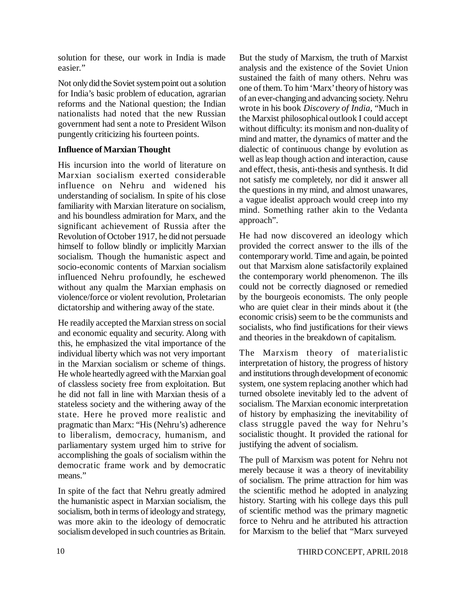solution for these, our work in India is made easier."

Not only did the Soviet system point out a solution for India's basic problem of education, agrarian reforms and the National question; the Indian nationalists had noted that the new Russian government had sent a note to President Wilson pungently criticizing his fourteen points.

# **Influence of Marxian Thought**

His incursion into the world of literature on Marxian socialism exerted considerable influence on Nehru and widened his understanding of socialism. In spite of his close familiarity with Marxian literature on socialism, and his boundless admiration for Marx, and the significant achievement of Russia after the Revolution of October 1917, he did not persuade himself to follow blindly or implicitly Marxian socialism. Though the humanistic aspect and socio-economic contents of Marxian socialism influenced Nehru profoundly, he eschewed without any qualm the Marxian emphasis on violence/force or violent revolution, Proletarian dictatorship and withering away of the state.

He readily accepted the Marxian stress on social and economic equality and security. Along with this, he emphasized the vital importance of the individual liberty which was not very important in the Marxian socialism or scheme of things. He whole heartedly agreed with the Marxian goal of classless society free from exploitation. But he did not fall in line with Marxian thesis of a stateless society and the withering away of the state. Here he proved more realistic and pragmatic than Marx: "His (Nehru's) adherence to liberalism, democracy, humanism, and parliamentary system urged him to strive for accomplishing the goals of socialism within the democratic frame work and by democratic means."

In spite of the fact that Nehru greatly admired the humanistic aspect in Marxian socialism, the socialism, both in terms of ideology and strategy, was more akin to the ideology of democratic socialism developed in such countries as Britain.

But the study of Marxism, the truth of Marxist analysis and the existence of the Soviet Union sustained the faith of many others. Nehru was one of them. To him 'Marx' theory of history was of an ever-changing and advancing society. Nehru wrote in his book *Discovery of India*, "Much in the Marxist philosophical outlook I could accept without difficulty: its monism and non-duality of mind and matter, the dynamics of matter and the dialectic of continuous change by evolution as well as leap though action and interaction, cause and effect, thesis, anti-thesis and synthesis. It did not satisfy me completely, nor did it answer all the questions in my mind, and almost unawares, a vague idealist approach would creep into my mind. Something rather akin to the Vedanta approach".

He had now discovered an ideology which provided the correct answer to the ills of the contemporary world. Time and again, be pointed out that Marxism alone satisfactorily explained the contemporary world phenomenon. The ills could not be correctly diagnosed or remedied by the bourgeois economists. The only people who are quiet clear in their minds about it (the economic crisis) seem to be the communists and socialists, who find justifications for their views and theories in the breakdown of capitalism.

The Marxism theory of materialistic interpretation of history, the progress of history and institutions through development of economic system, one system replacing another which had turned obsolete inevitably led to the advent of socialism. The Marxian economic interpretation of history by emphasizing the inevitability of class struggle paved the way for Nehru's socialistic thought. It provided the rational for justifying the advent of socialism.

The pull of Marxism was potent for Nehru not merely because it was a theory of inevitability of socialism. The prime attraction for him was the scientific method he adopted in analyzing history. Starting with his college days this pull of scientific method was the primary magnetic force to Nehru and he attributed his attraction for Marxism to the belief that "Marx surveyed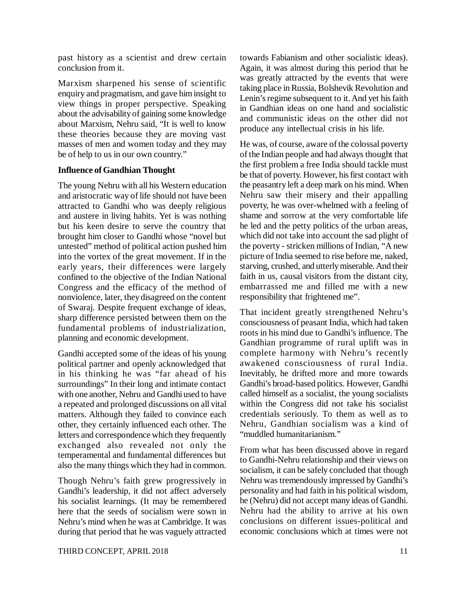past history as a scientist and drew certain conclusion from it.

Marxism sharpened his sense of scientific enquiry and pragmatism, and gave him insight to view things in proper perspective. Speaking about the advisability of gaining some knowledge about Marxism, Nehru said, "It is well to know these theories because they are moving vast masses of men and women today and they may be of help to us in our own country."

# **Influence of Gandhian Thought**

The young Nehru with all his Western education and aristocratic way of life should not have been attracted to Gandhi who was deeply religious and austere in living habits. Yet is was nothing but his keen desire to serve the country that brought him closer to Gandhi whose "novel but untested" method of political action pushed him into the vortex of the great movement. If in the early years, their differences were largely confined to the objective of the Indian National Congress and the efficacy of the method of nonviolence, later, they disagreed on the content of Swaraj. Despite frequent exchange of ideas, sharp difference persisted between them on the fundamental problems of industrialization, planning and economic development.

Gandhi accepted some of the ideas of his young political partner and openly acknowledged that in his thinking he was "far ahead of his surroundings" In their long and intimate contact with one another, Nehru and Gandhi used to have a repeated and prolonged discussions on all vital matters. Although they failed to convince each other, they certainly influenced each other. The letters and correspondence which they frequently exchanged also revealed not only the temperamental and fundamental differences but also the many things which they had in common.

Though Nehru's faith grew progressively in Gandhi's leadership, it did not affect adversely his socialist learnings. (It may be remembered here that the seeds of socialism were sown in Nehru's mind when he was at Cambridge. It was during that period that he was vaguely attracted towards Fabianism and other socialistic ideas). Again, it was almost during this period that he was greatly attracted by the events that were taking place in Russia, Bolshevik Revolution and Lenin's regime subsequent to it. And yet his faith in Gandhian ideas on one hand and socialistic and communistic ideas on the other did not produce any intellectual crisis in his life.

He was, of course, aware of the colossal poverty of the Indian people and had always thought that the first problem a free India should tackle must be that of poverty. However, his first contact with the peasantry left a deep mark on his mind. When Nehru saw their misery and their appalling poverty, he was over-whelmed with a feeling of shame and sorrow at the very comfortable life he led and the petty politics of the urban areas, which did not take into account the sad plight of the poverty - stricken millions of Indian, "A new picture of India seemed to rise before me, naked, starving, crushed, and utterly miserable. And their faith in us, causal visitors from the distant city, embarrassed me and filled me with a new responsibility that frightened me".

That incident greatly strengthened Nehru's consciousness of peasant India, which had taken roots in his mind due to Gandhi's influence. The Gandhian programme of rural uplift was in complete harmony with Nehru's recently awakened consciousness of rural India. Inevitably, he drifted more and more towards Gandhi's broad-based politics. However, Gandhi called himself as a socialist, the young socialists within the Congress did not take his socialist credentials seriously. To them as well as to Nehru, Gandhian socialism was a kind of "muddled humanitarianism."

From what has been discussed above in regard to Gandhi-Nehru relationship and their views on socialism, it can be safely concluded that though Nehru was tremendously impressed by Gandhi's personality and had faith in his political wisdom, he (Nehru) did not accept many ideas of Gandhi. Nehru had the ability to arrive at his own conclusions on different issues-political and economic conclusions which at times were not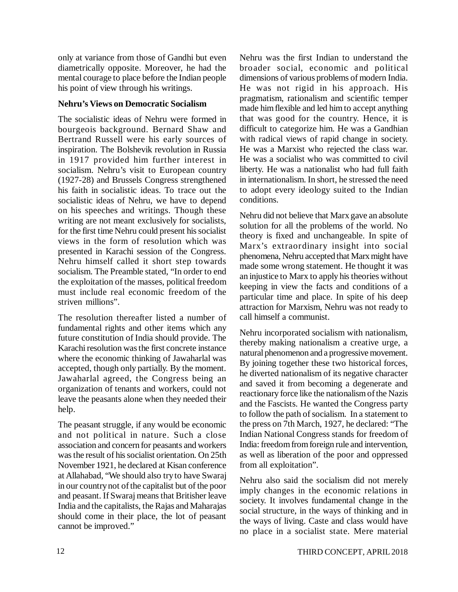only at variance from those of Gandhi but even diametrically opposite. Moreover, he had the mental courage to place before the Indian people his point of view through his writings.

# **Nehru's Views on Democratic Socialism**

The socialistic ideas of Nehru were formed in bourgeois background. Bernard Shaw and Bertrand Russell were his early sources of inspiration. The Bolshevik revolution in Russia in 1917 provided him further interest in socialism. Nehru's visit to European country (1927-28) and Brussels Congress strengthened his faith in socialistic ideas. To trace out the socialistic ideas of Nehru, we have to depend on his speeches and writings. Though these writing are not meant exclusively for socialists, for the first time Nehru could present his socialist views in the form of resolution which was presented in Karachi session of the Congress. Nehru himself called it short step towards socialism. The Preamble stated, "In order to end the exploitation of the masses, political freedom must include real economic freedom of the striven millions".

The resolution thereafter listed a number of fundamental rights and other items which any future constitution of India should provide. The Karachi resolution was the first concrete instance where the economic thinking of Jawaharlal was accepted, though only partially. By the moment. Jawaharlal agreed, the Congress being an organization of tenants and workers, could not leave the peasants alone when they needed their help.

The peasant struggle, if any would be economic and not political in nature. Such a close association and concern for peasants and workers was the result of his socialist orientation. On 25th November 1921, he declared at Kisan conference at Allahabad, "We should also try to have Swaraj in our country not of the capitalist but of the poor and peasant. If Swaraj means that Britisher leave India and the capitalists, the Rajas and Maharajas should come in their place, the lot of peasant cannot be improved."

Nehru was the first Indian to understand the broader social, economic and political dimensions of various problems of modern India. He was not rigid in his approach. His pragmatism, rationalism and scientific temper made him flexible and led him to accept anything that was good for the country. Hence, it is difficult to categorize him. He was a Gandhian with radical views of rapid change in society. He was a Marxist who rejected the class war. He was a socialist who was committed to civil liberty. He was a nationalist who had full faith in internationalism. In short, he stressed the need to adopt every ideology suited to the Indian conditions.

Nehru did not believe that Marx gave an absolute solution for all the problems of the world. No theory is fixed and unchangeable. In spite of Marx's extraordinary insight into social phenomena, Nehru accepted that Marx might have made some wrong statement. He thought it was an injustice to Marx to apply his theories without keeping in view the facts and conditions of a particular time and place. In spite of his deep attraction for Marxism, Nehru was not ready to call himself a communist.

Nehru incorporated socialism with nationalism, thereby making nationalism a creative urge, a natural phenomenon and a progressive movement. By joining together these two historical forces, he diverted nationalism of its negative character and saved it from becoming a degenerate and reactionary force like the nationalism of the Nazis and the Fascists. He wanted the Congress party to follow the path of socialism. In a statement to the press on 7th March, 1927, he declared: "The Indian National Congress stands for freedom of India: freedom from foreign rule and intervention, as well as liberation of the poor and oppressed from all exploitation".

Nehru also said the socialism did not merely imply changes in the economic relations in society. It involves fundamental change in the social structure, in the ways of thinking and in the ways of living. Caste and class would have no place in a socialist state. Mere material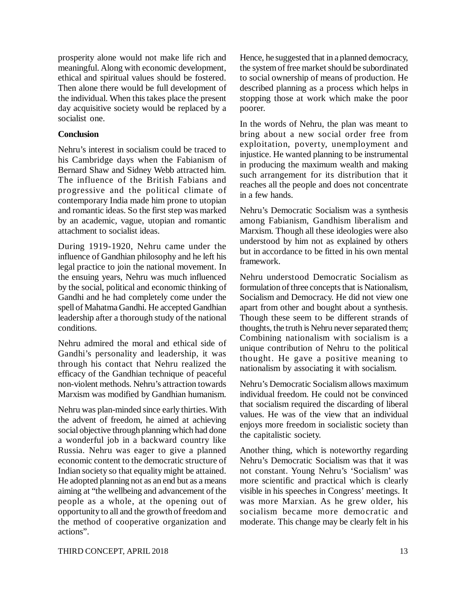prosperity alone would not make life rich and meaningful. Along with economic development, ethical and spiritual values should be fostered. Then alone there would be full development of the individual. When this takes place the present day acquisitive society would be replaced by a socialist one.

# **Conclusion**

Nehru's interest in socialism could be traced to his Cambridge days when the Fabianism of Bernard Shaw and Sidney Webb attracted him. The influence of the British Fabians and progressive and the political climate of contemporary India made him prone to utopian and romantic ideas. So the first step was marked by an academic, vague, utopian and romantic attachment to socialist ideas.

During 1919-1920, Nehru came under the influence of Gandhian philosophy and he left his legal practice to join the national movement. In the ensuing years, Nehru was much influenced by the social, political and economic thinking of Gandhi and he had completely come under the spell of Mahatma Gandhi. He accepted Gandhian leadership after a thorough study of the national conditions.

Nehru admired the moral and ethical side of Gandhi's personality and leadership, it was through his contact that Nehru realized the efficacy of the Gandhian technique of peaceful non-violent methods. Nehru's attraction towards Marxism was modified by Gandhian humanism.

Nehru was plan-minded since early thirties. With the advent of freedom, he aimed at achieving social objective through planning which had done a wonderful job in a backward country like Russia. Nehru was eager to give a planned economic content to the democratic structure of Indian society so that equality might be attained. He adopted planning not as an end but as a means aiming at "the wellbeing and advancement of the people as a whole, at the opening out of opportunity to all and the growth of freedom and the method of cooperative organization and actions".

Hence, he suggested that in a planned democracy, the system of free market should be subordinated to social ownership of means of production. He described planning as a process which helps in stopping those at work which make the poor poorer.

In the words of Nehru, the plan was meant to bring about a new social order free from exploitation, poverty, unemployment and injustice. He wanted planning to be instrumental in producing the maximum wealth and making such arrangement for its distribution that it reaches all the people and does not concentrate in a few hands.

Nehru's Democratic Socialism was a synthesis among Fabianism, Gandhism liberalism and Marxism. Though all these ideologies were also understood by him not as explained by others but in accordance to be fitted in his own mental framework.

Nehru understood Democratic Socialism as formulation of three concepts that is Nationalism, Socialism and Democracy. He did not view one apart from other and bought about a synthesis. Though these seem to be different strands of thoughts, the truth is Nehru never separated them; Combining nationalism with socialism is a unique contribution of Nehru to the political thought. He gave a positive meaning to nationalism by associating it with socialism.

Nehru's Democratic Socialism allows maximum individual freedom. He could not be convinced that socialism required the discarding of liberal values. He was of the view that an individual enjoys more freedom in socialistic society than the capitalistic society.

Another thing, which is noteworthy regarding Nehru's Democratic Socialism was that it was not constant. Young Nehru's 'Socialism' was more scientific and practical which is clearly visible in his speeches in Congress' meetings. It was more Marxian. As he grew older, his socialism became more democratic and moderate. This change may be clearly felt in his

### THIRD CONCEPT, APRIL 2018 13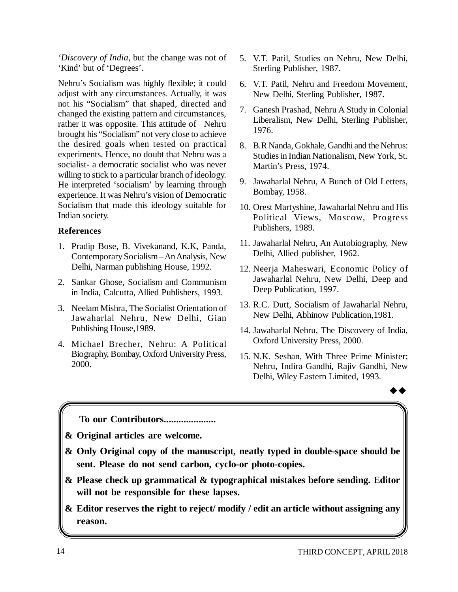*'Discovery of India*, but the change was not of 'Kind' but of 'Degrees'.

Nehru's Socialism was highly flexible; it could adjust with any circumstances. Actually, it was not his "Socialism" that shaped, directed and changed the existing pattern and circumstances, rather it was opposite. This attitude of Nehru brought his "Socialism" not very close to achieve the desired goals when tested on practical experiments. Hence, no doubt that Nehru was a socialist- a democratic socialist who was never willing to stick to a particular branch of ideology. He interpreted 'socialism' by learning through experience. It was Nehru's vision of Democratic Socialism that made this ideology suitable for Indian society.

# **References**

- 1. Pradip Bose, B. Vivekanand, K.K, Panda, Contemporary Socialism – An Analysis, New Delhi, Narman publishing House, 1992.
- 2. Sankar Ghose, Socialism and Communism in India, Calcutta, Allied Publishers, 1993.
- 3. Neelam Mishra, The Socialist Orientation of Jawaharlal Nehru, New Delhi, Gian Publishing House,1989.
- 4. Michael Brecher, Nehru: A Political Biography, Bombay, Oxford University Press, 2000.
- 5. V.T. Patil, Studies on Nehru, New Delhi, Sterling Publisher, 1987.
- 6. V.T. Patil, Nehru and Freedom Movement, New Delhi, Sterling Publisher, 1987.
- 7. Ganesh Prashad, Nehru A Study in Colonial Liberalism, New Delhi, Sterling Publisher, 1976.
- 8. B.R Nanda, Gokhale, Gandhi and the Nehrus: Studies in Indian Nationalism, New York, St. Martin's Press, 1974.
- 9. Jawaharlal Nehru, A Bunch of Old Letters, Bombay, 1958.
- 10. Orest Martyshine, Jawaharlal Nehru and His Political Views, Moscow, Progress Publishers, 1989.
- 11. Jawaharlal Nehru, An Autobiography, New Delhi, Allied publisher, 1962.
- 12. Neerja Maheswari, Economic Policy of Jawaharlal Nehru, New Delhi, Deep and Deep Publication, 1997.
- 13. R.C. Dutt, Socialism of Jawaharlal Nehru, New Delhi, Abhinow Publication,1981.
- 14. Jawaharlal Nehru, The Discovery of India, Oxford University Press, 2000.
- 15. N.K. Seshan, With Three Prime Minister; Nehru, Indira Gandhi, Rajiv Gandhi, New Delhi, Wiley Eastern Limited, 1993.

 $\rightarrow \rightarrow$ 

**To our Contributors.....................**

**& Original articles are welcome.**

- **& Only Original copy of the manuscript, neatly typed in double-space should be sent. Please do not send carbon, cyclo-or photo-copies.**
- **& Please check up grammatical & typographical mistakes before sending. Editor will not be responsible for these lapses.**
- **& Editor reserves the right to reject/ modify / edit an article without assigning any reason.**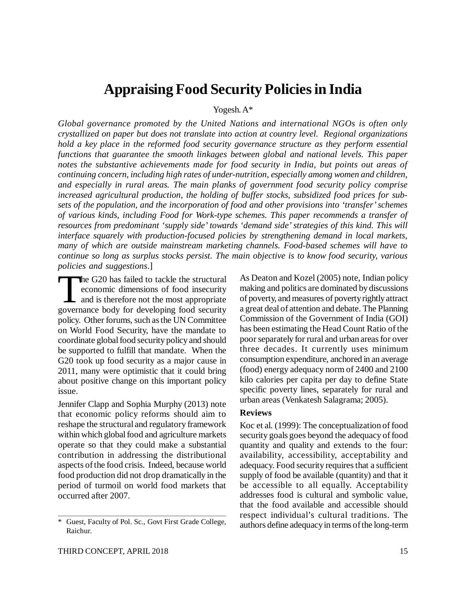# **Appraising Food Security Policies in India**

Yogesh. A\*

*Global governance promoted by the United Nations and international NGOs is often only crystallized on paper but does not translate into action at country level. Regional organizations hold a key place in the reformed food security governance structure as they perform essential functions that guarantee the smooth linkages between global and national levels. This paper notes the substantive achievements made for food security in India, but points out areas of continuing concern, including high rates of under-nutrition, especially among women and children, and especially in rural areas. The main planks of government food security policy comprise increased agricultural production, the holding of buffer stocks, subsidized food prices for subsets of the population, and the incorporation of food and other provisions into 'transfer' schemes of various kinds, including Food for Work-type schemes. This paper recommends a transfer of resources from predominant 'supply side' towards 'demand side' strategies of this kind. This will interface squarely with production-focused policies by strengthening demand in local markets, many of which are outside mainstream marketing channels. Food-based schemes will have to continue so long as surplus stocks persist. The main objective is to know food security, various policies and suggestions*.]

The G20 has failed to tackle the structural<br>economic dimensions of food insecurity<br>and is therefore not the most appropriate<br>governance body for developing food security he G20 has failed to tackle the structural economic dimensions of food insecurity and is therefore not the most appropriate policy. Other forums, such as the UN Committee on World Food Security, have the mandate to coordinate global food security policy and should be supported to fulfill that mandate. When the G20 took up food security as a major cause in 2011, many were optimistic that it could bring about positive change on this important policy issue.

Jennifer Clapp and Sophia Murphy (2013) note that economic policy reforms should aim to reshape the structural and regulatory framework within which global food and agriculture markets operate so that they could make a substantial contribution in addressing the distributional aspects of the food crisis. Indeed, because world food production did not drop dramatically in the period of turmoil on world food markets that occurred after 2007.

As Deaton and Kozel (2005) note, Indian policy making and politics are dominated by discussions of poverty, and measures of poverty rightly attract a great deal of attention and debate. The Planning Commission of the Government of India (GOI) has been estimating the Head Count Ratio of the poor separately for rural and urban areas for over three decades. It currently uses minimum consumption expenditure, anchored in an average (food) energy adequacy norm of 2400 and 2100 kilo calories per capita per day to define State specific poverty lines, separately for rural and urban areas (Venkatesh Salagrama; 2005).

#### **Reviews**

Koc et al. (1999): The conceptualization of food security goals goes beyond the adequacy of food quantity and quality and extends to the four: availability, accessibility, acceptability and adequacy. Food security requires that a sufficient supply of food be available (quantity) and that it be accessible to all equally. Acceptability addresses food is cultural and symbolic value, that the food available and accessible should respect individual's cultural traditions. The authors define adequacy in terms of the long-term

Guest, Faculty of Pol. Sc., Govt First Grade College, Raichur.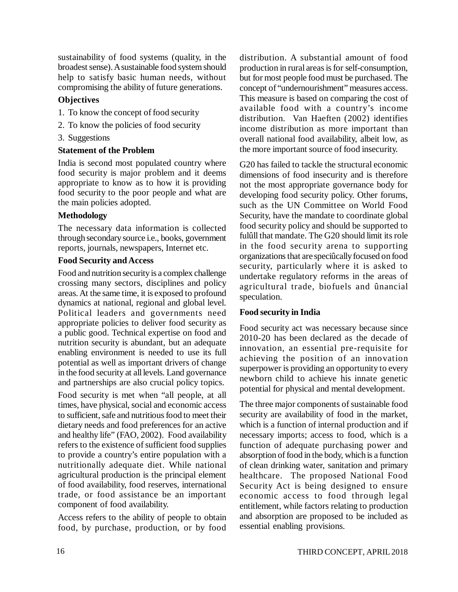sustainability of food systems (quality, in the broadest sense). A sustainable food system should help to satisfy basic human needs, without compromising the ability of future generations.

# **Objectives**

- 1. To know the concept of food security
- 2. To know the policies of food security
- 3. Suggestions

# **Statement of the Problem**

India is second most populated country where food security is major problem and it deems appropriate to know as to how it is providing food security to the poor people and what are the main policies adopted.

# **Methodology**

The necessary data information is collected through secondary source i.e., books, government reports, journals, newspapers, Internet etc.

### **Food Security and Access**

Food and nutrition security is a complex challenge crossing many sectors, disciplines and policy areas. At the same time, it is exposed to profound dynamics at national, regional and global level. Political leaders and governments need appropriate policies to deliver food security as a public good. Technical expertise on food and nutrition security is abundant, but an adequate enabling environment is needed to use its full potential as well as important drivers of change in the food security at all levels. Land governance and partnerships are also crucial policy topics.

Food security is met when "all people, at all times, have physical, social and economic access to sufficient, safe and nutritious food to meet their dietary needs and food preferences for an active and healthy life" (FAO, 2002). Food availability refers to the existence of sufficient food supplies to provide a country's entire population with a nutritionally adequate diet. While national agricultural production is the principal element of food availability, food reserves, international trade, or food assistance be an important component of food availability.

Access refers to the ability of people to obtain food, by purchase, production, or by food distribution. A substantial amount of food production in rural areas is for self-consumption, but for most people food must be purchased. The concept of "undernourishment" measures access. This measure is based on comparing the cost of available food with a country's income distribution. Van Haeften (2002) identifies income distribution as more important than overall national food availability, albeit low, as the more important source of food insecurity.

G20 has failed to tackle the structural economic dimensions of food insecurity and is therefore not the most appropriate governance body for developing food security policy. Other forums, such as the UN Committee on World Food Security, have the mandate to coordinate global food security policy and should be supported to fulûll that mandate. The G20 should limit its role in the food security arena to supporting organizations that are speciûcally focused on food security, particularly where it is asked to undertake regulatory reforms in the areas of agricultural trade, biofuels and ûnancial speculation.

# **Food security in India**

Food security act was necessary because since 2010-20 has been declared as the decade of innovation, an essential pre-requisite for achieving the position of an innovation superpower is providing an opportunity to every newborn child to achieve his innate genetic potential for physical and mental development.

The three major components of sustainable food security are availability of food in the market, which is a function of internal production and if necessary imports; access to food, which is a function of adequate purchasing power and absorption of food in the body, which is a function of clean drinking water, sanitation and primary healthcare. The proposed National Food Security Act is being designed to ensure economic access to food through legal entitlement, while factors relating to production and absorption are proposed to be included as essential enabling provisions.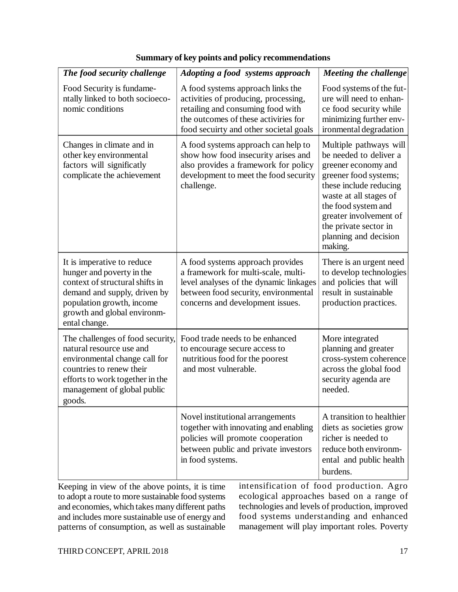| The food security challenge                                                                                                                                                                             | Adopting a food systems approach                                                                                                                                                                 | Meeting the challenge                                                                                                                                                                                                                                              |
|---------------------------------------------------------------------------------------------------------------------------------------------------------------------------------------------------------|--------------------------------------------------------------------------------------------------------------------------------------------------------------------------------------------------|--------------------------------------------------------------------------------------------------------------------------------------------------------------------------------------------------------------------------------------------------------------------|
| Food Security is fundame-<br>ntally linked to both socioeco-<br>nomic conditions                                                                                                                        | A food systems approach links the<br>activities of producing, processing,<br>retailing and consuming food with<br>the outcomes of these activiries for<br>food secuirty and other societal goals | Food systems of the fut-<br>ure will need to enhan-<br>ce food security while<br>minimizing further env-<br>ironmental degradation                                                                                                                                 |
| Changes in climate and in<br>other key environmental<br>factors will significatly<br>complicate the achievement                                                                                         | A food systems approach can help to<br>show how food insecurity arises and<br>also provides a framework for policy<br>development to meet the food security<br>challenge.                        | Multiple pathways will<br>be needed to deliver a<br>greener economy and<br>greener food systems;<br>these include reducing<br>waste at all stages of<br>the food system and<br>greater involvement of<br>the private sector in<br>planning and decision<br>making. |
| It is imperative to reduce<br>hunger and poverty in the<br>context of structural shifts in<br>demand and supply, driven by<br>population growth, income<br>growth and global environm-<br>ental change. | A food systems approach provides<br>a framework for multi-scale, multi-<br>level analyses of the dynamic linkages<br>between food security, environmental<br>concerns and development issues.    | There is an urgent need<br>to develop technologies<br>and policies that will<br>result in sustainable<br>production practices.                                                                                                                                     |
| The challenges of food security,<br>natural resource use and<br>environmental change call for<br>countries to renew their<br>efforts to work together in the<br>management of global public<br>goods.   | Food trade needs to be enhanced<br>to encourage secure access to<br>nutritious food for the poorest<br>and most vulnerable.                                                                      | More integrated<br>planning and greater<br>cross-system coherence<br>across the global food<br>security agenda are<br>needed.                                                                                                                                      |
|                                                                                                                                                                                                         | Novel institutional arrangements<br>together with innovating and enabling<br>policies will promote cooperation<br>between public and private investors<br>in food systems.                       | A transition to healthier<br>diets as societies grow<br>richer is needed to<br>reduce both environm-<br>ental and public health<br>burdens.                                                                                                                        |

# **Summary of key points and policy recommendations**

Keeping in view of the above points, it is time to adopt a route to more sustainable food systems and economies, which takes many different paths and includes more sustainable use of energy and patterns of consumption, as well as sustainable intensification of food production. Agro ecological approaches based on a range of technologies and levels of production, improved food systems understanding and enhanced management will play important roles. Poverty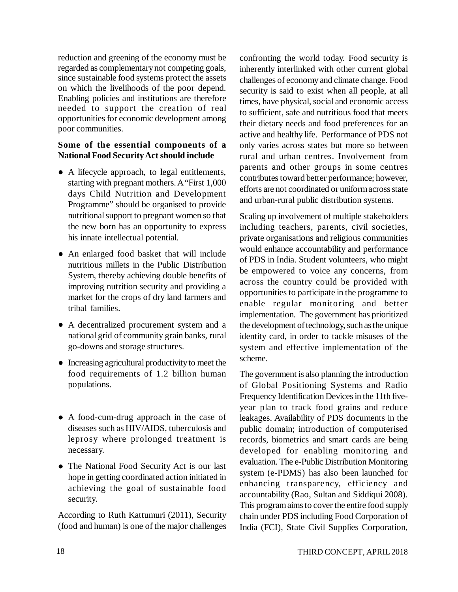reduction and greening of the economy must be regarded as complementary not competing goals, since sustainable food systems protect the assets on which the livelihoods of the poor depend. Enabling policies and institutions are therefore needed to support the creation of real opportunities for economic development among poor communities.

# **Some of the essential components of a National Food Security Act should include**

- A lifecycle approach, to legal entitlements, starting with pregnant mothers. A "First 1,000 days Child Nutrition and Development Programme" should be organised to provide nutritional support to pregnant women so that the new born has an opportunity to express his innate intellectual potential.
- An enlarged food basket that will include nutritious millets in the Public Distribution System, thereby achieving double benefits of improving nutrition security and providing a market for the crops of dry land farmers and tribal families.
- A decentralized procurement system and a national grid of community grain banks, rural go-downs and storage structures.
- Increasing agricultural productivity to meet the food requirements of 1.2 billion human populations.
- A food-cum-drug approach in the case of diseases such as HIV/AIDS, tuberculosis and leprosy where prolonged treatment is necessary.
- The National Food Security Act is our last hope in getting coordinated action initiated in achieving the goal of sustainable food security.

According to Ruth Kattumuri (2011), Security (food and human) is one of the major challenges confronting the world today. Food security is inherently interlinked with other current global challenges of economy and climate change. Food security is said to exist when all people, at all times, have physical, social and economic access to sufficient, safe and nutritious food that meets their dietary needs and food preferences for an active and healthy life. Performance of PDS not only varies across states but more so between rural and urban centres. Involvement from parents and other groups in some centres contributes toward better performance; however, efforts are not coordinated or uniform across state and urban-rural public distribution systems.

Scaling up involvement of multiple stakeholders including teachers, parents, civil societies, private organisations and religious communities would enhance accountability and performance of PDS in India. Student volunteers, who might be empowered to voice any concerns, from across the country could be provided with opportunities to participate in the programme to enable regular monitoring and better implementation. The government has prioritized the development of technology, such as the unique identity card, in order to tackle misuses of the system and effective implementation of the scheme.

The government is also planning the introduction of Global Positioning Systems and Radio Frequency Identification Devices in the 11th fiveyear plan to track food grains and reduce leakages. Availability of PDS documents in the public domain; introduction of computerised records, biometrics and smart cards are being developed for enabling monitoring and evaluation. The e-Public Distribution Monitoring system (e-PDMS) has also been launched for enhancing transparency, efficiency and accountability (Rao, Sultan and Siddiqui 2008). This program aims to cover the entire food supply chain under PDS including Food Corporation of India (FCI), State Civil Supplies Corporation,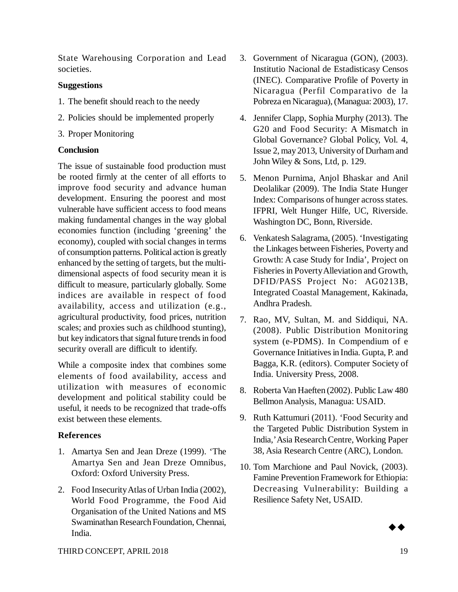State Warehousing Corporation and Lead societies.

# **Suggestions**

- 1. The benefit should reach to the needy
- 2. Policies should be implemented properly
- 3. Proper Monitoring

# **Conclusion**

The issue of sustainable food production must be rooted firmly at the center of all efforts to improve food security and advance human development. Ensuring the poorest and most vulnerable have sufficient access to food means making fundamental changes in the way global economies function (including 'greening' the economy), coupled with social changes in terms of consumption patterns. Political action is greatly enhanced by the setting of targets, but the multidimensional aspects of food security mean it is difficult to measure, particularly globally. Some indices are available in respect of food availability, access and utilization (e.g., agricultural productivity, food prices, nutrition scales; and proxies such as childhood stunting), but key indicators that signal future trends in food security overall are difficult to identify.

While a composite index that combines some elements of food availability, access and utilization with measures of economic development and political stability could be useful, it needs to be recognized that trade-offs exist between these elements.

# **References**

- 1. Amartya Sen and Jean Dreze (1999). 'The Amartya Sen and Jean Dreze Omnibus, Oxford: Oxford University Press.
- 2. Food Insecurity Atlas of Urban India (2002), World Food Programme, the Food Aid Organisation of the United Nations and MS Swaminathan Research Foundation, Chennai, India.
- 3. Government of Nicaragua (GON), (2003). Institutio Nacional de Estadisticasy Censos (INEC). Comparative Profile of Poverty in Nicaragua (Perfil Comparativo de la Pobreza en Nicaragua), (Managua: 2003), 17.
- 4. Jennifer Clapp, Sophia Murphy (2013). The G20 and Food Security: A Mismatch in Global Governance? Global Policy, Vol. 4, Issue 2, may 2013, University of Durham and John Wiley & Sons, Ltd, p. 129.
- 5. Menon Purnima, Anjol Bhaskar and Anil Deolalikar (2009). The India State Hunger Index: Comparisons of hunger across states. IFPRI, Welt Hunger Hilfe, UC, Riverside. Washington DC, Bonn, Riverside.
- 6. Venkatesh Salagrama, (2005). 'Investigating the Linkages between Fisheries, Poverty and Growth: A case Study for India', Project on Fisheries in Poverty Alleviation and Growth, DFID/PASS Project No: AG0213B, Integrated Coastal Management, Kakinada, Andhra Pradesh.
- 7. Rao, MV, Sultan, M. and Siddiqui, NA. (2008). Public Distribution Monitoring system (e-PDMS). In Compendium of e Governance Initiatives in India. Gupta, P. and Bagga, K.R. (editors). Computer Society of India. University Press, 2008.
- 8. Roberta Van Haeften (2002). Public Law 480 Bellmon Analysis, Managua: USAID.
- 9. Ruth Kattumuri (2011). 'Food Security and the Targeted Public Distribution System in India,' Asia Research Centre, Working Paper 38, Asia Research Centre (ARC), London.
- 10. Tom Marchione and Paul Novick, (2003). Famine Prevention Framework for Ethiopia: Decreasing Vulnerability: Building a Resilience Safety Net, USAID.

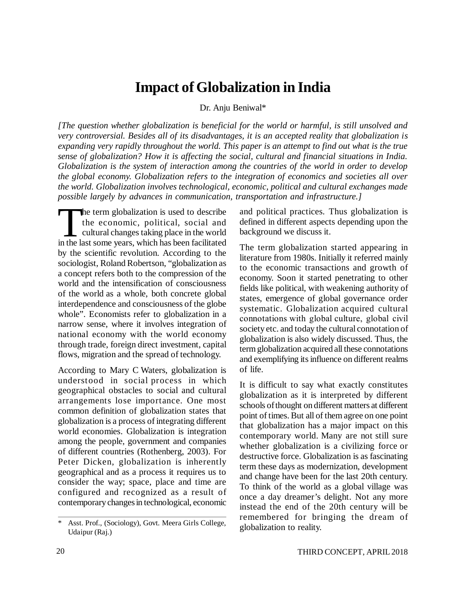# **Impact of Globalization in India**

Dr. Anju Beniwal\*

*[The question whether globalization is beneficial for the world or harmful, is still unsolved and very controversial. Besides all of its disadvantages, it is an accepted reality that globalization is expanding very rapidly throughout the world. This paper is an attempt to find out what is the true sense of globalization? How it is affecting the social, cultural and financial situations in India. Globalization is the system of interaction among the countries of the world in order to develop the global economy. Globalization refers to the integration of economics and societies all over the world. Globalization involves technological, economic, political and cultural exchanges made possible largely by advances in communication, transportation and infrastructure.]*

The term globalization is used to describe<br>the economic, political, social and<br>cultural changes taking place in the world<br>in the last some years, which has been facilitated he term globalization is used to describe the economic, political, social and cultural changes taking place in the world by the scientific revolution. According to the sociologist, Roland Robertson, "globalization as a concept refers both to the compression of the world and the intensification of consciousness of the world as a whole, both concrete global interdependence and consciousness of the globe whole". Economists refer to globalization in a narrow sense, where it involves integration of national economy with the world economy through trade, foreign direct investment, capital flows, migration and the spread of technology.

According to Mary C Waters, globalization is understood in social process in which geographical obstacles to social and cultural arrangements lose importance. One most common definition of globalization states that globalization is a process of integrating different world economies. Globalization is integration among the people, government and companies of different countries (Rothenberg, 2003). For Peter Dicken, globalization is inherently geographical and as a process it requires us to consider the way; space, place and time are configured and recognized as a result of contemporary changes in technological, economic

and political practices. Thus globalization is defined in different aspects depending upon the background we discuss it.

The term globalization started appearing in literature from 1980s. Initially it referred mainly to the economic transactions and growth of economy. Soon it started penetrating to other fields like political, with weakening authority of states, emergence of global governance order systematic. Globalization acquired cultural connotations with global culture, global civil society etc. and today the cultural connotation of globalization is also widely discussed. Thus, the term globalization acquired all these connotations and exemplifying its influence on different realms of life.

It is difficult to say what exactly constitutes globalization as it is interpreted by different schools of thought on different matters at different point of times. But all of them agree on one point that globalization has a major impact on this contemporary world. Many are not still sure whether globalization is a civilizing force or destructive force. Globalization is as fascinating term these days as modernization, development and change have been for the last 20th century. To think of the world as a global village was once a day dreamer's delight. Not any more instead the end of the 20th century will be remembered for bringing the dream of globalization to reality.

Asst. Prof., (Sociology), Govt. Meera Girls College, Udaipur (Raj.)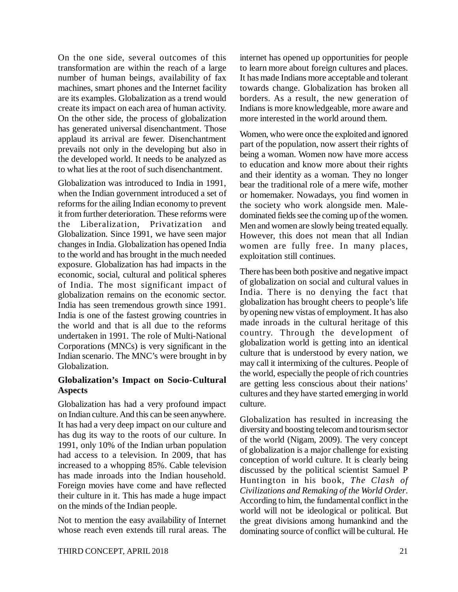On the one side, several outcomes of this transformation are within the reach of a large number of human beings, availability of fax machines, smart phones and the Internet facility are its examples. Globalization as a trend would create its impact on each area of human activity. On the other side, the process of globalization has generated universal disenchantment. Those applaud its arrival are fewer. Disenchantment prevails not only in the developing but also in the developed world. It needs to be analyzed as to what lies at the root of such disenchantment.

Globalization was introduced to India in 1991, when the Indian government introduced a set of reforms for the ailing Indian economy to prevent it from further deterioration. These reforms were the Liberalization, Privatization and Globalization. Since 1991, we have seen major changes in India. Globalization has opened India to the world and has brought in the much needed exposure. Globalization has had impacts in the economic, social, cultural and political spheres of India. The most significant impact of globalization remains on the economic sector. India has seen tremendous growth since 1991. India is one of the fastest growing countries in the world and that is all due to the reforms undertaken in 1991. The role of Multi-National Corporations (MNCs) is very significant in the Indian scenario. The MNC's were brought in by Globalization.

# **Globalization's Impact on Socio-Cultural Aspects**

Globalization has had a very profound impact on Indian culture. And this can be seen anywhere. It has had a very deep impact on our culture and has dug its way to the roots of our culture. In 1991, only 10% of the Indian urban population had access to a television. In 2009, that has increased to a whopping 85%. Cable television has made inroads into the Indian household. Foreign movies have come and have reflected their culture in it. This has made a huge impact on the minds of the Indian people.

Not to mention the easy availability of Internet whose reach even extends till rural areas. The internet has opened up opportunities for people to learn more about foreign cultures and places. It has made Indians more acceptable and tolerant towards change. Globalization has broken all borders. As a result, the new generation of Indians is more knowledgeable, more aware and more interested in the world around them.

Women, who were once the exploited and ignored part of the population, now assert their rights of being a woman. Women now have more access to education and know more about their rights and their identity as a woman. They no longer bear the traditional role of a mere wife, mother or homemaker. Nowadays, you find women in the society who work alongside men. Maledominated fields see the coming up of the women. Men and women are slowly being treated equally. However, this does not mean that all Indian women are fully free. In many places, exploitation still continues.

There has been both positive and negative impact of globalization on social and cultural values in India. There is no denying the fact that globalization has brought cheers to people's life by opening new vistas of employment. It has also made inroads in the cultural heritage of this country. Through the development of globalization world is getting into an identical culture that is understood by every nation, we may call it intermixing of the cultures. People of the world, especially the people of rich countries are getting less conscious about their nations' cultures and they have started emerging in world culture.

Globalization has resulted in increasing the diversity and boosting telecom and tourism sector of the world (Nigam, 2009). The very concept of globalization is a major challenge for existing conception of world culture. It is clearly being discussed by the political scientist Samuel P Huntington in his book, *The Clash of Civilizations and Remaking of the World Order*. According to him, the fundamental conflict in the world will not be ideological or political. But the great divisions among humankind and the dominating source of conflict will be cultural. He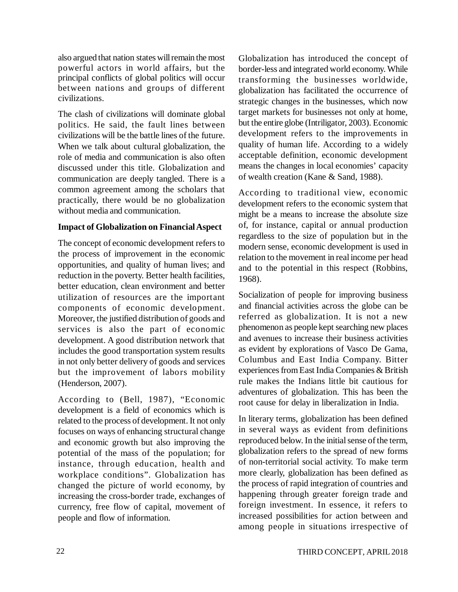also argued that nation states will remain the most powerful actors in world affairs, but the principal conflicts of global politics will occur between nations and groups of different civilizations.

The clash of civilizations will dominate global politics. He said, the fault lines between civilizations will be the battle lines of the future. When we talk about cultural globalization, the role of media and communication is also often discussed under this title. Globalization and communication are deeply tangled. There is a common agreement among the scholars that practically, there would be no globalization without media and communication.

# **Impact of Globalization on Financial Aspect**

The concept of economic development refers to the process of improvement in the economic opportunities, and quality of human lives; and reduction in the poverty. Better health facilities, better education, clean environment and better utilization of resources are the important components of economic development. Moreover, the justified distribution of goods and services is also the part of economic development. A good distribution network that includes the good transportation system results in not only better delivery of goods and services but the improvement of labors mobility (Henderson, 2007).

According to (Bell, 1987), "Economic development is a field of economics which is related to the process of development. It not only focuses on ways of enhancing structural change and economic growth but also improving the potential of the mass of the population; for instance, through education, health and workplace conditions". Globalization has changed the picture of world economy, by increasing the cross-border trade, exchanges of currency, free flow of capital, movement of people and flow of information.

Globalization has introduced the concept of border-less and integrated world economy. While transforming the businesses worldwide, globalization has facilitated the occurrence of strategic changes in the businesses, which now target markets for businesses not only at home, but the entire globe (Intriligator, 2003). Economic development refers to the improvements in quality of human life. According to a widely acceptable definition, economic development means the changes in local economies' capacity of wealth creation (Kane & Sand, 1988).

According to traditional view, economic development refers to the economic system that might be a means to increase the absolute size of, for instance, capital or annual production regardless to the size of population but in the modern sense, economic development is used in relation to the movement in real income per head and to the potential in this respect (Robbins, 1968).

Socialization of people for improving business and financial activities across the globe can be referred as globalization. It is not a new phenomenon as people kept searching new places and avenues to increase their business activities as evident by explorations of Vasco De Gama, Columbus and East India Company. Bitter experiences from East India Companies & British rule makes the Indians little bit cautious for adventures of globalization. This has been the root cause for delay in liberalization in India.

In literary terms, globalization has been defined in several ways as evident from definitions reproduced below. In the initial sense of the term, globalization refers to the spread of new forms of non-territorial social activity. To make term more clearly, globalization has been defined as the process of rapid integration of countries and happening through greater foreign trade and foreign investment. In essence, it refers to increased possibilities for action between and among people in situations irrespective of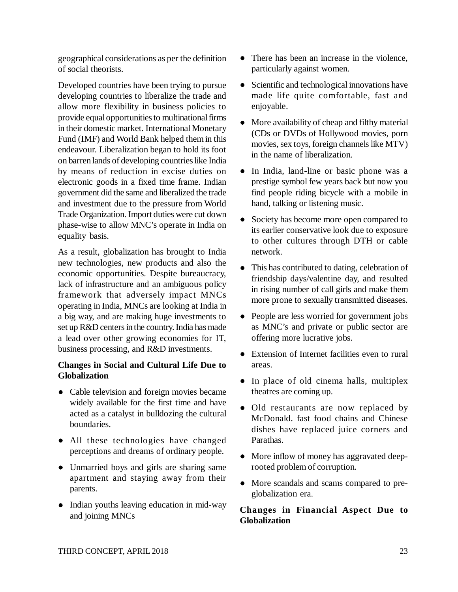geographical considerations as per the definition of social theorists.

Developed countries have been trying to pursue developing countries to liberalize the trade and allow more flexibility in business policies to provide equal opportunities to multinational firms in their domestic market. International Monetary Fund (IMF) and World Bank helped them in this endeavour. Liberalization began to hold its foot on barren lands of developing countries like India by means of reduction in excise duties on electronic goods in a fixed time frame. Indian government did the same and liberalized the trade and investment due to the pressure from World Trade Organization. Import duties were cut down phase-wise to allow MNC's operate in India on equality basis.

As a result, globalization has brought to India new technologies, new products and also the economic opportunities. Despite bureaucracy, lack of infrastructure and an ambiguous policy framework that adversely impact MNCs operating in India, MNCs are looking at India in a big way, and are making huge investments to set up R&D centers in the country. India has made a lead over other growing economies for IT, business processing, and R&D investments.

# **Changes in Social and Cultural Life Due to Globalization**

- Cable television and foreign movies became widely available for the first time and have acted as a catalyst in bulldozing the cultural boundaries.
- All these technologies have changed perceptions and dreams of ordinary people.
- Unmarried boys and girls are sharing same apartment and staying away from their parents.
- Indian youths leaving education in mid-way and joining MNCs
- There has been an increase in the violence, particularly against women.
- Scientific and technological innovations have made life quite comfortable, fast and enjoyable.
- More availability of cheap and filthy material (CDs or DVDs of Hollywood movies, porn movies, sex toys, foreign channels like MTV) in the name of liberalization.
- In India, land-line or basic phone was a prestige symbol few years back but now you find people riding bicycle with a mobile in hand, talking or listening music.
- Society has become more open compared to its earlier conservative look due to exposure to other cultures through DTH or cable network.
- This has contributed to dating, celebration of friendship days/valentine day, and resulted in rising number of call girls and make them more prone to sexually transmitted diseases.
- People are less worried for government jobs as MNC's and private or public sector are offering more lucrative jobs.
- Extension of Internet facilities even to rural areas.
- In place of old cinema halls, multiplex theatres are coming up.
- Old restaurants are now replaced by McDonald. fast food chains and Chinese dishes have replaced juice corners and Parathas.
- More inflow of money has aggravated deeprooted problem of corruption.
- More scandals and scams compared to preglobalization era.

# **Changes in Financial Aspect Due to Globalization**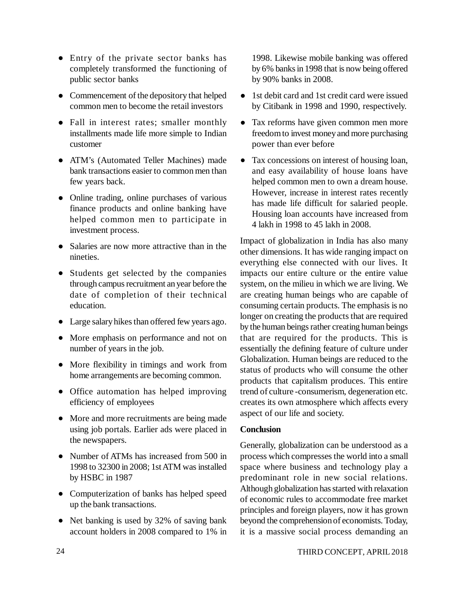- Entry of the private sector banks has completely transformed the functioning of public sector banks
- Commencement of the depository that helped common men to become the retail investors
- Fall in interest rates; smaller monthly installments made life more simple to Indian customer
- ATM's (Automated Teller Machines) made bank transactions easier to common men than few years back.
- Online trading, online purchases of various finance products and online banking have helped common men to participate in investment process.
- Salaries are now more attractive than in the nineties.
- Students get selected by the companies through campus recruitment an year before the date of completion of their technical education.
- Large salary hikes than offered few years ago.
- More emphasis on performance and not on number of years in the job.
- More flexibility in timings and work from home arrangements are becoming common.
- Office automation has helped improving efficiency of employees
- More and more recruitments are being made using job portals. Earlier ads were placed in the newspapers.
- Number of ATMs has increased from 500 in 1998 to 32300 in 2008; 1st ATM was installed by HSBC in 1987
- Computerization of banks has helped speed up the bank transactions.
- Net banking is used by 32% of saving bank account holders in 2008 compared to 1% in

1998. Likewise mobile banking was offered by 6% banks in 1998 that is now being offered by 90% banks in 2008.

- 1st debit card and 1st credit card were issued by Citibank in 1998 and 1990, respectively.
- Tax reforms have given common men more freedom to invest money and more purchasing power than ever before
- Tax concessions on interest of housing loan, and easy availability of house loans have helped common men to own a dream house. However, increase in interest rates recently has made life difficult for salaried people. Housing loan accounts have increased from 4 lakh in 1998 to 45 lakh in 2008.

Impact of globalization in India has also many other dimensions. It has wide ranging impact on everything else connected with our lives. It impacts our entire culture or the entire value system, on the milieu in which we are living. We are creating human beings who are capable of consuming certain products. The emphasis is no longer on creating the products that are required by the human beings rather creating human beings that are required for the products. This is essentially the defining feature of culture under Globalization. Human beings are reduced to the status of products who will consume the other products that capitalism produces. This entire trend of culture -consumerism, degeneration etc. creates its own atmosphere which affects every aspect of our life and society.

# **Conclusion**

Generally, globalization can be understood as a process which compresses the world into a small space where business and technology play a predominant role in new social relations. Although globalization has started with relaxation of economic rules to accommodate free market principles and foreign players, now it has grown beyond the comprehension of economists. Today, it is a massive social process demanding an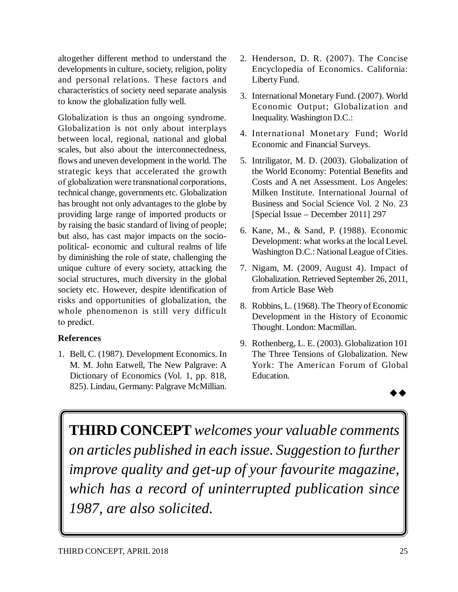altogether different method to understand the developments in culture, society, religion, polity and personal relations. These factors and characteristics of society need separate analysis to know the globalization fully well.

Globalization is thus an ongoing syndrome. Globalization is not only about interplays between local, regional, national and global scales, but also about the interconnectedness, flows and uneven development in the world. The strategic keys that accelerated the growth of globalization were transnational corporations, technical change, governments etc. Globalization has brought not only advantages to the globe by providing large range of imported products or by raising the basic standard of living of people; but also, has cast major impacts on the sociopolitical- economic and cultural realms of life by diminishing the role of state, challenging the unique culture of every society, attacking the social structures, much diversity in the global society etc. However, despite identification of risks and opportunities of globalization, the whole phenomenon is still very difficult to predict.

# **References**

1. Bell, C. (1987). Development Economics. In M. M. John Eatwell, The New Palgrave: A Dictionary of Economics (Vol. 1, pp. 818, 825). Lindau, Germany: Palgrave McMillian.

- 2. Henderson, D. R. (2007). The Concise Encyclopedia of Economics. California: Liberty Fund.
- 3. International Monetary Fund. (2007). World Economic Output; Globalization and Inequality. Washington D.C.:
- 4. International Monetary Fund; World Economic and Financial Surveys.
- 5. Intriligator, M. D. (2003). Globalization of the World Economy: Potential Benefits and Costs and A net Assessment. Los Angeles: Milken Institute. International Journal of Business and Social Science Vol. 2 No. 23 [Special Issue – December 2011] 297
- 6. Kane, M., & Sand, P. (1988). Economic Development: what works at the local Level. Washington D.C.: National League of Cities.
- 7. Nigam, M. (2009, August 4). Impact of Globalization. Retrieved September 26, 2011, from Article Base Web
- 8. Robbins, L. (1968). The Theory of Economic Development in the History of Economic Thought. London: Macmillan.
- 9. Rothenberg, L. E. (2003). Globalization 101 The Three Tensions of Globalization. New York: The American Forum of Global Education.



**THIRD CONCEPT** *welcomes your valuable comments on articles published in each issue. Suggestion to further improve quality and get-up of your favourite magazine, which has a record of uninterrupted publication since 1987, are also solicited.*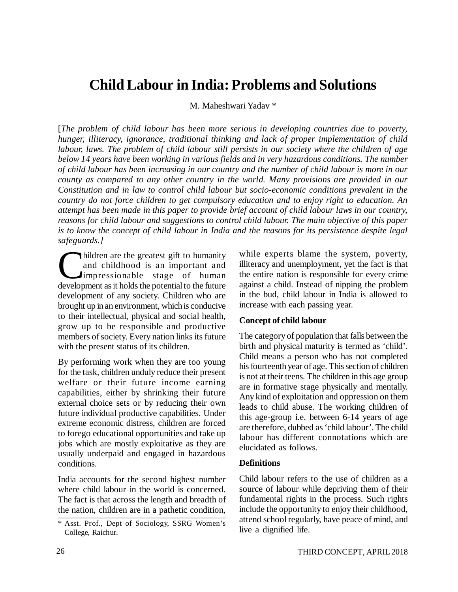# **Child Labour in India: Problems and Solutions**

M. Maheshwari Yadav \*

[*The problem of child labour has been more serious in developing countries due to poverty, hunger, illiteracy, ignorance, traditional thinking and lack of proper implementation of child labour, laws. The problem of child labour still persists in our society where the children of age below 14 years have been working in various fields and in very hazardous conditions. The number of child labour has been increasing in our country and the number of child labour is more in our county as compared to any other country in the world. Many provisions are provided in our Constitution and in law to control child labour but socio-economic conditions prevalent in the country do not force children to get compulsory education and to enjoy right to education. An attempt has been made in this paper to provide brief account of child labour laws in our country, reasons for child labour and suggestions to control child labour. The main objective of this paper is to know the concept of child labour in India and the reasons for its persistence despite legal safeguards.]*

Children are the greatest gift to humanity<br>and childhood is an important and<br>impressionable stage of human<br>development as it holds the potential to the future hildren are the greatest gift to humanity and childhood is an important and impressionable stage of human development of any society. Children who are brought up in an environment, which is conducive to their intellectual, physical and social health, grow up to be responsible and productive members of society. Every nation links its future with the present status of its children.

By performing work when they are too young for the task, children unduly reduce their present welfare or their future income earning capabilities, either by shrinking their future external choice sets or by reducing their own future individual productive capabilities. Under extreme economic distress, children are forced to forego educational opportunities and take up jobs which are mostly exploitative as they are usually underpaid and engaged in hazardous conditions.

India accounts for the second highest number where child labour in the world is concerned. The fact is that across the length and breadth of the nation, children are in a pathetic condition,

while experts blame the system, poverty, illiteracy and unemployment, yet the fact is that the entire nation is responsible for every crime against a child. Instead of nipping the problem in the bud, child labour in India is allowed to increase with each passing year.

### **Concept of child labour**

The category of population that falls between the birth and physical maturity is termed as 'child'. Child means a person who has not completed his fourteenth year of age. This section of children is not at their teens. The children in this age group are in formative stage physically and mentally. Any kind of exploitation and oppression on them leads to child abuse. The working children of this age-group i.e. between 6-14 years of age are therefore, dubbed as 'child labour'. The child labour has different connotations which are elucidated as follows.

### **Definitions**

Child labour refers to the use of children as a source of labour while depriving them of their fundamental rights in the process. Such rights include the opportunity to enjoy their childhood, attend school regularly, have peace of mind, and live a dignified life.

<sup>\*</sup> Asst. Prof., Dept of Sociology, SSRG Women's College, Raichur.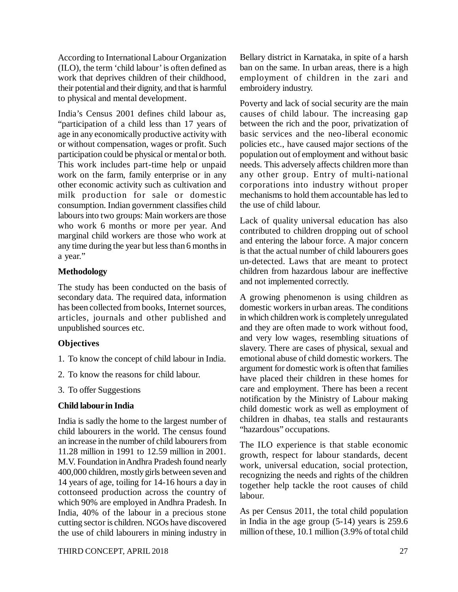According to International Labour Organization (ILO), the term 'child labour' is often defined as work that deprives children of their childhood, their potential and their dignity, and that is harmful to physical and mental development.

India's Census 2001 defines child labour as, "participation of a child less than 17 years of age in any economically productive activity with or without compensation, wages or profit. Such participation could be physical or mental or both. This work includes part-time help or unpaid work on the farm, family enterprise or in any other economic activity such as cultivation and milk production for sale or domestic consumption. Indian government classifies child labours into two groups: Main workers are those who work 6 months or more per year. And marginal child workers are those who work at any time during the year but less than 6 months in a year."

# **Methodology**

The study has been conducted on the basis of secondary data. The required data, information has been collected from books, Internet sources, articles, journals and other published and unpublished sources etc.

# **Objectives**

- 1. To know the concept of child labour in India.
- 2. To know the reasons for child labour.
- 3. To offer Suggestions

# **Child labour in India**

India is sadly the home to the largest number of child labourers in the world. The census found an increase in the number of child labourers from 11.28 million in 1991 to 12.59 million in 2001. M.V. Foundation in Andhra Pradesh found nearly 400,000 children, mostly girls between seven and 14 years of age, toiling for 14-16 hours a day in cottonseed production across the country of which 90% are employed in Andhra Pradesh. In India, 40% of the labour in a precious stone cutting sector is children. NGOs have discovered the use of child labourers in mining industry in Bellary district in Karnataka, in spite of a harsh ban on the same. In urban areas, there is a high employment of children in the zari and embroidery industry.

Poverty and lack of social security are the main causes of child labour. The increasing gap between the rich and the poor, privatization of basic services and the neo-liberal economic policies etc., have caused major sections of the population out of employment and without basic needs. This adversely affects children more than any other group. Entry of multi-national corporations into industry without proper mechanisms to hold them accountable has led to the use of child labour.

Lack of quality universal education has also contributed to children dropping out of school and entering the labour force. A major concern is that the actual number of child labourers goes un-detected. Laws that are meant to protect children from hazardous labour are ineffective and not implemented correctly.

A growing phenomenon is using children as domestic workers in urban areas. The conditions in which children work is completely unregulated and they are often made to work without food, and very low wages, resembling situations of slavery. There are cases of physical, sexual and emotional abuse of child domestic workers. The argument for domestic work is often that families have placed their children in these homes for care and employment. There has been a recent notification by the Ministry of Labour making child domestic work as well as employment of children in dhabas, tea stalls and restaurants "hazardous" occupations.

The ILO experience is that stable economic growth, respect for labour standards, decent work, universal education, social protection, recognizing the needs and rights of the children together help tackle the root causes of child labour.

As per Census 2011, the total child population in India in the age group (5-14) years is 259.6 million of these, 10.1 million (3.9% of total child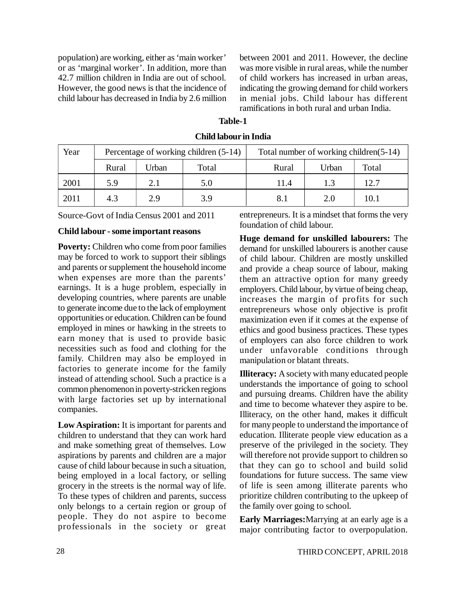population) are working, either as 'main worker' or as 'marginal worker'. In addition, more than 42.7 million children in India are out of school. However, the good news is that the incidence of child labour has decreased in India by 2.6 million between 2001 and 2011. However, the decline was more visible in rural areas, while the number of child workers has increased in urban areas, indicating the growing demand for child workers in menial jobs. Child labour has different ramifications in both rural and urban India.

| Year |       |       | Percentage of working children (5-14) | Total number of working children(5-14) |       |       |  |
|------|-------|-------|---------------------------------------|----------------------------------------|-------|-------|--|
|      | Rural | Urban | Total                                 | Rural                                  | Urban | Total |  |
| 2001 | 5.9   | 2.1   | 5.0                                   | 11.4                                   | 1.3   | 12.7  |  |
| 2011 | 4.3   | 2.9   | 3.9                                   | 8.1                                    | 2.0   | 10.1  |  |

**Child labour in India**

**Table-1**

Source-Govt of India Census 2001 and 2011

### **Child labour - some important reasons**

**Poverty:** Children who come from poor families may be forced to work to support their siblings and parents or supplement the household income when expenses are more than the parents' earnings. It is a huge problem, especially in developing countries, where parents are unable to generate income due to the lack of employment opportunities or education. Children can be found employed in mines or hawking in the streets to earn money that is used to provide basic necessities such as food and clothing for the family. Children may also be employed in factories to generate income for the family instead of attending school. Such a practice is a common phenomenon in poverty-stricken regions with large factories set up by international companies.

**Low Aspiration:** It is important for parents and children to understand that they can work hard and make something great of themselves. Low aspirations by parents and children are a major cause of child labour because in such a situation, being employed in a local factory, or selling grocery in the streets is the normal way of life. To these types of children and parents, success only belongs to a certain region or group of people. They do not aspire to become professionals in the society or great entrepreneurs. It is a mindset that forms the very foundation of child labour.

**Huge demand for unskilled labourers:** The demand for unskilled labourers is another cause of child labour. Children are mostly unskilled and provide a cheap source of labour, making them an attractive option for many greedy employers. Child labour, by virtue of being cheap, increases the margin of profits for such entrepreneurs whose only objective is profit maximization even if it comes at the expense of ethics and good business practices. These types of employers can also force children to work under unfavorable conditions through manipulation or blatant threats.

**Illiteracy:** A society with many educated people understands the importance of going to school and pursuing dreams. Children have the ability and time to become whatever they aspire to be. Illiteracy, on the other hand, makes it difficult for many people to understand the importance of education. Illiterate people view education as a preserve of the privileged in the society. They will therefore not provide support to children so that they can go to school and build solid foundations for future success. The same view of life is seen among illiterate parents who prioritize children contributing to the upkeep of the family over going to school.

**Early Marriages:**Marrying at an early age is a major contributing factor to overpopulation.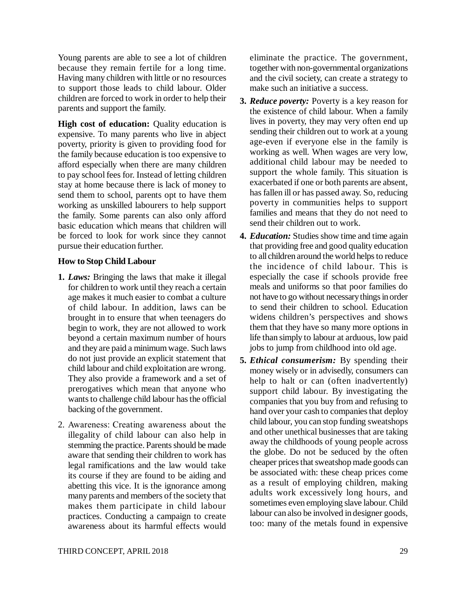Young parents are able to see a lot of children because they remain fertile for a long time. Having many children with little or no resources to support those leads to child labour. Older children are forced to work in order to help their parents and support the family.

**High cost of education:** Quality education is expensive. To many parents who live in abject poverty, priority is given to providing food for the family because education is too expensive to afford especially when there are many children to pay school fees for. Instead of letting children stay at home because there is lack of money to send them to school, parents opt to have them working as unskilled labourers to help support the family. Some parents can also only afford basic education which means that children will be forced to look for work since they cannot pursue their education further.

### **How to Stop Child Labour**

- **1.** *Laws:* Bringing the laws that make it illegal for children to work until they reach a certain age makes it much easier to combat a culture of child labour. In addition, laws can be brought in to ensure that when teenagers do begin to work, they are not allowed to work beyond a certain maximum number of hours and they are paid a minimum wage. Such laws do not just provide an explicit statement that child labour and child exploitation are wrong. They also provide a framework and a set of prerogatives which mean that anyone who wants to challenge child labour has the official backing of the government.
- 2. Awareness: Creating awareness about the illegality of child labour can also help in stemming the practice. Parents should be made aware that sending their children to work has legal ramifications and the law would take its course if they are found to be aiding and abetting this vice. It is the ignorance among many parents and members of the society that makes them participate in child labour practices. Conducting a campaign to create awareness about its harmful effects would

eliminate the practice. The government, together with non-governmental organizations and the civil society, can create a strategy to make such an initiative a success.

- **3.** *Reduce poverty:* Poverty is a key reason for the existence of child labour. When a family lives in poverty, they may very often end up sending their children out to work at a young age-even if everyone else in the family is working as well. When wages are very low, additional child labour may be needed to support the whole family. This situation is exacerbated if one or both parents are absent, has fallen ill or has passed away. So, reducing poverty in communities helps to support families and means that they do not need to send their children out to work.
- **4.** *Education:* Studies show time and time again that providing free and good quality education to all children around the world helps to reduce the incidence of child labour. This is especially the case if schools provide free meals and uniforms so that poor families do not have to go without necessary things in order to send their children to school. Education widens children's perspectives and shows them that they have so many more options in life than simply to labour at arduous, low paid jobs to jump from childhood into old age.
- **5.** *Ethical consumerism:* By spending their money wisely or in advisedly, consumers can help to halt or can (often inadvertently) support child labour. By investigating the companies that you buy from and refusing to hand over your cash to companies that deploy child labour, you can stop funding sweatshops and other unethical businesses that are taking away the childhoods of young people across the globe. Do not be seduced by the often cheaper prices that sweatshop made goods can be associated with: these cheap prices come as a result of employing children, making adults work excessively long hours, and sometimes even employing slave labour. Child labour can also be involved in designer goods, too: many of the metals found in expensive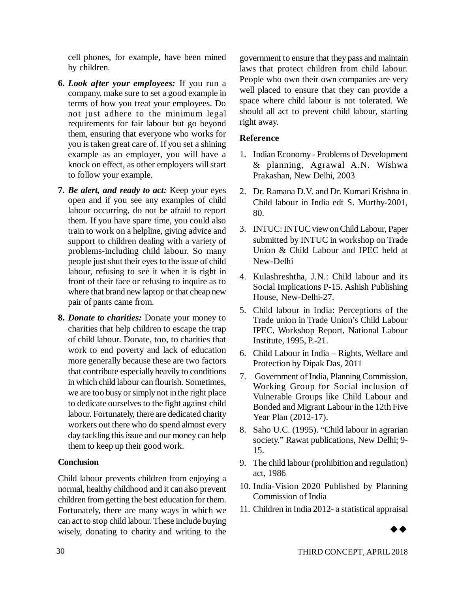cell phones, for example, have been mined by children.

- **6.** *Look after your employees:* If you run a company, make sure to set a good example in terms of how you treat your employees. Do not just adhere to the minimum legal requirements for fair labour but go beyond them, ensuring that everyone who works for you is taken great care of. If you set a shining example as an employer, you will have a knock on effect, as other employers will start to follow your example.
- **7.** *Be alert, and ready to act:* Keep your eyes open and if you see any examples of child labour occurring, do not be afraid to report them. If you have spare time, you could also train to work on a helpline, giving advice and support to children dealing with a variety of problems-including child labour. So many people just shut their eyes to the issue of child labour, refusing to see it when it is right in front of their face or refusing to inquire as to where that brand new laptop or that cheap new pair of pants came from.
- **8.** *Donate to charities:* Donate your money to charities that help children to escape the trap of child labour. Donate, too, to charities that work to end poverty and lack of education more generally because these are two factors that contribute especially heavily to conditions in which child labour can flourish. Sometimes, we are too busy or simply not in the right place to dedicate ourselves to the fight against child labour. Fortunately, there are dedicated charity workers out there who do spend almost every day tackling this issue and our money can help them to keep up their good work.

### **Conclusion**

Child labour prevents children from enjoying a normal, healthy childhood and it can also prevent children from getting the best education for them. Fortunately, there are many ways in which we can act to stop child labour. These include buying wisely, donating to charity and writing to the

government to ensure that they pass and maintain laws that protect children from child labour. People who own their own companies are very well placed to ensure that they can provide a space where child labour is not tolerated. We should all act to prevent child labour, starting right away.

### **Reference**

- 1. Indian Economy Problems of Development & planning, Agrawal A.N. Wishwa Prakashan, New Delhi, 2003
- 2. Dr. Ramana D.V. and Dr. Kumari Krishna in Child labour in India edt S. Murthy-2001, 80.
- 3. INTUC: INTUC view on Child Labour, Paper submitted by INTUC in workshop on Trade Union & Child Labour and IPEC held at New-Delhi
- 4. Kulashreshtha, J.N.: Child labour and its Social Implications P-15. Ashish Publishing House, New-Delhi-27.
- 5. Child labour in India: Perceptions of the Trade union in Trade Union's Child Labour IPEC, Workshop Report, National Labour Institute, 1995, P.-21.
- 6. Child Labour in India Rights, Welfare and Protection by Dipak Das, 2011
- 7. Government of India, Planning Commission, Working Group for Social inclusion of Vulnerable Groups like Child Labour and Bonded and Migrant Labour in the 12th Five Year Plan (2012-17).
- 8. Saho U.C. (1995). "Child labour in agrarian society." Rawat publications, New Delhi; 9- 15.
- 9. The child labour (prohibition and regulation) act, 1986
- 10. India-Vision 2020 Published by Planning Commission of India
- 11. Children in India 2012- a statistical appraisal

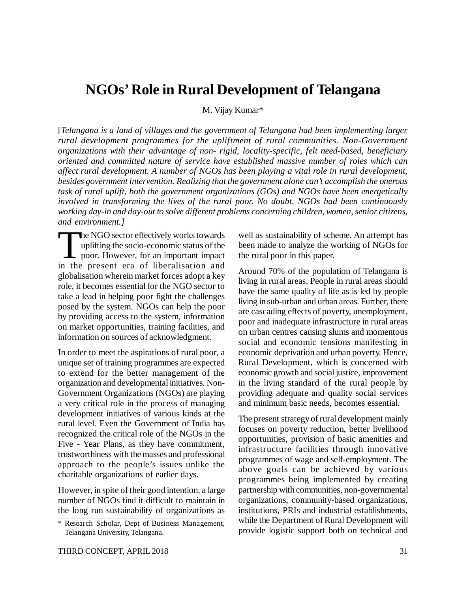# **NGOs' Role in Rural Development of Telangana**

M. Vijay Kumar\*

[*Telangana is a land of villages and the government of Telangana had been implementing larger rural development programmes for the upliftment of rural communities. Non-Government organizations with their advantage of non- rigid, locality-specific, felt need-based, beneficiary oriented and committed nature of service have established massive number of roles which can affect rural development. A number of NGOs has been playing a vital role in rural development, besides government intervention. Realizing that the government alone can't accomplish the onerous task of rural uplift, both the government organizations (GOs) and NGOs have been energetically involved in transforming the lives of the rural poor. No doubt, NGOs had been continuously working day-in and day-out to solve different problems concerning children, women, senior citizens, and environment.]*

The NGO sector effectively works towards<br>uplifting the socio-economic status of the<br>poor. However, for an important impact<br>in the present era of liberalisation and he NGO sector effectively works towards uplifting the socio-economic status of the poor. However, for an important impact globalisation wherein market forces adopt a key role, it becomes essential for the NGO sector to take a lead in helping poor fight the challenges posed by the system. NGOs can help the poor by providing access to the system, information on market opportunities, training facilities, and information on sources of acknowledgment.

In order to meet the aspirations of rural poor, a unique set of training programmes are expected to extend for the better management of the organization and developmental initiatives. Non-Government Organizations (NGOs) are playing a very critical role in the process of managing development initiatives of various kinds at the rural level. Even the Government of India has recognized the critical role of the NGOs in the Five - Year Plans, as they have commitment, trustworthiness with the masses and professional approach to the people's issues unlike the charitable organizations of earlier days.

However, in spite of their good intention, a large number of NGOs find it difficult to maintain in the long run sustainability of organizations as well as sustainability of scheme. An attempt has been made to analyze the working of NGOs for the rural poor in this paper.

Around 70% of the population of Telangana is living in rural areas. People in rural areas should have the same quality of life as is led by people living in sub-urban and urban areas. Further, there are cascading effects of poverty, unemployment, poor and inadequate infrastructure in rural areas on urban centres causing slums and momentous social and economic tensions manifesting in economic deprivation and urban poverty. Hence, Rural Development, which is concerned with economic growth and social justice, improvement in the living standard of the rural people by providing adequate and quality social services and minimum basic needs, becomes essential.

The present strategy of rural development mainly focuses on poverty reduction, better livelihood opportunities, provision of basic amenities and infrastructure facilities through innovative programmes of wage and self-employment. The above goals can be achieved by various programmes being implemented by creating partnership with communities, non-governmental organizations, community-based organizations, institutions, PRIs and industrial establishments, while the Department of Rural Development will provide logistic support both on technical and

<sup>\*</sup> Research Scholar, Dept of Business Management, Telangana University, Telangana.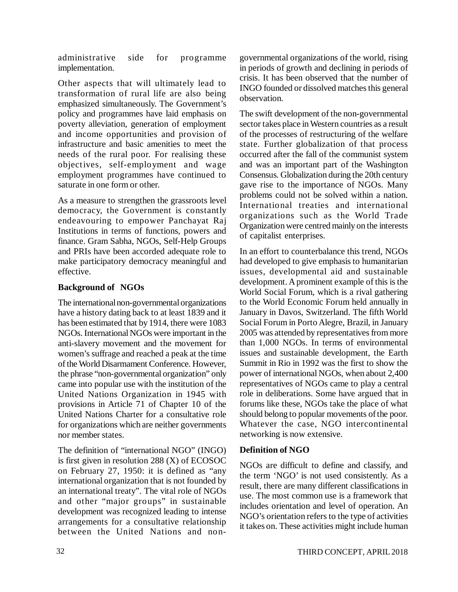administrative side for programme implementation.

Other aspects that will ultimately lead to transformation of rural life are also being emphasized simultaneously. The Government's policy and programmes have laid emphasis on poverty alleviation, generation of employment and income opportunities and provision of infrastructure and basic amenities to meet the needs of the rural poor. For realising these objectives, self-employment and wage employment programmes have continued to saturate in one form or other.

As a measure to strengthen the grassroots level democracy, the Government is constantly endeavouring to empower Panchayat Raj Institutions in terms of functions, powers and finance. Gram Sabha, NGOs, Self-Help Groups and PRIs have been accorded adequate role to make participatory democracy meaningful and effective.

# **Background of NGOs**

The international non-governmental organizations have a history dating back to at least 1839 and it has been estimated that by 1914, there were 1083 NGOs. International NGOs were important in the anti-slavery movement and the movement for women's suffrage and reached a peak at the time of the World Disarmament Conference. However, the phrase "non-governmental organization" only came into popular use with the institution of the United Nations Organization in 1945 with provisions in Article 71 of Chapter 10 of the United Nations Charter for a consultative role for organizations which are neither governments nor member states.

The definition of "international NGO" (INGO) is first given in resolution 288 (X) of ECOSOC on February 27, 1950: it is defined as "any international organization that is not founded by an international treaty". The vital role of NGOs and other "major groups" in sustainable development was recognized leading to intense arrangements for a consultative relationship between the United Nations and nongovernmental organizations of the world, rising in periods of growth and declining in periods of crisis. It has been observed that the number of INGO founded or dissolved matches this general observation.

The swift development of the non-governmental sector takes place in Western countries as a result of the processes of restructuring of the welfare state. Further globalization of that process occurred after the fall of the communist system and was an important part of the Washington Consensus. Globalization during the 20th century gave rise to the importance of NGOs. Many problems could not be solved within a nation. International treaties and international organizations such as the World Trade Organization were centred mainly on the interests of capitalist enterprises.

In an effort to counterbalance this trend, NGOs had developed to give emphasis to humanitarian issues, developmental aid and sustainable development. A prominent example of this is the World Social Forum, which is a rival gathering to the World Economic Forum held annually in January in Davos, Switzerland. The fifth World Social Forum in Porto Alegre, Brazil, in January 2005 was attended by representatives from more than 1,000 NGOs. In terms of environmental issues and sustainable development, the Earth Summit in Rio in 1992 was the first to show the power of international NGOs, when about 2,400 representatives of NGOs came to play a central role in deliberations. Some have argued that in forums like these, NGOs take the place of what should belong to popular movements of the poor. Whatever the case, NGO intercontinental networking is now extensive.

# **Definition of NGO**

NGOs are difficult to define and classify, and the term 'NGO' is not used consistently. As a result, there are many different classifications in use. The most common use is a framework that includes orientation and level of operation. An NGO's orientation refers to the type of activities it takes on. These activities might include human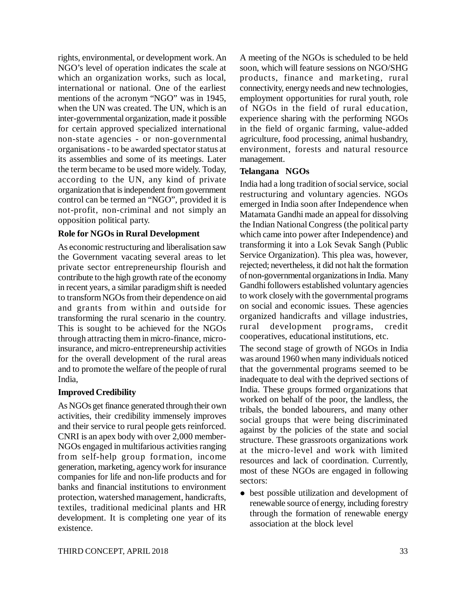rights, environmental, or development work. An NGO's level of operation indicates the scale at which an organization works, such as local, international or national. One of the earliest mentions of the acronym "NGO" was in 1945, when the UN was created. The UN, which is an inter-governmental organization, made it possible for certain approved specialized international non-state agencies - or non-governmental organisations - to be awarded spectator status at its assemblies and some of its meetings. Later the term became to be used more widely. Today, according to the UN, any kind of private organization that is independent from government control can be termed an "NGO", provided it is not-profit, non-criminal and not simply an opposition political party.

# **Role for NGOs in Rural Development**

As economic restructuring and liberalisation saw the Government vacating several areas to let private sector entrepreneurship flourish and contribute to the high growth rate of the economy in recent years, a similar paradigm shift is needed to transform NGOs from their dependence on aid and grants from within and outside for transforming the rural scenario in the country. This is sought to be achieved for the NGOs through attracting them in micro-finance, microinsurance, and micro-entrepreneurship activities for the overall development of the rural areas and to promote the welfare of the people of rural India,

### **Improved Credibility**

As NGOs get finance generated through their own activities, their credibility immensely improves and their service to rural people gets reinforced. CNRI is an apex body with over 2,000 member-NGOs engaged in multifarious activities ranging from self-help group formation, income generation, marketing, agency work for insurance companies for life and non-life products and for banks and financial institutions to environment protection, watershed management, handicrafts, textiles, traditional medicinal plants and HR development. It is completing one year of its existence.

A meeting of the NGOs is scheduled to be held soon, which will feature sessions on NGO/SHG products, finance and marketing, rural connectivity, energy needs and new technologies, employment opportunities for rural youth, role of NGOs in the field of rural education, experience sharing with the performing NGOs in the field of organic farming, value-added agriculture, food processing, animal husbandry, environment, forests and natural resource management.

# **Telangana NGOs**

India had a long tradition of social service, social restructuring and voluntary agencies. NGOs emerged in India soon after Independence when Matamata Gandhi made an appeal for dissolving the Indian National Congress (the political party which came into power after Independence) and transforming it into a Lok Sevak Sangh (Public Service Organization). This plea was, however, rejected; nevertheless, it did not halt the formation of non-governmental organizations in India. Many Gandhi followers established voluntary agencies to work closely with the governmental programs on social and economic issues. These agencies organized handicrafts and village industries, rural development programs, credit cooperatives, educational institutions, etc.

The second stage of growth of NGOs in India was around 1960 when many individuals noticed that the governmental programs seemed to be inadequate to deal with the deprived sections of India. These groups formed organizations that worked on behalf of the poor, the landless, the tribals, the bonded labourers, and many other social groups that were being discriminated against by the policies of the state and social structure. These grassroots organizations work at the micro-level and work with limited resources and lack of coordination. Currently, most of these NGOs are engaged in following sectors:

• best possible utilization and development of renewable source of energy, including forestry through the formation of renewable energy association at the block level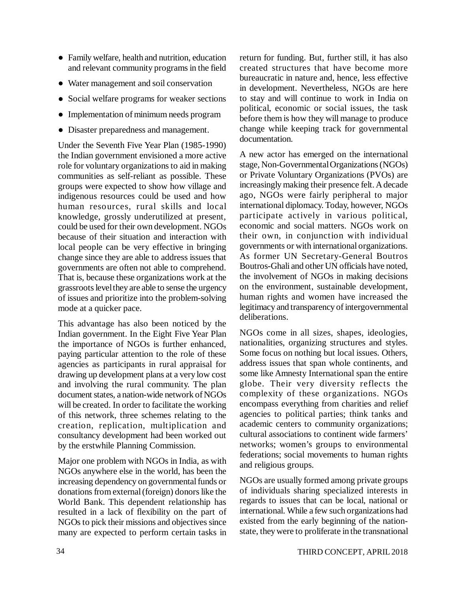- Family welfare, health and nutrition, education and relevant community programs in the field
- Water management and soil conservation
- Social welfare programs for weaker sections
- Implementation of minimum needs program
- Disaster preparedness and management.

Under the Seventh Five Year Plan (1985-1990) the Indian government envisioned a more active role for voluntary organizations to aid in making communities as self-reliant as possible. These groups were expected to show how village and indigenous resources could be used and how human resources, rural skills and local knowledge, grossly underutilized at present, could be used for their own development. NGOs because of their situation and interaction with local people can be very effective in bringing change since they are able to address issues that governments are often not able to comprehend. That is, because these organizations work at the grassroots level they are able to sense the urgency of issues and prioritize into the problem-solving mode at a quicker pace.

This advantage has also been noticed by the Indian government. In the Eight Five Year Plan the importance of NGOs is further enhanced, paying particular attention to the role of these agencies as participants in rural appraisal for drawing up development plans at a very low cost and involving the rural community. The plan document states, a nation-wide network of NGOs will be created. In order to facilitate the working of this network, three schemes relating to the creation, replication, multiplication and consultancy development had been worked out by the erstwhile Planning Commission.

Major one problem with NGOs in India, as with NGOs anywhere else in the world, has been the increasing dependency on governmental funds or donations from external (foreign) donors like the World Bank. This dependent relationship has resulted in a lack of flexibility on the part of NGOs to pick their missions and objectives since many are expected to perform certain tasks in

return for funding. But, further still, it has also created structures that have become more bureaucratic in nature and, hence, less effective in development. Nevertheless, NGOs are here to stay and will continue to work in India on political, economic or social issues, the task before them is how they will manage to produce change while keeping track for governmental documentation.

A new actor has emerged on the international stage, Non-Governmental Organizations (NGOs) or Private Voluntary Organizations (PVOs) are increasingly making their presence felt. A decade ago, NGOs were fairly peripheral to major international diplomacy. Today, however, NGOs participate actively in various political, economic and social matters. NGOs work on their own, in conjunction with individual governments or with international organizations. As former UN Secretary-General Boutros Boutros-Ghali and other UN officials have noted, the involvement of NGOs in making decisions on the environment, sustainable development, human rights and women have increased the legitimacy and transparency of intergovernmental deliberations.

NGOs come in all sizes, shapes, ideologies, nationalities, organizing structures and styles. Some focus on nothing but local issues. Others, address issues that span whole continents, and some like Amnesty International span the entire globe. Their very diversity reflects the complexity of these organizations. NGOs encompass everything from charities and relief agencies to political parties; think tanks and academic centers to community organizations; cultural associations to continent wide farmers' networks; women's groups to environmental federations; social movements to human rights and religious groups.

NGOs are usually formed among private groups of individuals sharing specialized interests in regards to issues that can be local, national or international. While a few such organizations had existed from the early beginning of the nationstate, they were to proliferate in the transnational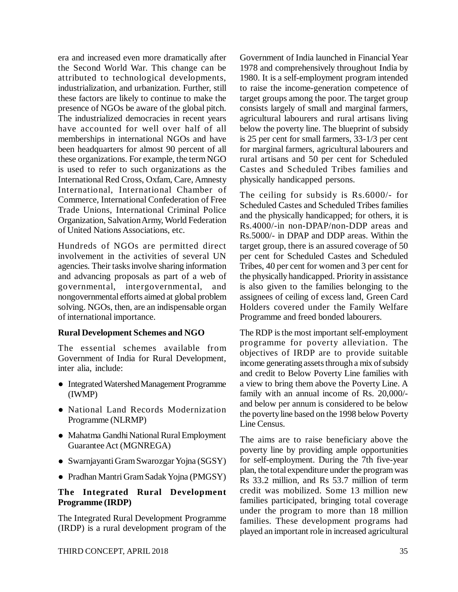era and increased even more dramatically after the Second World War. This change can be attributed to technological developments, industrialization, and urbanization. Further, still these factors are likely to continue to make the presence of NGOs be aware of the global pitch. The industrialized democracies in recent years have accounted for well over half of all memberships in international NGOs and have been headquarters for almost 90 percent of all these organizations. For example, the term NGO is used to refer to such organizations as the International Red Cross, Oxfam, Care, Amnesty International, International Chamber of Commerce, International Confederation of Free Trade Unions, International Criminal Police Organization, Salvation Army, World Federation of United Nations Associations, etc.

Hundreds of NGOs are permitted direct involvement in the activities of several UN agencies. Their tasks involve sharing information and advancing proposals as part of a web of governmental, intergovernmental, and nongovernmental efforts aimed at global problem solving. NGOs, then, are an indispensable organ of international importance.

### **Rural Development Schemes and NGO**

The essential schemes available from Government of India for Rural Development, inter alia, include:

- Integrated Watershed Management Programme (IWMP)
- National Land Records Modernization Programme (NLRMP)
- Mahatma Gandhi National Rural Employment Guarantee Act (MGNREGA)
- Swarnjayanti Gram Swarozgar Yojna (SGSY)
- Pradhan Mantri Gram Sadak Yojna (PMGSY)

# **The Integrated Rural Development Programme (IRDP)**

The Integrated Rural Development Programme (IRDP) is a rural development program of the Government of India launched in Financial Year 1978 and comprehensively throughout India by 1980. It is a self-employment program intended to raise the income-generation competence of target groups among the poor. The target group consists largely of small and marginal farmers, agricultural labourers and rural artisans living below the poverty line. The blueprint of subsidy is 25 per cent for small farmers, 33-1/3 per cent for marginal farmers, agricultural labourers and rural artisans and 50 per cent for Scheduled Castes and Scheduled Tribes families and physically handicapped persons.

The ceiling for subsidy is Rs.6000/- for Scheduled Castes and Scheduled Tribes families and the physically handicapped; for others, it is Rs.4000/-in non-DPAP/non-DDP areas and Rs.5000/- in DPAP and DDP areas. Within the target group, there is an assured coverage of 50 per cent for Scheduled Castes and Scheduled Tribes, 40 per cent for women and 3 per cent for the physically handicapped. Priority in assistance is also given to the families belonging to the assignees of ceiling of excess land, Green Card Holders covered under the Family Welfare Programme and freed bonded labourers.

The RDP is the most important self-employment programme for poverty alleviation. The objectives of IRDP are to provide suitable income generating assets through a mix of subsidy and credit to Below Poverty Line families with a view to bring them above the Poverty Line. A family with an annual income of Rs. 20,000/ and below per annum is considered to be below the poverty line based on the 1998 below Poverty Line Census.

The aims are to raise beneficiary above the poverty line by providing ample opportunities for self-employment. During the 7th five-year plan, the total expenditure under the program was Rs 33.2 million, and Rs 53.7 million of term credit was mobilized. Some 13 million new families participated, bringing total coverage under the program to more than 18 million families. These development programs had played an important role in increased agricultural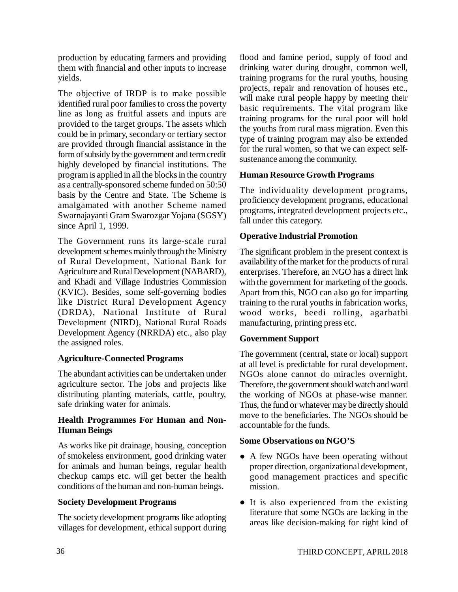production by educating farmers and providing them with financial and other inputs to increase yields.

The objective of IRDP is to make possible identified rural poor families to cross the poverty line as long as fruitful assets and inputs are provided to the target groups. The assets which could be in primary, secondary or tertiary sector are provided through financial assistance in the form of subsidy by the government and term credit highly developed by financial institutions. The program is applied in all the blocks in the country as a centrally-sponsored scheme funded on 50:50 basis by the Centre and State. The Scheme is amalgamated with another Scheme named Swarnajayanti Gram Swarozgar Yojana (SGSY) since April 1, 1999.

The Government runs its large-scale rural development schemes mainly through the Ministry of Rural Development, National Bank for Agriculture and Rural Development (NABARD), and Khadi and Village Industries Commission (KVIC). Besides, some self-governing bodies like District Rural Development Agency (DRDA), National Institute of Rural Development (NIRD), National Rural Roads Development Agency (NRRDA) etc., also play the assigned roles.

# **Agriculture-Connected Programs**

The abundant activities can be undertaken under agriculture sector. The jobs and projects like distributing planting materials, cattle, poultry, safe drinking water for animals.

### **Health Programmes For Human and Non-Human Beings**

As works like pit drainage, housing, conception of smokeless environment, good drinking water for animals and human beings, regular health checkup camps etc. will get better the health conditions of the human and non-human beings.

# **Society Development Programs**

The society development programs like adopting villages for development, ethical support during flood and famine period, supply of food and drinking water during drought, common well, training programs for the rural youths, housing projects, repair and renovation of houses etc., will make rural people happy by meeting their basic requirements. The vital program like training programs for the rural poor will hold the youths from rural mass migration. Even this type of training program may also be extended for the rural women, so that we can expect selfsustenance among the community.

# **Human Resource Growth Programs**

The individuality development programs, proficiency development programs, educational programs, integrated development projects etc., fall under this category.

# **Operative Industrial Promotion**

The significant problem in the present context is availability of the market for the products of rural enterprises. Therefore, an NGO has a direct link with the government for marketing of the goods. Apart from this, NGO can also go for imparting training to the rural youths in fabrication works, wood works, beedi rolling, agarbathi manufacturing, printing press etc.

# **Government Support**

The government (central, state or local) support at all level is predictable for rural development. NGOs alone cannot do miracles overnight. Therefore, the government should watch and ward the working of NGOs at phase-wise manner. Thus, the fund or whatever may be directly should move to the beneficiaries. The NGOs should be accountable for the funds.

# **Some Observations on NGO'S**

- A few NGOs have been operating without proper direction, organizational development, good management practices and specific mission.
- It is also experienced from the existing literature that some NGOs are lacking in the areas like decision-making for right kind of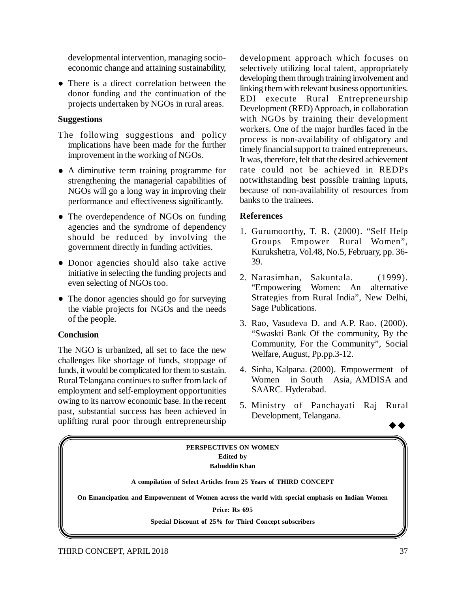developmental intervention, managing socioeconomic change and attaining sustainability,

• There is a direct correlation between the donor funding and the continuation of the projects undertaken by NGOs in rural areas.

# **Suggestions**

- The following suggestions and policy implications have been made for the further improvement in the working of NGOs.
- A diminutive term training programme for strengthening the managerial capabilities of NGOs will go a long way in improving their performance and effectiveness significantly.
- The overdependence of NGOs on funding agencies and the syndrome of dependency should be reduced by involving the government directly in funding activities.
- Donor agencies should also take active initiative in selecting the funding projects and even selecting of NGOs too.
- The donor agencies should go for surveying the viable projects for NGOs and the needs of the people.

# **Conclusion**

The NGO is urbanized, all set to face the new challenges like shortage of funds, stoppage of funds, it would be complicated for them to sustain. Rural Telangana continues to suffer from lack of employment and self-employment opportunities owing to its narrow economic base. In the recent past, substantial success has been achieved in uplifting rural poor through entrepreneurship

development approach which focuses on selectively utilizing local talent, appropriately developing them through training involvement and linking them with relevant business opportunities. EDI execute Rural Entrepreneurship Development (RED) Approach, in collaboration with NGOs by training their development workers. One of the major hurdles faced in the process is non-availability of obligatory and timely financial support to trained entrepreneurs. It was, therefore, felt that the desired achievement rate could not be achieved in REDPs notwithstanding best possible training inputs, because of non-availability of resources from banks to the trainees.

# **References**

- 1. Gurumoorthy, T. R. (2000). "Self Help Groups Empower Rural Women", Kurukshetra, Vol.48, No.5, February, pp. 36- 39.
- 2. Narasimhan, Sakuntala. (1999). "Empowering Women: An alternative Strategies from Rural India", New Delhi, Sage Publications.
- 3. Rao, Vasudeva D. and A.P. Rao. (2000). "Swaskti Bank Of the community, By the Community, For the Community", Social Welfare, August, Pp.pp.3-12.
- 4. Sinha, Kalpana. (2000). Empowerment of Women in South Asia, AMDISA and SAARC. Hyderabad.
- 5. Ministry of Panchayati Raj Rural Development, Telangana.

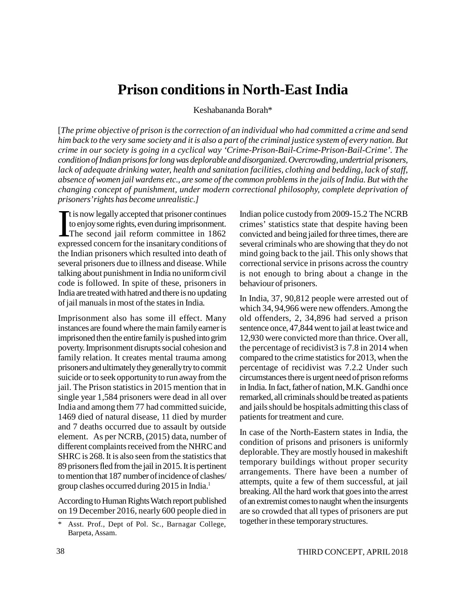# **Prison conditions in North-East India**

Keshabananda Borah\*

[*The prime objective of prison is the correction of an individual who had committed a crime and send him back to the very same society and it is also a part of the criminal justice system of every nation. But crime in our society is going in a cyclical way 'Crime-Prison-Bail-Crime-Prison-Bail-Crime'. The condition of Indian prisons for long was deplorable and disorganized. Overcrowding, undertrial prisoners, lack of adequate drinking water, health and sanitation facilities, clothing and bedding, lack of staff, absence of women jail wardens etc., are some of the common problems in the jails of India. But with the changing concept of punishment, under modern correctional philosophy, complete deprivation of prisoners' rights has become unrealistic.]*

 $\int_{\frac{1}{2}}^{\frac{1}{2}}$ t is now legally accepted that prisoner continues to enjoy some rights, even during imprisonment. The second jail reform committee in 1862 expressed concern for the insanitary conditions of the Indian prisoners which resulted into death of several prisoners due to illness and disease. While talking about punishment in India no uniform civil code is followed. In spite of these, prisoners in India are treated with hatred and there is no updating of jail manuals in most of the states in India.

Imprisonment also has some ill effect. Many instances are found where the main family earner is imprisoned then the entire family is pushed into grim poverty. Imprisonment disrupts social cohesion and family relation. It creates mental trauma among prisoners and ultimately they generally try to commit suicide or to seek opportunity to run away from the jail. The Prison statistics in 2015 mention that in single year 1,584 prisoners were dead in all over India and among them 77 had committed suicide, 1469 died of natural disease, 11 died by murder and 7 deaths occurred due to assault by outside element. As per NCRB, (2015) data, number of different complaints received from the NHRC and SHRC is 268. It is also seen from the statistics that 89 prisoners fled from the jail in 2015. It is pertinent to mention that 187 number of incidence of clashes/ group clashes occurred during 2015 in India.<sup>1</sup>

According to Human Rights Watch report published on 19 December 2016, nearly 600 people died in

Indian police custody from 2009-15.2 The NCRB crimes' statistics state that despite having been convicted and being jailed for three times, there are several criminals who are showing that they do not mind going back to the jail. This only shows that correctional service in prisons across the country is not enough to bring about a change in the behaviour of prisoners.

In India, 37, 90,812 people were arrested out of which 34, 94,966 were new offenders. Among the old offenders, 2, 34,896 had served a prison sentence once, 47,844 went to jail at least twice and 12,930 were convicted more than thrice. Over all, the percentage of recidivist3 is 7.8 in 2014 when compared to the crime statistics for 2013, when the percentage of recidivist was 7.2.2 Under such circumstances there is urgent need of prison reforms in India. In fact, father of nation, M.K. Gandhi once remarked, all criminals should be treated as patients and jails should be hospitals admitting this class of patients for treatment and cure.

In case of the North-Eastern states in India, the condition of prisons and prisoners is uniformly deplorable. They are mostly housed in makeshift temporary buildings without proper security arrangements. There have been a number of attempts, quite a few of them successful, at jail breaking. All the hard work that goes into the arrest of an extremist comes to naught when the insurgents are so crowded that all types of prisoners are put together in these temporary structures.

<sup>\*</sup> Asst. Prof., Dept of Pol. Sc., Barnagar College, Barpeta, Assam.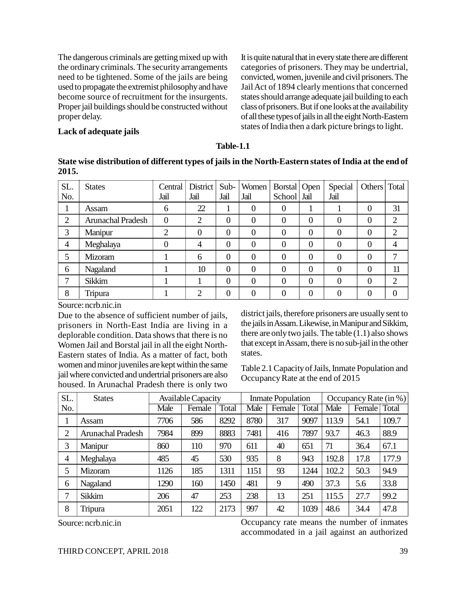The dangerous criminals are getting mixed up with the ordinary criminals. The security arrangements need to be tightened. Some of the jails are being used to propagate the extremist philosophy and have become source of recruitment for the insurgents. Proper jail buildings should be constructed without proper delay.

It is quite natural that in every state there are different categories of prisoners. They may be undertrial, convicted, women, juvenile and civil prisoners. The Jail Act of 1894 clearly mentions that concerned states should arrange adequate jail building to each class of prisoners. But if one looks at the availability of all these types of jails in all the eight North-Eastern states of India then a dark picture brings to light.

#### **Lack of adequate jails**

#### **Table-1.1**

#### **State wise distribution of different types of jails in the North-Eastern states of India at the end of 2015.**

| SL.<br>No.     | <b>States</b>            | Central<br>Jail | District<br>Jail | Sub-<br>Jail   | Women<br>Jail | Borstal   Open<br>School Jail |                | Special<br>Jail | Others   Total   |                |
|----------------|--------------------------|-----------------|------------------|----------------|---------------|-------------------------------|----------------|-----------------|------------------|----------------|
|                | Assam                    | 6               | 22               | л.             | $\Omega$      | $\boldsymbol{0}$              |                |                 | $\theta$         | 31             |
| $\overline{2}$ | <b>Arunachal Pradesh</b> | $\theta$        | $\overline{2}$   | $\overline{0}$ | $\theta$      | $\overline{0}$                | $\overline{0}$ | 0               | $\theta$         | 2              |
| 3              | Manipur                  | $\bigcap$       | 0                | $\overline{0}$ | 0             | $\overline{0}$                | $\overline{0}$ | 0               | $\left( \right)$ | $\overline{2}$ |
| 4              | Meghalaya                |                 | 4                | $\theta$       | $\theta$      | $\overline{0}$                | $\overline{0}$ | 0               | 0                |                |
| 5              | Mizoram                  |                 | 6                | $\overline{0}$ | $\theta$      | $\boldsymbol{0}$              | $\overline{0}$ | 0               | 0                |                |
| 6              | Nagaland                 |                 | 10               | $\overline{0}$ | $\Omega$      | 0                             | $\theta$       | 0               | $\Omega$         | 11             |
|                | Sikkim                   |                 |                  | $\Omega$       | $\theta$      | $\overline{0}$                | $\theta$       | 0               | 0                | $\overline{2}$ |
| 8              | Tripura                  |                 | $\mathfrak{D}$   | $\theta$       |               | 0                             | $\theta$       |                 |                  |                |

Source: ncrb.nic.in

Due to the absence of sufficient number of jails, prisoners in North-East India are living in a deplorable condition. Data shows that there is no Women Jail and Borstal jail in all the eight North-Eastern states of India. As a matter of fact, both women and minor juveniles are kept within the same jail where convicted and undertrial prisoners are also housed. In Arunachal Pradesh there is only two

district jails, therefore prisoners are usually sent to the jails in Assam. Likewise, in Manipur and Sikkim, there are only two jails. The table  $(1.1)$  also shows that except in Assam, there is no sub-jail in the other states.

Table 2.1 Capacity of Jails, Inmate Population and Occupancy Rate at the end of 2015

| SL.            | <b>States</b>            |      | Available Capacity |       | <b>Inmate Population</b> |        |       | Occupancy Rate $(in %)$ |                |       |
|----------------|--------------------------|------|--------------------|-------|--------------------------|--------|-------|-------------------------|----------------|-------|
| No.            |                          | Male | Female             | Total | Male                     | Female | Total | Male                    | Female   Total |       |
|                | Assam                    | 7706 | 586                | 8292  | 8780                     | 317    | 9097  | 113.9                   | 54.1           | 109.7 |
| $\overline{2}$ | <b>Arunachal Pradesh</b> | 7984 | 899                | 8883  | 7481                     | 416    | 7897  | 93.7                    | 46.3           | 88.9  |
| 3              | Manipur                  | 860  | 110                | 970   | 611                      | 40     | 651   | 71                      | 36.4           | 67.1  |
| 4              | Meghalaya                | 485  | 45                 | 530   | 935                      | 8      | 943   | 192.8                   | 17.8           | 177.9 |
| 5              | Mizoram                  | 1126 | 185                | 1311  | 1151                     | 93     | 1244  | 102.2                   | 50.3           | 94.9  |
| 6              | Nagaland                 | 1290 | 160                | 1450  | 481                      | 9      | 490   | 37.3                    | 5.6            | 33.8  |
| ⇁              | Sikkim                   | 206  | 47                 | 253   | 238                      | 13     | 251   | 115.5                   | 27.7           | 99.2  |
| 8              | Tripura                  | 2051 | 122                | 2173  | 997                      | 42     | 1039  | 48.6                    | 34.4           | 47.8  |

Source: ncrb.nic.in Occupancy rate means the number of inmates accommodated in a jail against an authorized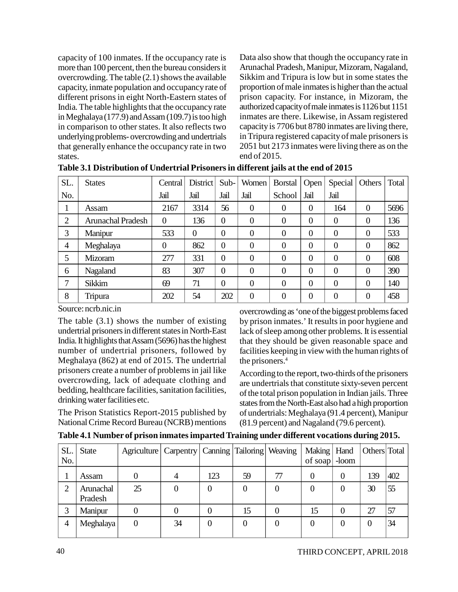capacity of 100 inmates. If the occupancy rate is more than 100 percent, then the bureau considers it overcrowding. The table (2.1) shows the available capacity, inmate population and occupancy rate of different prisons in eight North-Eastern states of India. The table highlights that the occupancy rate in Meghalaya (177.9) and Assam (109.7) is too high in comparison to other states. It also reflects two underlying problems- overcrowding and undertrials that generally enhance the occupancy rate in two states.

Data also show that though the occupancy rate in Arunachal Pradesh, Manipur, Mizoram, Nagaland, Sikkim and Tripura is low but in some states the proportion of male inmates is higher than the actual prison capacity. For instance, in Mizoram, the authorized capacity of male inmates is 1126 but 1151 inmates are there. Likewise, in Assam registered capacity is 7706 but 8780 inmates are living there, in Tripura registered capacity of male prisoners is 2051 but 2173 inmates were living there as on the end of 2015.

| SL.            | <b>States</b>            | Central        | District       | Sub-           | Women    | Borstal        | Open           | Special  | Others           | Total |
|----------------|--------------------------|----------------|----------------|----------------|----------|----------------|----------------|----------|------------------|-------|
| No.            |                          | Jail           | Jail           | Jail           | Jail     | School         | Jail           | Jail     |                  |       |
|                | Assam                    | 2167           | 3314           | 56             | $\theta$ | $\theta$       | $\theta$       | 164      | $\Omega$         | 5696  |
| $\overline{2}$ | <b>Arunachal Pradesh</b> | $\overline{0}$ | 136            | $\theta$       | $\theta$ | $\overline{0}$ | $\overline{0}$ | $\theta$ | $\boldsymbol{0}$ | 136   |
| 3              | Manipur                  | 533            | $\overline{0}$ | $\theta$       | $\theta$ | $\overline{0}$ | $\overline{0}$ | $\theta$ | $\theta$         | 533   |
| $\overline{4}$ | Meghalaya                | $\overline{0}$ | 862            | $\theta$       | $\theta$ | $\overline{0}$ | $\overline{0}$ | $\theta$ | $\theta$         | 862   |
| 5              | Mizoram                  | 277            | 331            | $\overline{0}$ | $\Omega$ | $\overline{0}$ | $\overline{0}$ | $\theta$ | $\boldsymbol{0}$ | 608   |
| 6              | Nagaland                 | 83             | 307            | $\overline{0}$ | $\Omega$ | $\theta$       | $\overline{0}$ | $\Omega$ | $\theta$         | 390   |
|                | <b>Sikkim</b>            | 69             | 71             | $\overline{0}$ | $\Omega$ | $\overline{0}$ | $\overline{0}$ | $\Omega$ | $\theta$         | 140   |
| 8              | Tripura                  | 202            | 54             | 202            | $\theta$ | $\overline{0}$ | $\overline{0}$ |          | $\theta$         | 458   |

**Table 3.1 Distribution of Undertrial Prisoners in different jails at the end of 2015**

Source: ncrb.nic.in

The table (3.1) shows the number of existing undertrial prisoners in different states in North-East India. It highlights that Assam (5696) has the highest number of undertrial prisoners, followed by Meghalaya (862) at end of 2015. The undertrial prisoners create a number of problems in jail like overcrowding, lack of adequate clothing and bedding, healthcare facilities, sanitation facilities, drinking water facilities etc.

The Prison Statistics Report-2015 published by National Crime Record Bureau (NCRB) mentions overcrowding as 'one of the biggest problems faced by prison inmates.' It results in poor hygiene and lack of sleep among other problems. It is essential that they should be given reasonable space and facilities keeping in view with the human rights of the prisoners.<sup>4</sup>

According to the report, two-thirds of the prisoners are undertrials that constitute sixty-seven percent of the total prison population in Indian jails. Three states from the North-East also had a high proportion of undertrials: Meghalaya (91.4 percent), Manipur (81.9 percent) and Nagaland (79.6 percent).

| SL.<br>No. | <b>State</b>         | Agriculture   Carpentry   Canning   Tailoring   Weaving |    |     |    |    | Making   Hand<br>of soap | -loom            | Others Total |     |
|------------|----------------------|---------------------------------------------------------|----|-----|----|----|--------------------------|------------------|--------------|-----|
|            | Assam                |                                                         |    | 123 | 59 | 77 |                          | 0                | .39          | 402 |
|            | Arunachal<br>Pradesh | 25                                                      |    |     |    | 0  |                          | $\left( \right)$ | 30           | 55  |
|            | Manipur              |                                                         |    |     | 15 |    | 15                       | $\theta$         | 27           | 57  |
|            | Meghalaya            | 0                                                       | 34 |     |    | 0  |                          | 0                | 0            | 34  |

**Table 4.1 Number of prison inmates imparted Training under different vocations during 2015.**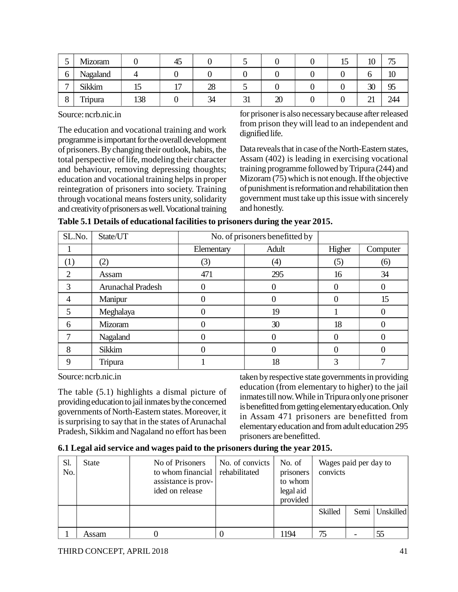| ັ              | Mizoram       |     | 45             |          |           |                  | ⊥୰ | ΙV      | $\overline{\phantom{m}}$<br>ں ر |
|----------------|---------------|-----|----------------|----------|-----------|------------------|----|---------|---------------------------------|
| 0              | Nagaland      |     |                |          |           |                  |    |         | πu                              |
| $\overline{ }$ | <b>Sikkim</b> | ⊥J  | $\overline{ }$ | ററ<br>20 |           |                  |    | 30      | رر                              |
| Ω<br>o         | Tripura       | 138 |                | 34       | ⌒ 1<br>JІ | $\Delta r$<br>ΔU |    | ~<br>∠⊥ | 244                             |

Source: ncrb.nic.in

The education and vocational training and work programme is important for the overall development of prisoners. By changing their outlook, habits, the total perspective of life, modeling their character and behaviour, removing depressing thoughts; education and vocational training helps in proper reintegration of prisoners into society. Training through vocational means fosters unity, solidarity and creativity of prisoners as well. Vocational training for prisoner is also necessary because after released from prison they will lead to an independent and dignified life.

Data reveals that in case of the North-Eastern states, Assam (402) is leading in exercising vocational training programme followed by Tripura (244) and Mizoram (75) which is not enough. If the objective of punishment is reformation and rehabilitation then government must take up this issue with sincerely and honestly.

| SL.No.         | State/UT                 |            | No. of prisoners benefitted by |        |          |
|----------------|--------------------------|------------|--------------------------------|--------|----------|
|                |                          | Elementary | Adult                          | Higher | Computer |
| (1)            | (2)                      | (3)        | (4)                            | (5)    | (6)      |
| $\overline{2}$ | Assam                    | 471        | 295                            | 16     | 34       |
| 3              | <b>Arunachal Pradesh</b> |            |                                |        |          |
| 4              | Manipur                  |            |                                |        | 15       |
| 5              | Meghalaya                |            | 19                             |        |          |
| 6              | Mizoram                  |            | 30                             | 18     |          |
|                | Nagaland                 |            |                                |        |          |
| 8              | Sikkim                   |            | O                              |        |          |
| 9              | Tripura                  |            | 18                             | 3      |          |

Source: ncrb.nic.in

The table (5.1) highlights a dismal picture of providing education to jail inmates by the concerned governments of North-Eastern states. Moreover, it is surprising to say that in the states of Arunachal Pradesh, Sikkim and Nagaland no effort has been taken by respective state governments in providing education (from elementary to higher) to the jail inmates till now. While in Tripura only one prisoner is benefitted from getting elementary education. Only in Assam 471 prisoners are benefitted from elementary education and from adult education 295 prisoners are benefitted.

**6.1 Legal aid service and wages paid to the prisoners during the year 2015.**

| Sl.<br>No. | <b>State</b> | No of Prisoners<br>to whom financial<br>assistance is prov-<br>ided on release | No. of convicts<br>rehabilitated | No. of<br>prisoners<br>to whom<br>legal aid<br>provided | convicts | Wages paid per day to |           |
|------------|--------------|--------------------------------------------------------------------------------|----------------------------------|---------------------------------------------------------|----------|-----------------------|-----------|
|            |              |                                                                                |                                  |                                                         | Skilled  | Semi                  | Unskilled |
|            | Assam        |                                                                                |                                  | 1194                                                    | 75       |                       |           |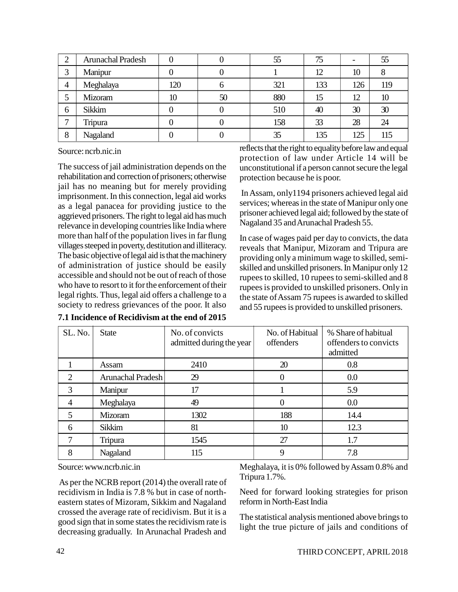|                | <b>Arunachal Pradesh</b> |     |    | 55  | 75  |     | 55  |
|----------------|--------------------------|-----|----|-----|-----|-----|-----|
| ⌒              | Manipur                  |     |    |     | 12  | 10  | 8   |
| $\overline{4}$ | Meghalaya                | 120 |    | 321 | 133 | 126 | 119 |
|                | Mizoram                  | 10  | 50 | 880 | 15  | 12  | 10  |
| 6              | Sikkim                   |     |    | 510 | 40  | 30  | 30  |
|                | Tripura                  |     |    | 158 | 33  | 28  | 24  |
| 8              | Nagaland                 |     |    | 35  | 135 | 125 | 115 |

Source: ncrb.nic.in

The success of jail administration depends on the rehabilitation and correction of prisoners; otherwise jail has no meaning but for merely providing imprisonment. In this connection, legal aid works as a legal panacea for providing justice to the aggrieved prisoners. The right to legal aid has much relevance in developing countries like India where more than half of the population lives in far flung villages steeped in poverty, destitution and illiteracy. The basic objective of legal aid is that the machinery of administration of justice should be easily accessible and should not be out of reach of those who have to resort to it for the enforcement of their legal rights. Thus, legal aid offers a challenge to a society to redress grievances of the poor. It also

| 7.1 Incidence of Recidivism at the end of 2015 |
|------------------------------------------------|
|------------------------------------------------|

reflects that the right to equality before law and equal protection of law under Article 14 will be unconstitutional if a person cannot secure the legal protection because he is poor.

 In Assam, only1194 prisoners achieved legal aid services; whereas in the state of Manipur only one prisoner achieved legal aid; followed by the state of Nagaland 35 and Arunachal Pradesh 55.

In case of wages paid per day to convicts, the data reveals that Manipur, Mizoram and Tripura are providing only a minimum wage to skilled, semiskilled and unskilled prisoners. In Manipur only 12 rupees to skilled, 10 rupees to semi-skilled and 8 rupees is provided to unskilled prisoners. Only in the state of Assam 75 rupees is awarded to skilled and 55 rupees is provided to unskilled prisoners.

| SL. No.        | <b>State</b>      | No. of convicts<br>admitted during the year | No. of Habitual<br>offenders | % Share of habitual<br>offenders to convicts<br>admitted |
|----------------|-------------------|---------------------------------------------|------------------------------|----------------------------------------------------------|
|                | Assam             | 2410                                        | 20                           | 0.8                                                      |
| $\overline{2}$ | Arunachal Pradesh | 29                                          | 0                            | 0.0                                                      |
| 3              | Manipur           | 17                                          |                              | 5.9                                                      |
| 4              | Meghalaya         | 49                                          | 0                            | 0.0                                                      |
| 5              | Mizoram           | 1302                                        | 188                          | 14.4                                                     |
| 6              | Sikkim            | 81                                          | 10                           | 12.3                                                     |
|                | Tripura           | 1545                                        | 27                           | 1.7                                                      |
| 8              | Nagaland          | 115                                         | 9                            | 7.8                                                      |

Source: [www.ncrb.nic.in](http://www.ncrb.nic.in)

 As per the NCRB report (2014) the overall rate of recidivism in India is 7.8 % but in case of northeastern states of Mizoram, Sikkim and Nagaland crossed the average rate of recidivism. But it is a good sign that in some states the recidivism rate is decreasing gradually. In Arunachal Pradesh and Meghalaya, it is 0% followed by Assam 0.8% and Tripura 1.7%.

Need for forward looking strategies for prison reform in North-East India

The statistical analysis mentioned above brings to light the true picture of jails and conditions of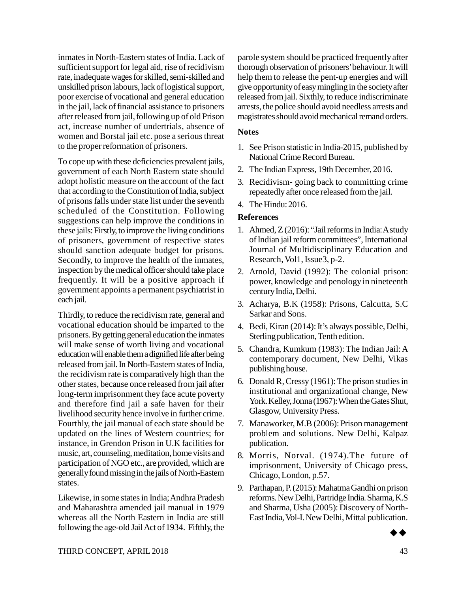inmates in North-Eastern states of India. Lack of sufficient support for legal aid, rise of recidivism rate, inadequate wages for skilled, semi-skilled and unskilled prison labours, lack of logistical support, poor exercise of vocational and general education in the jail, lack of financial assistance to prisoners after released from jail, following up of old Prison act, increase number of undertrials, absence of women and Borstal jail etc. pose a serious threat to the proper reformation of prisoners.

To cope up with these deficiencies prevalent jails, government of each North Eastern state should adopt holistic measure on the account of the fact that according to the Constitution of India, subject of prisons falls under state list under the seventh scheduled of the Constitution. Following suggestions can help improve the conditions in these jails: Firstly, to improve the living conditions of prisoners, government of respective states should sanction adequate budget for prisons. Secondly, to improve the health of the inmates, inspection by the medical officer should take place frequently. It will be a positive approach if government appoints a permanent psychiatrist in each jail.

Thirdly, to reduce the recidivism rate, general and vocational education should be imparted to the prisoners. By getting general education the inmates will make sense of worth living and vocational education will enable them a dignified life after being released from jail. In North-Eastern states of India, the recidivism rate is comparatively high than the other states, because once released from jail after long-term imprisonment they face acute poverty and therefore find jail a safe haven for their livelihood security hence involve in further crime. Fourthly, the jail manual of each state should be updated on the lines of Western countries; for instance, in Grendon Prison in U.K facilities for music, art, counseling, meditation, home visits and participation of NGO etc., are provided, which are generally found missing in the jails of North-Eastern states.

Likewise, in some states in India; Andhra Pradesh and Maharashtra amended jail manual in 1979 whereas all the North Eastern in India are still following the age-old Jail Act of 1934. Fifthly, the parole system should be practiced frequently after thorough observation of prisoners' behaviour. It will help them to release the pent-up energies and will give opportunity of easy mingling in the society after released from jail. Sixthly, to reduce indiscriminate arrests, the police should avoid needless arrests and magistrates should avoid mechanical remand orders.

#### **Notes**

- 1. See Prison statistic in India-2015, published by National Crime Record Bureau.
- 2. The Indian Express, 19th December, 2016.
- 3. Recidivism- going back to committing crime repeatedly after once released from the jail.
- 4. The Hindu: 2016.

### **References**

- 1. Ahmed, Z (2016): "Jail reforms in India: A study of Indian jail reform committees", International Journal of Multidisciplinary Education and Research, Vol1, Issue3, p-2.
- 2. Arnold, David (1992): The colonial prison: power, knowledge and penology in nineteenth century India, Delhi.
- 3. Acharya, B.K (1958): Prisons, Calcutta, S.C Sarkar and Sons.
- 4. Bedi, Kiran (2014): It's always possible, Delhi, Sterling publication, Tenth edition.
- 5. Chandra, Kumkum (1983): The Indian Jail: A contemporary document, New Delhi, Vikas publishing house.
- 6. Donald R, Cressy (1961): The prison studies in institutional and organizational change, New York. Kelley, Jonna (1967): When the Gates Shut, Glasgow, University Press.
- 7. Manaworker, M.B (2006): Prison management problem and solutions. New Delhi, Kalpaz publication.
- 8. Morris, Norval. (1974).The future of imprisonment, University of Chicago press, Chicago, London, p.57.
- 9. Parthapan, P. (2015): Mahatma Gandhi on prison reforms. New Delhi, Partridge India. Sharma, K.S and Sharma, Usha (2005): Discovery of North-East India, Vol-I. New Delhi, Mittal publication.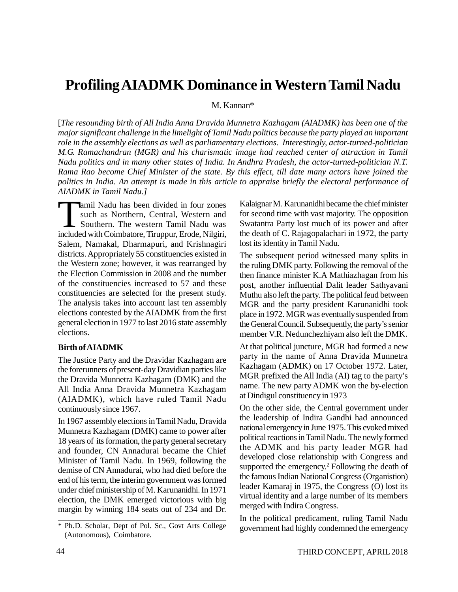# **Profiling AIADMK Dominance in Western Tamil Nadu**

M. Kannan\*

[*The resounding birth of All India Anna Dravida Munnetra Kazhagam (AIADMK) has been one of the major significant challenge in the limelight of Tamil Nadu politics because the party played an important role in the assembly elections as well as parliamentary elections. Interestingly, actor-turned-politician M.G. Ramachandran (MGR) and his charismatic image had reached center of attraction in Tamil Nadu politics and in many other states of India. In Andhra Pradesh, the actor-turned-politician N.T. Rama Rao become Chief Minister of the state. By this effect, till date many actors have joined the politics in India. An attempt is made in this article to appraise briefly the electoral performance of AIADMK in Tamil Nadu.]*

 $\prod_{\substack{\text{include}}}{\infty}$ amil Nadu has been divided in four zones such as Northern, Central, Western and Southern. The western Tamil Nadu was included with Coimbatore, Tiruppur, Erode, Nilgiri, Salem, Namakal, Dharmapuri, and Krishnagiri districts. Appropriately 55 constituencies existed in the Western zone; however, it was rearranged by the Election Commission in 2008 and the number of the constituencies increased to 57 and these constituencies are selected for the present study. The analysis takes into account last ten assembly elections contested by the AIADMK from the first general election in 1977 to last 2016 state assembly elections.

#### **Birth of AIADMK**

The Justice Party and the Dravidar Kazhagam are the forerunners of present-day Dravidian parties like the Dravida Munnetra Kazhagam (DMK) and the All India Anna Dravida Munnetra Kazhagam (AIADMK), which have ruled Tamil Nadu continuously since 1967.

In 1967 assembly elections in Tamil Nadu, Dravida Munnetra Kazhagam (DMK) came to power after 18 years of its formation, the party general secretary and founder, CN Annadurai became the Chief Minister of Tamil Nadu. In 1969, following the demise of CN Annadurai, who had died before the end of his term, the interim government was formed under chief ministership of M. Karunanidhi. In 1971 election, the DMK emerged victorious with big margin by winning 184 seats out of 234 and Dr. Kalaignar M. Karunanidhi became the chief minister for second time with vast majority. The opposition Swatantra Party lost much of its power and after the death of C. Rajagopalachari in 1972, the party lost its identity in Tamil Nadu.

The subsequent period witnessed many splits in the ruling DMK party. Following the removal of the then finance minister K.A Mathiazhagan from his post, another influential Dalit leader Sathyavani Muthu also left the party. The political feud between MGR and the party president Karunanidhi took place in 1972. MGR was eventually suspended from the General Council. Subsequently, the party's senior member V.R. Nedunchezhiyam also left the DMK.

At that political juncture, MGR had formed a new party in the name of Anna Dravida Munnetra Kazhagam (ADMK) on 17 October 1972. Later, MGR prefixed the All India (AI) tag to the party's name. The new party ADMK won the by-election at Dindigul constituency in 1973

On the other side, the Central government under the leadership of Indira Gandhi had announced national emergency in June 1975. This evoked mixed political reactions in Tamil Nadu. The newly formed the ADMK and his party leader MGR had developed close relationship with Congress and supported the emergency.<sup>2</sup> Following the death of the famous Indian National Congress (Organistion) leader Kamaraj in 1975, the Congress (O) lost its virtual identity and a large number of its members merged with Indira Congress.

In the political predicament, ruling Tamil Nadu government had highly condemned the emergency

<sup>\*</sup> Ph.D. Scholar, Dept of Pol. Sc., Govt Arts College (Autonomous), Coimbatore.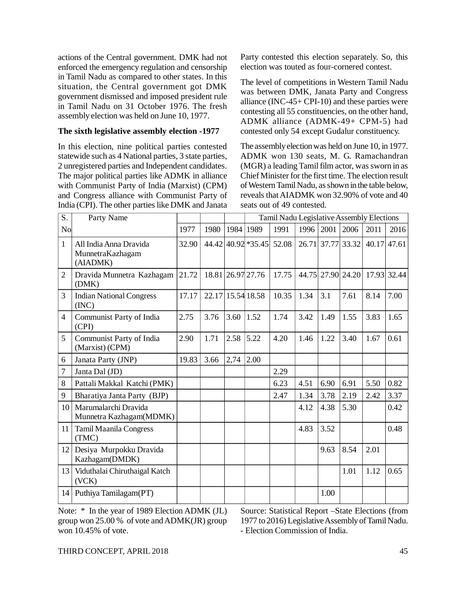actions of the Central government. DMK had not enforced the emergency regulation and censorship in Tamil Nadu as compared to other states. In this situation, the Central government got DMK government dismissed and imposed president rule in Tamil Nadu on 31 October 1976. The fresh assembly election was held on June 10, 1977.

#### **The sixth legislative assembly election -1977**

In this election, nine political parties contested statewide such as 4 National parties, 3 state parties, 2 unregistered parties and Independent candidates. The major political parties like ADMK in alliance with Communist Party of India (Marxist) (CPM) and Congress alliance with Communist Party of India (CPI). The other parties like DMK and Janata

Party contested this election separately. So, this election was touted as four-cornered contest.

The level of competitions in Western Tamil Nadu was between DMK, Janata Party and Congress alliance (INC-45+ CPI-10) and these parties were contesting all 55 constituencies, on the other hand, ADMK alliance (ADMK-49+ CPM-5) had contested only 54 except Gudalur constituency.

The assembly election was held on June 10, in 1977. ADMK won 130 seats, M. G. Ramachandran (MGR) a leading Tamil film actor, was sworn in as Chief Minister for the first time. The election result of Western Tamil Nadu, as shown in the table below, reveals that AIADMK won 32.90% of vote and 40 seats out of 49 contested.

| S.             | Party Name                                             |       |       |      | Tamil Nadu Legislative Assembly Elections |       |      |      |                               |      |               |
|----------------|--------------------------------------------------------|-------|-------|------|-------------------------------------------|-------|------|------|-------------------------------|------|---------------|
| No             |                                                        | 1977  | 1980  | 1984 | 1989                                      | 1991  | 1996 | 2001 | 2006                          | 2011 | 2016          |
| $\mathbf{1}$   | All India Anna Dravida<br>MunnetraKazhagam<br>(AIADMK) | 32.90 |       |      | 44.42 40.92 * 35.45                       | 52.08 |      |      | 26.71 37.77 33.32             |      | $40.17$ 47.61 |
| $\overline{2}$ | Dravida Munnetra Kazhagam<br>(DMK)                     | 21.72 |       |      | 18.81 26.97 27.76                         | 17.75 |      |      | 44.75 27.90 24.20 17.93 32.44 |      |               |
| 3              | <b>Indian National Congress</b><br>(INC)               | 17.17 | 22.17 |      | 15.54 18.58                               | 10.35 | 1.34 | 3.1  | 7.61                          | 8.14 | 7.00          |
| $\overline{4}$ | Communist Party of India<br>(CPI)                      | 2.75  | 3.76  | 3.60 | 1.52                                      | 1.74  | 3.42 | 1.49 | 1.55                          | 3.83 | 1.65          |
| 5              | Communist Party of India<br>(Marxist) (CPM)            | 2.90  | 1.71  | 2.58 | 5.22                                      | 4.20  | 1.46 | 1.22 | 3.40                          | 1.67 | 0.61          |
| 6              | Janata Party (JNP)                                     | 19.83 | 3.66  | 2,74 | 2.00                                      |       |      |      |                               |      |               |
| $\overline{7}$ | Janta Dal (JD)                                         |       |       |      |                                           | 2.29  |      |      |                               |      |               |
| 8              | Pattali Makkal Katchi (PMK)                            |       |       |      |                                           | 6.23  | 4.51 | 6.90 | 6.91                          | 5.50 | 0.82          |
| 9              | Bharatiya Janta Party (BJP)                            |       |       |      |                                           | 2.47  | 1.34 | 3.78 | 2.19                          | 2.42 | 3.37          |
| 10             | Marumalarchi Dravida<br>Munnetra Kazhagam(MDMK)        |       |       |      |                                           |       | 4.12 | 4.38 | 5.30                          |      | 0.42          |
| 11             | <b>Tamil Maanila Congress</b><br>(TMC)                 |       |       |      |                                           |       | 4.83 | 3.52 |                               |      | 0.48          |
| 12             | Desiya Murpokku Dravida<br>Kazhagam(DMDK)              |       |       |      |                                           |       |      | 9.63 | 8.54                          | 2.01 |               |
| 13             | Viduthalai Chiruthaigal Katch<br>(VCK)                 |       |       |      |                                           |       |      |      | 1.01                          | 1.12 | 0.65          |
| 14             | Puthiya Tamilagam (PT)                                 |       |       |      |                                           |       |      | 1.00 |                               |      |               |

Note: \* In the year of 1989 Election ADMK (JL) group won 25.00 % of vote and ADMK(JR) group won 10.45% of vote.

Source: Statistical Report –State Elections (from 1977 to 2016) Legislative Assembly of Tamil Nadu. - Election Commission of India.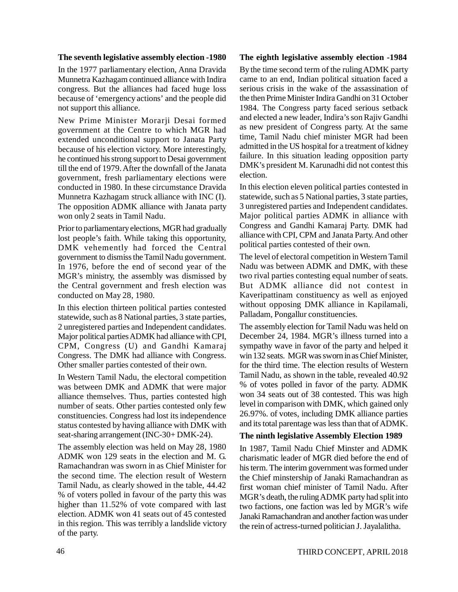#### **The seventh legislative assembly election -1980**

In the 1977 parliamentary election, Anna Dravida Munnetra Kazhagam continued alliance with Indira congress. But the alliances had faced huge loss because of 'emergency actions' and the people did not support this alliance.

New Prime Minister Morarji Desai formed government at the Centre to which MGR had extended unconditional support to Janata Party because of his election victory. More interestingly, he continued his strong support to Desai government till the end of 1979. After the downfall of the Janata government, fresh parliamentary elections were conducted in 1980. In these circumstance Dravida Munnetra Kazhagam struck alliance with INC (I). The opposition ADMK alliance with Janata party won only 2 seats in Tamil Nadu.

Prior to parliamentary elections, MGR had gradually lost people's faith. While taking this opportunity, DMK vehemently had forced the Central government to dismiss the Tamil Nadu government. In 1976, before the end of second year of the MGR's ministry, the assembly was dismissed by the Central government and fresh election was conducted on May 28, 1980.

In this election thirteen political parties contested statewide, such as 8 National parties, 3 state parties, 2 unregistered parties and Independent candidates. Major political parties ADMK had alliance with CPI, CPM, Congress (U) and Gandhi Kamaraj Congress. The DMK had alliance with Congress. Other smaller parties contested of their own.

In Western Tamil Nadu, the electoral competition was between DMK and ADMK that were major alliance themselves. Thus, parties contested high number of seats. Other parties contested only few constituencies. Congress had lost its independence status contested by having alliance with DMK with seat-sharing arrangement (INC-30+ DMK-24).

The assembly election was held on May 28, 1980 ADMK won 129 seats in the election and M. G. Ramachandran was sworn in as Chief Minister for the second time. The election result of Western Tamil Nadu, as clearly showed in the table, 44.42 % of voters polled in favour of the party this was higher than 11.52% of vote compared with last election. ADMK won 41 seats out of 45 contested in this region. This was terribly a landslide victory of the party.

#### **The eighth legislative assembly election -1984**

By the time second term of the ruling ADMK party came to an end, Indian political situation faced a serious crisis in the wake of the assassination of the then Prime Minister Indira Gandhi on 31 October 1984. The Congress party faced serious setback and elected a new leader, Indira's son Rajiv Gandhi as new president of Congress party. At the same time, Tamil Nadu chief minister MGR had been admitted in the US hospital for a treatment of kidney failure. In this situation leading opposition party DMK's president M. Karunadhi did not contest this election.

In this election eleven political parties contested in statewide, such as 5 National parties, 3 state parties, 3 unregistered parties and Independent candidates. Major political parties ADMK in alliance with Congress and Gandhi Kamaraj Party. DMK had alliance with CPI, CPM and Janata Party. And other political parties contested of their own.

The level of electoral competition in Western Tamil Nadu was between ADMK and DMK, with these two rival parties contesting equal number of seats. But ADMK alliance did not contest in Kaveripattinam constituency as well as enjoyed without opposing DMK alliance in Kapilamali, Palladam, Pongallur constituencies.

The assembly election for Tamil Nadu was held on December 24, 1984. MGR's illness turned into a sympathy wave in favor of the party and helped it win 132 seats. MGR was sworn in as Chief Minister, for the third time. The election results of Western Tamil Nadu, as shown in the table, revealed 40.92 % of votes polled in favor of the party. ADMK won 34 seats out of 38 contested. This was high level in comparison with DMK, which gained only 26.97%. of votes, including DMK alliance parties and its total parentage was less than that of ADMK.

#### **The ninth legislative Assembly Election 1989**

In 1987, Tamil Nadu Chief Minster and ADMK charismatic leader of MGR died before the end of his term. The interim government was formed under the Chief minstership of Janaki Ramachandran as first woman chief minister of Tamil Nadu. After MGR's death, the ruling ADMK party had split into two factions, one faction was led by MGR's wife Janaki Ramachandran and another faction was under the rein of actress-turned politician J. Jayalalitha.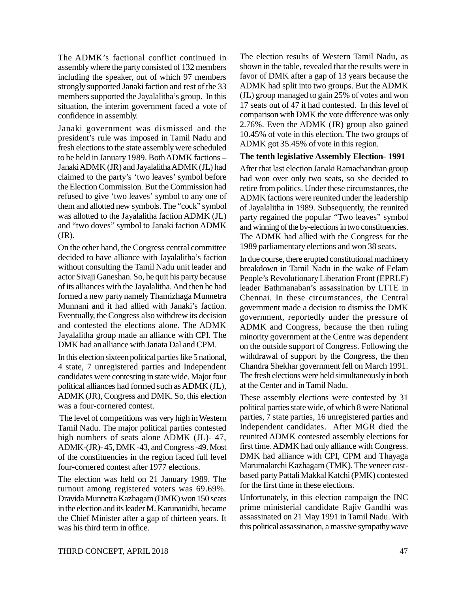The ADMK's factional conflict continued in assembly where the party consisted of 132 members including the speaker, out of which 97 members strongly supported Janaki faction and rest of the 33 members supported the Jayalalitha's group. In this situation, the interim government faced a vote of confidence in assembly.

Janaki government was dismissed and the president's rule was imposed in Tamil Nadu and fresh elections to the state assembly were scheduled to be held in January 1989. Both ADMK factions – Janaki ADMK (JR) and Jayalalitha ADMK (JL) had claimed to the party's 'two leaves' symbol before the Election Commission. But the Commission had refused to give 'two leaves' symbol to any one of them and allotted new symbols. The "cock" symbol was allotted to the Jayalalitha faction ADMK (JL) and "two doves" symbol to Janaki faction ADMK (JR).

On the other hand, the Congress central committee decided to have alliance with Jayalalitha's faction without consulting the Tamil Nadu unit leader and actor Sivaji Ganeshan. So, he quit his party because of its alliances with the Jayalalitha. And then he had formed a new party namely Thamizhaga Munnetra Munnani and it had allied with Janaki's faction. Eventually, the Congress also withdrew its decision and contested the elections alone. The ADMK Jayalalitha group made an alliance with CPI. The DMK had an alliance with Janata Dal and CPM.

In this election sixteen political parties like 5 national, 4 state, 7 unregistered parties and Independent candidates were contesting in state wide. Major four political alliances had formed such as ADMK (JL), ADMK (JR), Congress and DMK. So, this election was a four-cornered contest.

 The level of competitions was very high in Western Tamil Nadu. The major political parties contested high numbers of seats alone ADMK (JL)- 47, ADMK-(JR)- 45, DMK -43, and Congress -49. Most of the constituencies in the region faced full level four-cornered contest after 1977 elections.

The election was held on 21 January 1989. The turnout among registered voters was 69.69%. Dravida Munnetra Kazhagam (DMK) won 150 seats in the election and its leader M. Karunanidhi, became the Chief Minister after a gap of thirteen years. It was his third term in office.

The election results of Western Tamil Nadu, as shown in the table, revealed that the results were in favor of DMK after a gap of 13 years because the ADMK had split into two groups. But the ADMK (JL) group managed to gain 25% of votes and won 17 seats out of 47 it had contested. In this level of comparison with DMK the vote difference was only 2.76%. Even the ADMK (JR) group also gained 10.45% of vote in this election. The two groups of ADMK got 35.45% of vote in this region.

#### **The tenth legislative Assembly Election- 1991**

After that last election Janaki Ramachandran group had won over only two seats, so she decided to retire from politics. Under these circumstances, the ADMK factions were reunited under the leadership of Jayalalitha in 1989. Subsequently, the reunited party regained the popular "Two leaves" symbol and winning of the by-elections in two constituencies. The ADMK had allied with the Congress for the 1989 parliamentary elections and won 38 seats.

In due course, there erupted constitutional machinery breakdown in Tamil Nadu in the wake of Eelam People's Revolutionary Liberation Front (EPRLF) leader Bathmanaban's assassination by LTTE in Chennai. In these circumstances, the Central government made a decision to dismiss the DMK government, reportedly under the pressure of ADMK and Congress, because the then ruling minority government at the Centre was dependent on the outside support of Congress. Following the withdrawal of support by the Congress, the then Chandra Shekhar government fell on March 1991. The fresh elections were held simultaneously in both at the Center and in Tamil Nadu.

These assembly elections were contested by 31 political parties state wide, of which 8 were National parties, 7 state parties, 16 unregistered parties and Independent candidates. After MGR died the reunited ADMK contested assembly elections for first time. ADMK had only alliance with Congress. DMK had alliance with CPI, CPM and Thayaga Marumalarchi Kazhagam (TMK). The veneer castbased party Pattali Makkal Katchi (PMK) contested for the first time in these elections.

Unfortunately, in this election campaign the INC prime ministerial candidate Rajiv Gandhi was assassinated on 21 May 1991 in Tamil Nadu. With this political assassination, a massive sympathy wave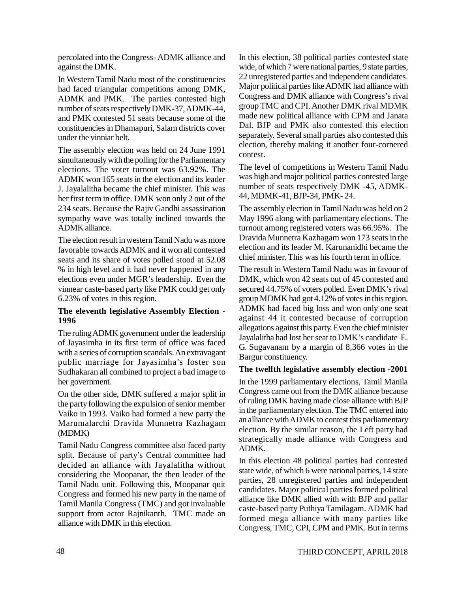percolated into the Congress- ADMK alliance and against the DMK.

In Western Tamil Nadu most of the constituencies had faced triangular competitions among DMK, ADMK and PMK. The parties contested high number of seats respectively DMK-37, ADMK-44, and PMK contested 51 seats because some of the constituencies in Dhamapuri, Salam districts cover under the vinniar belt.

The assembly election was held on 24 June 1991 simultaneously with the polling for the Parliamentary elections. The voter turnout was 63.92%. The ADMK won 165 seats in the election and its leader J. Jayalalitha became the chief minister. This was her first term in office. DMK won only 2 out of the 234 seats. Because the Rajiv Gandhi assassination sympathy wave was totally inclined towards the ADMK alliance.

The election result in western Tamil Nadu was more favorable towards ADMK and it won all contested seats and its share of votes polled stood at 52.08 % in high level and it had never happened in any elections even under MGR's leadership. Even the vinnear caste-based party like PMK could get only 6.23% of votes in this region.

### **The eleventh legislative Assembly Election - 1996**

The ruling ADMK government under the leadership of Jayasimha in its first term of office was faced with a series of corruption scandals. An extravagant public marriage for Jayasimha's foster son Sudhakaran all combined to project a bad image to her government.

On the other side, DMK suffered a major split in the party following the expulsion of senior member Vaiko in 1993. Vaiko had formed a new party the Marumalarchi Dravida Munnetra Kazhagam (MDMK)

Tamil Nadu Congress committee also faced party split. Because of party's Central committee had decided an alliance with Jayalalitha without considering the Moopanar, the then leader of the Tamil Nadu unit. Following this, Moopanar quit Congress and formed his new party in the name of Tamil Manila Congress (TMC) and got invaluable support from actor Rajnikanth. TMC made an alliance with DMK in this election.

In this election, 38 political parties contested state wide, of which 7 were national parties, 9 state parties, 22 unregistered parties and independent candidates. Major political parties like ADMK had alliance with Congress and DMK alliance with Congress's rival group TMC and CPI. Another DMK rival MDMK made new political alliance with CPM and Janata Dal. BJP and PMK also contested this election separately. Several small parties also contested this election, thereby making it another four-cornered contest.

The level of competitions in Western Tamil Nadu was high and major political parties contested large number of seats respectively DMK -45, ADMK-44, MDMK-41, BJP-34, PMK- 24.

The assembly election in Tamil Nadu was held on 2 May 1996 along with parliamentary elections. The turnout among registered voters was 66.95%. The Dravida Munnetra Kazhagam won 173 seats in the election and its leader M. Karunanidhi became the chief minister. This was his fourth term in office.

The result in Western Tamil Nadu was in favour of DMK, which won 42 seats out of 45 contested and secured 44.75% of voters polled. Even DMK's rival group MDMK had got 4.12% of votes in this region. ADMK had faced big loss and won only one seat against 44 it contested because of corruption allegations against this party. Even the chief minister Jayalalitha had lost her seat to DMK's candidate E. G. Sugavanam by a margin of 8,366 votes in the Bargur constituency.

#### **The twelfth legislative assembly election -2001**

In the 1999 parliamentary elections, Tamil Manila Congress came out from the DMK alliance because of ruling DMK having made close alliance with BJP in the parliamentary election. The TMC entered into an alliance with ADMK to contest this parliamentary election. By the similar reason, the Left party had strategically made alliance with Congress and ADMK.

In this election 48 political parties had contested state wide, of which 6 were national parties, 14 state parties, 28 unregistered parties and independent candidates. Major political parties formed political alliance like DMK allied with with BJP and pallar caste-based party Puthiya Tamilagam. ADMK had formed mega alliance with many parties like Congress, TMC, CPI, CPM and PMK. But in terms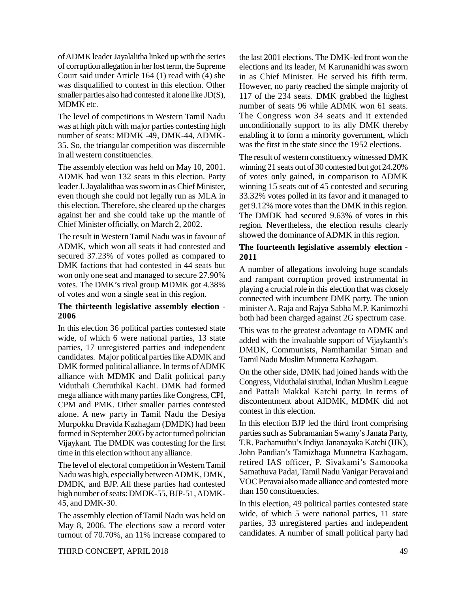of ADMK leader Jayalalitha linked up with the series of corruption allegation in her lost term, the Supreme Court said under Article 164 (1) read with (4) she was disqualified to contest in this election. Other smaller parties also had contested it alone like JD(S), MDMK etc.

The level of competitions in Western Tamil Nadu was at high pitch with major parties contesting high number of seats: MDMK -49, DMK-44, ADMK-35. So, the triangular competition was discernible in all western constituencies.

The assembly election was held on May 10, 2001. ADMK had won 132 seats in this election. Party leader J. Jayalalithaa was sworn in as Chief Minister, even though she could not legally run as MLA in this election. Therefore, she cleared up the charges against her and she could take up the mantle of Chief Minister officially, on March 2, 2002.

The result in Western Tamil Nadu was in favour of ADMK, which won all seats it had contested and secured 37.23% of votes polled as compared to DMK factions that had contested in 44 seats but won only one seat and managed to secure 27.90% votes. The DMK's rival group MDMK got 4.38% of votes and won a single seat in this region.

### **The thirteenth legislative assembly election - 2006**

In this election 36 political parties contested state wide, of which 6 were national parties, 13 state parties, 17 unregistered parties and independent candidates. Major political parties like ADMK and DMK formed political alliance. In terms of ADMK alliance with MDMK and Dalit political party Viduthali Cheruthikal Kachi. DMK had formed mega alliance with many parties like Congress, CPI, CPM and PMK. Other smaller parties contested alone. A new party in Tamil Nadu the Desiya Murpokku Dravida Kazhagam (DMDK) had been formed in September 2005 by actor turned politician Vijaykant. The DMDK was contesting for the first time in this election without any alliance.

The level of electoral competition in Western Tamil Nadu was high, especially between ADMK, DMK, DMDK, and BJP. All these parties had contested high number of seats: DMDK-55, BJP-51, ADMK-45, and DMK-30.

The assembly election of Tamil Nadu was held on May 8, 2006. The elections saw a record voter turnout of 70.70%, an 11% increase compared to

the last 2001 elections. The DMK-led front won the elections and its leader, M Karunanidhi was sworn in as Chief Minister. He served his fifth term. However, no party reached the simple majority of 117 of the 234 seats. DMK grabbed the highest number of seats 96 while ADMK won 61 seats. The Congress won 34 seats and it extended unconditionally support to its ally DMK thereby enabling it to form a minority government, which was the first in the state since the 1952 elections.

The result of western constituency witnessed DMK winning 21 seats out of 30 contested but got 24.20% of votes only gained, in comparison to ADMK winning 15 seats out of 45 contested and securing 33.32% votes polled in its favor and it managed to get 9.12% more votes than the DMK in this region. The DMDK had secured 9.63% of votes in this region. Nevertheless, the election results clearly showed the dominance of ADMK in this region.

#### **The fourteenth legislative assembly election - 2011**

A number of allegations involving huge scandals and rampant corruption proved instrumental in playing a crucial role in this election that was closely connected with incumbent DMK party. The union minister A. Raja and Rajya Sabha M.P. Kanimozhi both had been charged against 2G spectrum case.

This was to the greatest advantage to ADMK and added with the invaluable support of Vijaykanth's DMDK, Communists, Namthamilar Siman and Tamil Nadu Muslim Munnetra Kazhagam.

On the other side, DMK had joined hands with the Congress, Viduthalai siruthai, Indian Muslim League and Pattali Makkal Katchi party. In terms of discontentment about AIDMK, MDMK did not contest in this election.

In this election BJP led the third front comprising parties such as Subramanian Swamy's Janata Party, T.R. Pachamuthu's Indiya Jananayaka Katchi (IJK), John Pandian's Tamizhaga Munnetra Kazhagam, retired IAS officer, P. Sivakami's Samoooka Samathuva Padai, Tamil Nadu Vanigar Peravai and VOC Peravai also made alliance and contested more than 150 constituencies.

In this election, 49 political parties contested state wide, of which 5 were national parties, 11 state parties, 33 unregistered parties and independent candidates. A number of small political party had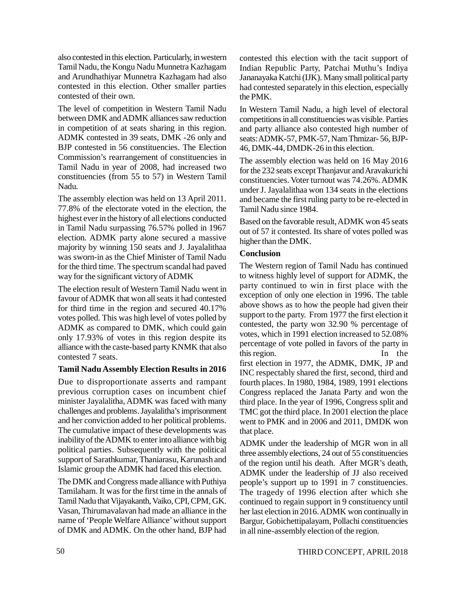also contested in this election. Particularly, in western Tamil Nadu, the Kongu Nadu Munnetra Kazhagam and Arundhathiyar Munnetra Kazhagam had also contested in this election. Other smaller parties contested of their own.

The level of competition in Western Tamil Nadu between DMK and ADMK alliances saw reduction in competition of at seats sharing in this region. ADMK contested in 39 seats, DMK -26 only and BJP contested in 56 constituencies. The Election Commission's rearrangement of constituencies in Tamil Nadu in year of 2008, had increased two constituencies (from 55 to 57) in Western Tamil Nadu.

The assembly election was held on 13 April 2011. 77.8% of the electorate voted in the election, the highest ever in the history of all elections conducted in Tamil Nadu surpassing 76.57% polled in 1967 election. ADMK party alone secured a massive majority by winning 150 seats and J. Jayalalithaa was sworn-in as the Chief Minister of Tamil Nadu for the third time. The spectrum scandal had paved way for the significant victory of ADMK

The election result of Western Tamil Nadu went in favour of ADMK that won all seats it had contested for third time in the region and secured 40.17% votes polled. This was high level of votes polled by ADMK as compared to DMK, which could gain only 17.93% of votes in this region despite its alliance with the caste-based party KNMK that also contested 7 seats.

### **Tamil Nadu Assembly Election Results in 2016**

Due to disproportionate asserts and rampant previous corruption cases on incumbent chief minister Jayalalitha, ADMK was faced with many challenges and problems. Jayalalitha's imprisonment and her conviction added to her political problems. The cumulative impact of these developments was inability of the ADMK to enter into alliance with big political parties. Subsequently with the political support of Sarathkumar, Thaniarasu, Karunash and Islamic group the ADMK had faced this election.

The DMK and Congress made alliance with Puthiya Tamilaham. It was for the first time in the annals of Tamil Nadu that Vijayakanth, Vaiko, CPI, CPM, GK. Vasan, Thirumavalavan had made an alliance in the name of 'People Welfare Alliance' without support of DMK and ADMK. On the other hand, BJP had contested this election with the tacit support of Indian Republic Party, Patchai Muthu's Indiya Jananayaka Katchi (IJK). Many small political party had contested separately in this election, especially the PMK.

In Western Tamil Nadu, a high level of electoral competitions in all constituencies was visible. Parties and party alliance also contested high number of seats: ADMK-57, PMK-57, Nam Thmizar- 56, BJP-46, DMK-44, DMDK-26 in this election.

The assembly election was held on 16 May 2016 for the 232 seats except Thanjavur and Aravakurichi constituencies. Voter turnout was 74.26%. ADMK under J. Jayalalithaa won 134 seats in the elections and became the first ruling party to be re-elected in Tamil Nadu since 1984.

Based on the favorable result, ADMK won 45 seats out of 57 it contested. Its share of votes polled was higher than the DMK.

### **Conclusion**

The Western region of Tamil Nadu has continued to witness highly level of support for ADMK, the party continued to win in first place with the exception of only one election in 1996. The table above shows as to how the people had given their support to the party. From 1977 the first election it contested, the party won 32.90 % percentage of votes, which in 1991 election increased to 52.08% percentage of vote polled in favors of the party in this region. In the first election in 1977, the ADMK, DMK, JP and INC respectably shared the first, second, third and fourth places. In 1980, 1984, 1989, 1991 elections Congress replaced the Janata Party and won the third place. In the year of 1996, Congress split and TMC got the third place. In 2001 election the place went to PMK and in 2006 and 2011, DMDK won that place.

ADMK under the leadership of MGR won in all three assembly elections, 24 out of 55 constituencies of the region until his death. After MGR's death, ADMK under the leadership of JJ also received people's support up to 1991 in 7 constituencies. The tragedy of 1996 election after which she continued to regain support in 9 constituency until her last election in 2016. ADMK won continually in Bargur, Gobichettipalayam, Pollachi constituencies in all nine-assembly election of the region.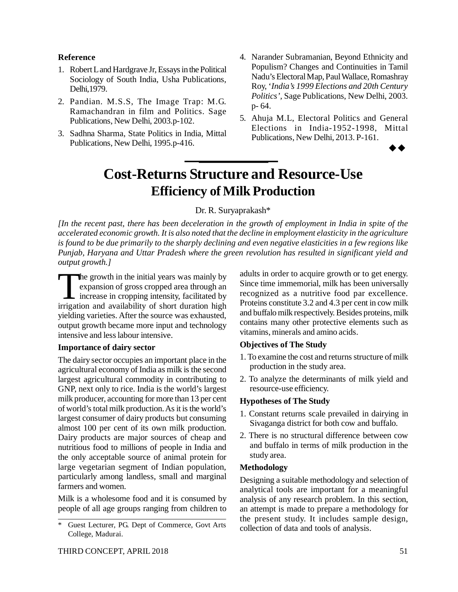#### **Reference**

- 1. Robert L and Hardgrave Jr, Essays in the Political Sociology of South India, Usha Publications, Delhi,1979.
- 2. Pandian. M.S.S, The Image Trap: M.G. Ramachandran in film and Politics. Sage Publications, New Delhi, 2003.p-102.
- 3. Sadhna Sharma, State Politics in India, Mittal Publications, New Delhi, 1995.p-416.
- 4. Narander Subramanian, Beyond Ethnicity and Populism? Changes and Continuities in Tamil Nadu's Electoral Map, Paul Wallace, Romashray Roy, '*India's 1999 Elections and 20th Century Politics',* Sage Publications, New Delhi, 2003. p- 64.
- 5. Ahuja M.L, Electoral Politics and General Elections in India-1952-1998, Mittal Publications, New Delhi, 2013. P-161.

 $\rightarrow \rightarrow$ 

# **Cost-Returns Structure and Resource-Use Efficiency of Milk Production**

### Dr. R. Suryaprakash\*

*[In the recent past, there has been deceleration in the growth of employment in India in spite of the accelerated economic growth. It is also noted that the decline in employment elasticity in the agriculture is found to be due primarily to the sharply declining and even negative elasticities in a few regions like Punjab, Haryana and Uttar Pradesh where the green revolution has resulted in significant yield and output growth.]*

The growth in the initial years was mainly by expansion of gross cropped area through an increase in cropping intensity, facilitated by irrigation and availability of short duration high The growth in the initial years was mainly by expansion of gross cropped area through an I increase in cropping intensity, facilitated by yielding varieties. After the source was exhausted, output growth became more input and technology intensive and less labour intensive.

#### **Importance of dairy sector**

The dairy sector occupies an important place in the agricultural economy of India as milk is the second largest agricultural commodity in contributing to GNP, next only to rice. India is the world's largest milk producer, accounting for more than 13 per cent of world's total milk production. As it is the world's largest consumer of dairy products but consuming almost 100 per cent of its own milk production. Dairy products are major sources of cheap and nutritious food to millions of people in India and the only acceptable source of animal protein for large vegetarian segment of Indian population, particularly among landless, small and marginal farmers and women.

Milk is a wholesome food and it is consumed by people of all age groups ranging from children to adults in order to acquire growth or to get energy. Since time immemorial, milk has been universally recognized as a nutritive food par excellence. Proteins constitute 3.2 and 4.3 per cent in cow milk and buffalo milk respectively. Besides proteins, milk contains many other protective elements such as vitamins, minerals and amino acids.

### **Objectives of The Study**

- 1. To examine the cost and returns structure of milk production in the study area.
- 2. To analyze the determinants of milk yield and resource-use efficiency.

#### **Hypotheses of The Study**

- 1. Constant returns scale prevailed in dairying in Sivaganga district for both cow and buffalo.
- 2. There is no structural difference between cow and buffalo in terms of milk production in the study area.

#### **Methodology**

Designing a suitable methodology and selection of analytical tools are important for a meaningful analysis of any research problem. In this section, an attempt is made to prepare a methodology for the present study. It includes sample design, collection of data and tools of analysis.

<sup>\*</sup> Guest Lecturer, PG. Dept of Commerce, Govt Arts College, Madurai.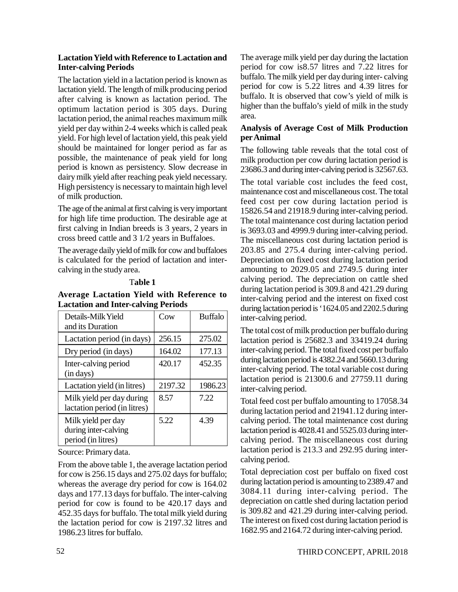#### **Lactation Yield with Reference to Lactation and Inter-calving Periods**

The lactation yield in a lactation period is known as lactation yield. The length of milk producing period after calving is known as lactation period. The optimum lactation period is 305 days. During lactation period, the animal reaches maximum milk yield per day within 2-4 weeks which is called peak yield. For high level of lactation yield, this peak yield should be maintained for longer period as far as possible, the maintenance of peak yield for long period is known as persistency. Slow decrease in dairy milk yield after reaching peak yield necessary. High persistency is necessary to maintain high level of milk production.

The age of the animal at first calving is very important for high life time production. The desirable age at first calving in Indian breeds is 3 years, 2 years in cross breed cattle and 3 1/2 years in Buffaloes.

The average daily yield of milk for cow and buffaloes is calculated for the period of lactation and intercalving in the study area.

#### T**able 1**

#### **Average Lactation Yield with Reference to Lactation and Inter-calving Periods**

| Details-Milk Yield<br>and its Duration                           | Cow     | <b>Buffalo</b> |
|------------------------------------------------------------------|---------|----------------|
| Lactation period (in days)                                       | 256.15  | 275.02         |
| Dry period (in days)                                             | 164.02  | 177.13         |
| Inter-calving period<br>(in days)                                | 420.17  | 452.35         |
| Lactation yield (in litres)                                      | 2197.32 | 1986.23        |
| Milk yield per day during<br>lactation period (in litres)        | 8.57    | 7.22           |
| Milk yield per day<br>during inter-calving<br>period (in litres) | 5.22    | 4.39           |

Source: Primary data.

From the above table 1, the average lactation period for cow is 256.15 days and 275.02 days for buffalo; whereas the average dry period for cow is 164.02 days and 177.13 days for buffalo. The inter-calving period for cow is found to be 420.17 days and 452.35 days for buffalo. The total milk yield during the lactation period for cow is 2197.32 litres and 1986.23 litres for buffalo.

The average milk yield per day during the lactation period for cow is8.57 litres and 7.22 litres for buffalo. The milk yield per day during inter- calving period for cow is 5.22 litres and 4.39 litres for buffalo. It is observed that cow's yield of milk is higher than the buffalo's yield of milk in the study area.

# **Analysis of Average Cost of Milk Production per Animal**

The following table reveals that the total cost of milk production per cow during lactation period is 23686.3 and during inter-calving period is 32567.63.

The total variable cost includes the feed cost, maintenance cost and miscellaneous cost. The total feed cost per cow during lactation period is 15826.54 and 21918.9 during inter-calving period. The total maintenance cost during lactation period is 3693.03 and 4999.9 during inter-calving period. The miscellaneous cost during lactation period is 203.85 and 275.4 during inter-calving period. Depreciation on fixed cost during lactation period amounting to 2029.05 and 2749.5 during inter calving period. The depreciation on cattle shed during lactation period is 309.8 and 421.29 during inter-calving period and the interest on fixed cost during lactation period is '1624.05 and 2202.5 during inter-calving period.

The total cost of milk production per buffalo during lactation period is 25682.3 and 33419.24 during inter-calving period. The total fixed cost per buffalo during lactation period is 4382.24 and 5660.13 during inter-calving period. The total variable cost during lactation period is 21300.6 and 27759.11 during inter-calving period.

Total feed cost per buffalo amounting to 17058.34 during lactation period and 21941.12 during intercalving period. The total maintenance cost during lactation period is 4028.41 and 5525.03 during intercalving period. The miscellaneous cost during lactation period is 213.3 and 292.95 during intercalving period.

Total depreciation cost per buffalo on fixed cost during lactation period is amounting to 2389.47 and 3084.11 during inter-calving period. The depreciation on cattle shed during lactation period is 309.82 and 421.29 during inter-calving period. The interest on fixed cost during lactation period is 1682.95 and 2164.72 during inter-calving period.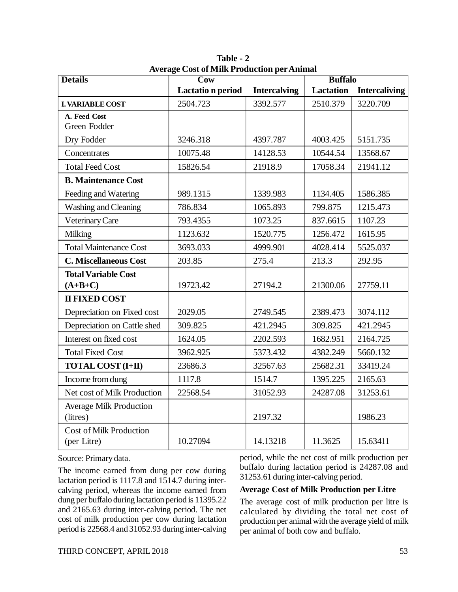| <b>Details</b>                                | Average Cost of Milk Production per Animal<br>$\overline{\text{Cow}}$ |                     | <b>Buffalo</b>   |                      |  |
|-----------------------------------------------|-----------------------------------------------------------------------|---------------------|------------------|----------------------|--|
|                                               | Lactatio n period                                                     | <b>Intercalving</b> | <b>Lactation</b> | <b>Intercaliving</b> |  |
| <b>I. VARIABLE COST</b>                       | 2504.723                                                              | 3392.577            | 2510.379         | 3220.709             |  |
| A. Feed Cost<br>Green Fodder                  |                                                                       |                     |                  |                      |  |
| Dry Fodder                                    | 3246.318                                                              | 4397.787            | 4003.425         | 5151.735             |  |
| Concentrates                                  | 10075.48                                                              | 14128.53            | 10544.54         | 13568.67             |  |
| <b>Total Feed Cost</b>                        | 15826.54                                                              | 21918.9             | 17058.34         | 21941.12             |  |
| <b>B. Maintenance Cost</b>                    |                                                                       |                     |                  |                      |  |
| Feeding and Watering                          | 989.1315                                                              | 1339.983            | 1134.405         | 1586.385             |  |
| Washing and Cleaning                          | 786.834                                                               | 1065.893            | 799.875          | 1215.473             |  |
| Veterinary Care                               | 793.4355                                                              | 1073.25             | 837.6615         | 1107.23              |  |
| Milking                                       | 1123.632                                                              | 1520.775            | 1256.472         | 1615.95              |  |
| <b>Total Maintenance Cost</b>                 | 3693.033                                                              | 4999.901            | 4028.414         | 5525.037             |  |
| <b>C. Miscellaneous Cost</b>                  | 203.85                                                                | 275.4               | 213.3            | 292.95               |  |
| <b>Total Variable Cost</b><br>$(A+B+C)$       | 19723.42                                                              | 27194.2             | 21300.06         | 27759.11             |  |
| <b>II FIXED COST</b>                          |                                                                       |                     |                  |                      |  |
| Depreciation on Fixed cost                    | 2029.05                                                               | 2749.545            | 2389.473         | 3074.112             |  |
| Depreciation on Cattle shed                   | 309.825                                                               | 421.2945            | 309.825          | 421.2945             |  |
| Interest on fixed cost                        | 1624.05                                                               | 2202.593            | 1682.951         | 2164.725             |  |
| <b>Total Fixed Cost</b>                       | 3962.925                                                              | 5373.432            | 4382.249         | 5660.132             |  |
| <b>TOTAL COST (I+II)</b>                      | 23686.3                                                               | 32567.63            | 25682.31         | 33419.24             |  |
| Income from dung                              | 1117.8                                                                | 1514.7              | 1395.225         | 2165.63              |  |
| Net cost of Milk Production                   | 22568.54                                                              | 31052.93            | 24287.08         | 31253.61             |  |
| <b>Average Milk Production</b><br>(litres)    |                                                                       | 2197.32             |                  | 1986.23              |  |
| <b>Cost of Milk Production</b><br>(per Litre) | 10.27094                                                              | 14.13218            | 11.3625          | 15.63411             |  |

**Table - 2 Average Cost of Milk Production per Animal**

Source: Primary data.

The income earned from dung per cow during lactation period is 1117.8 and 1514.7 during intercalving period, whereas the income earned from dung per buffalo during lactation period is 11395.22 and 2165.63 during inter-calving period. The net cost of milk production per cow during lactation period is 22568.4 and 31052.93 during inter-calving period, while the net cost of milk production per buffalo during lactation period is 24287.08 and 31253.61 during inter-calving period.

#### **Average Cost of Milk Production per Litre**

The average cost of milk production per litre is calculated by dividing the total net cost of production per animal with the average yield of milk per animal of both cow and buffalo.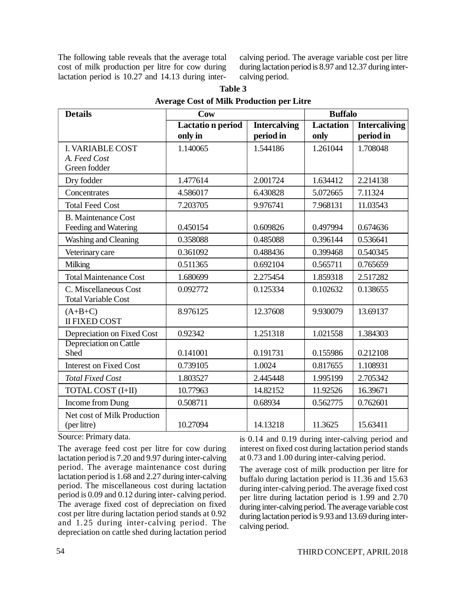The following table reveals that the average total cost of milk production per litre for cow during lactation period is 10.27 and 14.13 during intercalving period. The average variable cost per litre during lactation period is 8.97 and 12.37 during intercalving period.

| <b>Details</b>                                      | Cow                     |                     | <b>Buffalo</b>   |                      |
|-----------------------------------------------------|-------------------------|---------------------|------------------|----------------------|
|                                                     | <b>Lactation</b> period | <b>Intercalving</b> | <b>Lactation</b> | <b>Intercaliving</b> |
|                                                     | only in                 | period in           | only             | period in            |
| <b>I. VARIABLE COST</b>                             | 1.140065                | 1.544186            | 1.261044         | 1.708048             |
| A. Feed Cost<br>Green fodder                        |                         |                     |                  |                      |
|                                                     |                         |                     |                  |                      |
| Dry fodder                                          | 1.477614                | 2.001724            | 1.634412         | 2.214138             |
| Concentrates                                        | 4.586017                | 6.430828            | 5.072665         | 7.11324              |
| <b>Total Feed Cost</b>                              | 7.203705                | 9.976741            | 7.968131         | 11.03543             |
| <b>B.</b> Maintenance Cost                          |                         |                     |                  |                      |
| Feeding and Watering                                | 0.450154                | 0.609826            | 0.497994         | 0.674636             |
| Washing and Cleaning                                | 0.358088                | 0.485088            | 0.396144         | 0.536641             |
| Veterinary care                                     | 0.361092                | 0.488436            | 0.399468         | 0.540345             |
| Milking                                             | 0.511365                | 0.692104            | 0.565711         | 0.765659             |
| <b>Total Maintenance Cost</b>                       | 1.680699                | 2.275454            | 1.859318         | 2.517282             |
| C. Miscellaneous Cost<br><b>Total Variable Cost</b> | 0.092772                | 0.125334            | 0.102632         | 0.138655             |
| $(A+B+C)$<br><b>II FIXED COST</b>                   | 8.976125                | 12.37608            | 9.930079         | 13.69137             |
| Depreciation on Fixed Cost                          | 0.92342                 | 1.251318            | 1.021558         | 1.384303             |
| Depreciation on Cattle                              |                         |                     |                  |                      |
| Shed                                                | 0.141001                | 0.191731            | 0.155986         | 0.212108             |
| <b>Interest on Fixed Cost</b>                       | 0.739105                | 1.0024              | 0.817655         | 1.108931             |
| <b>Total Fixed Cost</b>                             | 1.803527                | 2.445448            | 1.995199         | 2.705342             |
| TOTAL COST (I+II)                                   | 10.77963                | 14.82152            | 11.92526         | 16.39671             |
| Income from Dung                                    | 0.508711                | 0.68934             | 0.562775         | 0.762601             |
| Net cost of Milk Production<br>(per litre)          | 10.27094                | 14.13218            | 11.3625          | 15.63411             |

| Table 3                                          |
|--------------------------------------------------|
| <b>Average Cost of Milk Production per Litre</b> |

Source: Primary data.

The average feed cost per litre for cow during lactation period is 7.20 and 9.97 during inter-calving period. The average maintenance cost during lactation period is 1.68 and 2.27 during inter-calving period. The miscellaneous cost during lactation period is 0.09 and 0.12 during inter- calving period. The average fixed cost of depreciation on fixed cost per litre during lactation period stands at 0.92 and 1.25 during inter-calving period. The depreciation on cattle shed during lactation period is 0.14 and 0.19 during inter-calving period and interest on fixed cost during lactation period stands at 0.73 and 1.00 during inter-calving period.

The average cost of milk production per litre for buffalo during lactation period is 11.36 and 15.63 during inter-calving period. The average fixed cost per litre during lactation period is 1.99 and 2.70 during inter-calving period. The average variable cost during lactation period is 9.93 and 13.69 during intercalving period.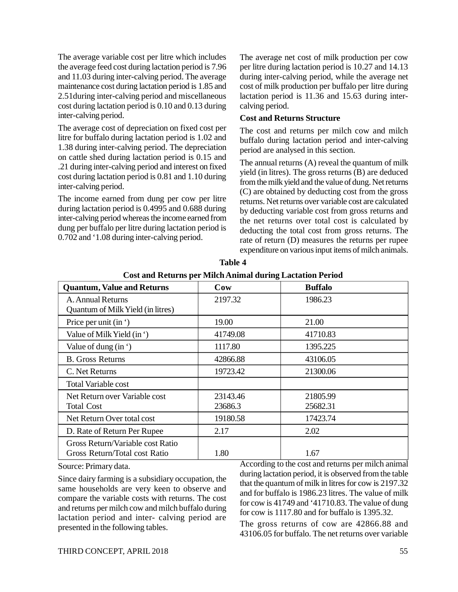The average variable cost per litre which includes the average feed cost during lactation period is 7.96 and 11.03 during inter-calving period. The average maintenance cost during lactation period is 1.85 and 2.51during inter-calving period and miscellaneous cost during lactation period is 0.10 and 0.13 during inter-calving period.

The average cost of depreciation on fixed cost per litre for buffalo during lactation period is 1.02 and 1.38 during inter-calving period. The depreciation on cattle shed during lactation period is 0.15 and .21 during inter-calving period and interest on fixed cost during lactation period is 0.81 and 1.10 during inter-calving period.

The income earned from dung per cow per litre during lactation period is 0.4995 and 0.688 during inter-calving period whereas the income earned from dung per buffalo per litre during lactation period is 0.702 and '1.08 during inter-calving period.

The average net cost of milk production per cow per litre during lactation period is 10.27 and 14.13 during inter-calving period, while the average net cost of milk production per buffalo per litre during lactation period is 11.36 and 15.63 during intercalving period.

#### **Cost and Returns Structure**

The cost and returns per milch cow and milch buffalo during lactation period and inter-calving period are analysed in this section.

The annual returns (A) reveal the quantum of milk yield (in litres). The gross returns (B) are deduced from the milk yield and the value of dung. Net returns (C) are obtained by deducting cost from the gross returns. Net returns over variable cost are calculated by deducting variable cost from gross returns and the net returns over total cost is calculated by deducting the total cost from gross returns. The rate of return (D) measures the returns per rupee expenditure on various input items of milch animals.

| <b>Quantum, Value and Returns</b>                                 | Cow                 | <b>Buffalo</b>       |
|-------------------------------------------------------------------|---------------------|----------------------|
| A. Annual Returns<br>Quantum of Milk Yield (in litres)            | 2197.32             | 1986.23              |
| Price per unit (in ')                                             | 19.00               | 21.00                |
| Value of Milk Yield (in ')                                        | 41749.08            | 41710.83             |
| Value of dung $(in')$                                             | 1117.80             | 1395.225             |
| <b>B.</b> Gross Returns                                           | 42866.88            | 43106.05             |
| C. Net Returns                                                    | 19723.42            | 21300.06             |
| <b>Total Variable cost</b>                                        |                     |                      |
| Net Return over Variable cost<br><b>Total Cost</b>                | 23143.46<br>23686.3 | 21805.99<br>25682.31 |
| Net Return Over total cost                                        | 19180.58            | 17423.74             |
| D. Rate of Return Per Rupee                                       | 2.17                | 2.02                 |
| Gross Return/Variable cost Ratio<br>Gross Return/Total cost Ratio | 1.80                | 1.67                 |

**Table 4 Cost and Returns per Milch Animal during Lactation Period**

Source: Primary data.

Since dairy farming is a subsidiary occupation, the same households are very keen to observe and compare the variable costs with returns. The cost and returns per milch cow and milch buffalo during lactation period and inter- calving period are presented in the following tables.

According to the cost and returns per milch animal during lactation period, it is observed from the table that the quantum of milk in litres for cow is 2197.32 and for buffalo is 1986.23 litres. The value of milk for cow is 41749 and '41710.83. The value of dung for cow is 1117.80 and for buffalo is 1395.32.

The gross returns of cow are 42866.88 and 43106.05 for buffalo. The net returns over variable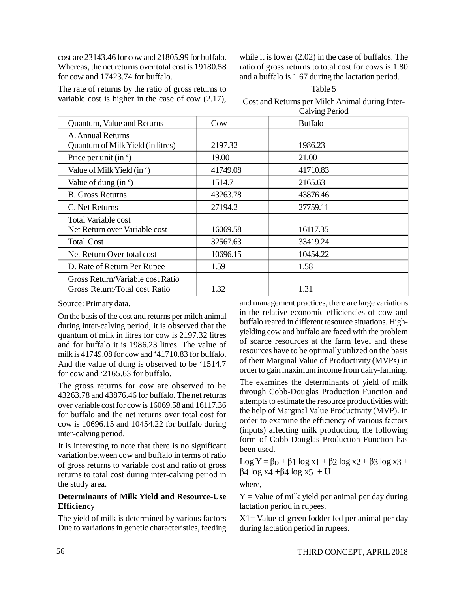cost are 23143.46 for cow and 21805.99 for buffalo. Whereas, the net returns over total cost is 19180.58 for cow and 17423.74 for buffalo.

The rate of returns by the ratio of gross returns to variable cost is higher in the case of cow (2.17), while it is lower (2.02) in the case of buffalos. The ratio of gross returns to total cost for cows is 1.80 and a buffalo is 1.67 during the lactation period.

| Table 5                                                                                   |
|-------------------------------------------------------------------------------------------|
| Cost and Returns per Milch Animal during Inter-                                           |
| $C_2$ $\frac{1}{2}$ $\frac{1}{2}$ $\frac{1}{2}$ $\frac{1}{2}$ $\frac{1}{2}$ $\frac{1}{2}$ |

|                                   |          | <b>Calving Period</b> |
|-----------------------------------|----------|-----------------------|
| Quantum, Value and Returns        | Cow      | <b>Buffalo</b>        |
| A. Annual Returns                 |          |                       |
| Quantum of Milk Yield (in litres) | 2197.32  | 1986.23               |
| Price per unit (in ')             | 19.00    | 21.00                 |
| Value of Milk Yield (in ')        | 41749.08 | 41710.83              |
| Value of dung $(in')$             | 1514.7   | 2165.63               |
| <b>B.</b> Gross Returns           | 43263.78 | 43876.46              |
| C. Net Returns                    | 27194.2  | 27759.11              |
| <b>Total Variable cost</b>        |          |                       |
| Net Return over Variable cost     | 16069.58 | 16117.35              |
| <b>Total Cost</b>                 | 32567.63 | 33419.24              |
| Net Return Over total cost        | 10696.15 | 10454.22              |
| D. Rate of Return Per Rupee       | 1.59     | 1.58                  |
| Gross Return/Variable cost Ratio  |          |                       |
| Gross Return/Total cost Ratio     | 1.32     | 1.31                  |

Source: Primary data.

On the basis of the cost and returns per milch animal during inter-calving period, it is observed that the quantum of milk in litres for cow is 2197.32 litres and for buffalo it is 1986.23 litres. The value of milk is 41749.08 for cow and '41710.83 for buffalo. And the value of dung is observed to be '1514.7 for cow and '2165.63 for buffalo.

The gross returns for cow are observed to be 43263.78 and 43876.46 for buffalo. The net returns over variable cost for cow is 16069.58 and 16117.36 for buffalo and the net returns over total cost for cow is 10696.15 and 10454.22 for buffalo during inter-calving period.

It is interesting to note that there is no significant variation between cow and buffalo in terms of ratio of gross returns to variable cost and ratio of gross returns to total cost during inter-calving period in the study area.

#### **Determinants of Milk Yield and Resource-Use Efficienc**y

The yield of milk is determined by various factors Due to variations in genetic characteristics, feeding and management practices, there are large variations in the relative economic efficiencies of cow and buffalo reared in different resource situations. Highyielding cow and buffalo are faced with the problem of scarce resources at the farm level and these resources have to be optimally utilized on the basis of their Marginal Value of Productivity (MVPs) in order to gain maximum income from dairy-farming.

The examines the determinants of yield of milk through Cobb-Douglas Production Function and attempts to estimate the resource productivities with the help of Marginal Value Productivity (MVP). In order to examine the efficiency of various factors (inputs) affecting milk production, the following form of Cobb-Douglas Production Function has been used.

Log  $Y = \beta_0 + \beta_1 \log x_1 + \beta_2 \log x_2 + \beta_3 \log x_3 +$  $β$ 4 log x4 +β4 log x5 + U

where,

 $Y =$  Value of milk yield per animal per day during lactation period in rupees.

 $X1 =$  Value of green fodder fed per animal per day during lactation period in rupees.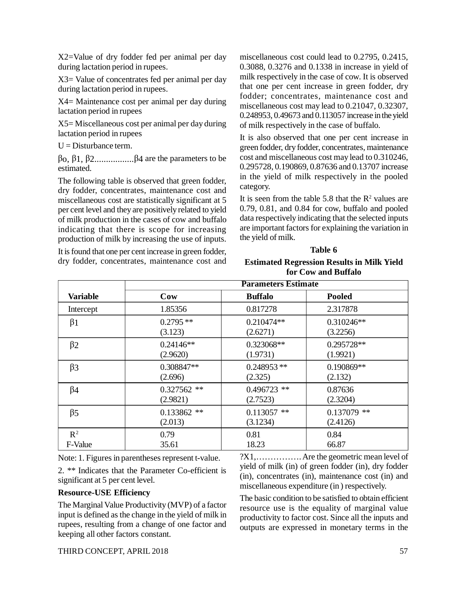THIRD CONCEPT, APRIL 2018 57

X2=Value of dry fodder fed per animal per day during lactation period in rupees.

X3= Value of concentrates fed per animal per day during lactation period in rupees.

X4= Maintenance cost per animal per day during lactation period in rupees

X5= Miscellaneous cost per animal per day during lactation period in rupees

 $U =$ Disturbance term.

 $β$ <sub>0</sub>,  $β$ <sub>1</sub>,  $β$ <sub>2</sub>...................β<sub>4</sub> are the parameters to be estimated.

The following table is observed that green fodder, dry fodder, concentrates, maintenance cost and miscellaneous cost are statistically significant at 5 per cent level and they are positively related to yield of milk production in the cases of cow and buffalo indicating that there is scope for increasing production of milk by increasing the use of inputs.

It is found that one per cent increase in green fodder, dry fodder, concentrates, maintenance cost and miscellaneous cost could lead to 0.2795, 0.2415, 0.3088, 0.3276 and 0.1338 in increase in yield of milk respectively in the case of cow. It is observed that one per cent increase in green fodder, dry fodder; concentrates, maintenance cost and miscellaneous cost may lead to 0.21047, 0.32307, 0.248953, 0.49673 and 0.113057 increase in the yield of milk respectively in the case of buffalo.

It is also observed that one per cent increase in green fodder, dry fodder, concentrates, maintenance cost and miscellaneous cost may lead to 0.310246, 0.295728, 0.190869, 0.87636 and 0.13707 increase in the yield of milk respectively in the pooled category.

It is seen from the table 5.8 that the  $\mathbb{R}^2$  values are 0.79, 0.81, and 0.84 for cow, buffalo and pooled data respectively indicating that the selected inputs are important factors for explaining the variation in the yield of milk.

#### **Table 6**

#### **Estimated Regression Results in Milk Yield for Cow and Buffalo**

|                 | <b>Parameters Estimate</b> |                |               |
|-----------------|----------------------------|----------------|---------------|
| <b>Variable</b> | Cow                        | <b>Buffalo</b> | <b>Pooled</b> |
| Intercept       | 1.85356                    | 0.817278       | 2.317878      |
| $\beta$ 1       | $0.2795**$                 | 0.210474**     | 0.310246**    |
|                 | (3.123)                    | (2.6271)       | (3.2256)      |
| $\beta$ 2       | $0.24146**$                | 0.323068**     | 0.295728**    |
|                 | (2.9620)                   | (1.9731)       | (1.9921)      |
| $\beta$ 3       | 0.308847**                 | $0.248953**$   | 0.190869**    |
|                 | (2.696)                    | (2.325)        | (2.132)       |
| $\beta$ 4       | $0.327562$ **              | $0.496723$ **  | 0.87636       |
|                 | (2.9821)                   | (2.7523)       | (2.3204)      |
| $\beta$ 5       | $0.133862$ **              | $0.113057$ **  | $0.137079$ ** |
|                 | (2.013)                    | (3.1234)       | (2.4126)      |
| $R^2$           | 0.79                       | 0.81           | 0.84          |
| F-Value         | 35.61                      | 18.23          | 66.87         |

Note: 1. Figures in parentheses represent t-value.

2. \*\* Indicates that the Parameter Co-efficient is significant at 5 per cent level.

### **Resource-USE Efficiency**

The Marginal Value Productivity (MVP) of a factor input is defined as the change in the yield of milk in rupees, resulting from a change of one factor and keeping all other factors constant.

?X1,……………. Are the geometric mean level of yield of milk (in) of green fodder (in), dry fodder (in), concentrates (in), maintenance cost (in) and miscellaneous expenditure (in ) respectively.

The basic condition to be satisfied to obtain efficient resource use is the equality of marginal value productivity to factor cost. Since all the inputs and outputs are expressed in monetary terms in the